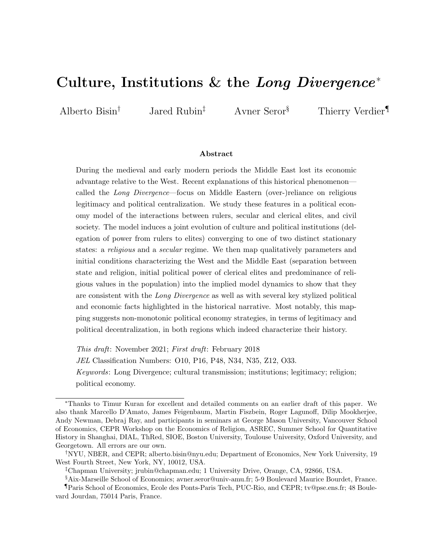# Culture, Institutions  $&$  the Long Divergence<sup>\*</sup>

Alberto Bisin<sup>†</sup> Jared Rubin<sup>‡</sup> Avner Seror<sup>§</sup> Thierry Verdier<sup>¶</sup>

#### Abstract

During the medieval and early modern periods the Middle East lost its economic advantage relative to the West. Recent explanations of this historical phenomenon called the Long Divergence—focus on Middle Eastern (over-)reliance on religious legitimacy and political centralization. We study these features in a political economy model of the interactions between rulers, secular and clerical elites, and civil society. The model induces a joint evolution of culture and political institutions (delegation of power from rulers to elites) converging to one of two distinct stationary states: a religious and a secular regime. We then map qualitatively parameters and initial conditions characterizing the West and the Middle East (separation between state and religion, initial political power of clerical elites and predominance of religious values in the population) into the implied model dynamics to show that they are consistent with the Long Divergence as well as with several key stylized political and economic facts highlighted in the historical narrative. Most notably, this mapping suggests non-monotonic political economy strategies, in terms of legitimacy and political decentralization, in both regions which indeed characterize their history.

This draft: November 2021; First draft: February 2018 JEL Classification Numbers: O10, P16, P48, N34, N35, Z12, O33. Keywords: Long Divergence; cultural transmission; institutions; legitimacy; religion; political economy.

<sup>∗</sup>Thanks to Timur Kuran for excellent and detailed comments on an earlier draft of this paper. We also thank Marcello D'Amato, James Feigenbaum, Martin Fiszbein, Roger Lagunoff, Dilip Mookherjee, Andy Newman, Debraj Ray, and participants in seminars at George Mason University, Vancouver School of Economics, CEPR Workshop on the Economics of Religion, ASREC, Summer School for Quantitative History in Shanghai, DIAL, ThRed, SIOE, Boston University, Toulouse University, Oxford University, and Georgetown. All errors are our own.

<sup>†</sup>NYU, NBER, and CEPR; alberto.bisin@nyu.edu; Department of Economics, New York University, 19 West Fourth Street, New York, NY, 10012, USA.

<sup>‡</sup>Chapman University; jrubin@chapman.edu; 1 University Drive, Orange, CA, 92866, USA.

<sup>§</sup>Aix-Marseille School of Economics; avner.seror@univ-amu.fr; 5-9 Boulevard Maurice Bourdet, France.

<sup>¶</sup>Paris School of Economics, Ecole des Ponts-Paris Tech, PUC-Rio, and CEPR; tv@pse.ens.fr; 48 Boulevard Jourdan, 75014 Paris, France.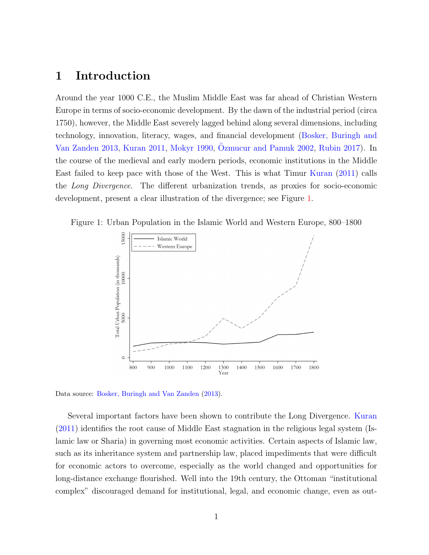### 1 Introduction

Around the year 1000 C.E., the Muslim Middle East was far ahead of Christian Western Europe in terms of socio-economic development. By the dawn of the industrial period (circa 1750), however, the Middle East severely lagged behind along several dimensions, including technology, innovation, literacy, wages, and financial development [\(Bosker, Buringh and](#page-44-0) [Van Zanden](#page-44-0) [2013,](#page-44-0) [Kuran](#page-48-0) [2011,](#page-48-0) [Mokyr](#page-49-0) [1990,](#page-49-0) [Ozmucur and Pamuk](#page-49-1) [2002,](#page-49-1) [Rubin](#page-50-0) [2017\)](#page-50-0). In the course of the medieval and early modern periods, economic institutions in the Middle East failed to keep pace with those of the West. This is what Timur [Kuran](#page-48-0) [\(2011\)](#page-48-0) calls the Long Divergence. The different urbanization trends, as proxies for socio-economic development, present a clear illustration of the divergence; see Figure [1.](#page-1-0)



<span id="page-1-0"></span>

Data source: [Bosker, Buringh and Van Zanden](#page-44-0) [\(2013\)](#page-44-0).

Several important factors have been shown to contribute the Long Divergence. [Kuran](#page-48-0) [\(2011\)](#page-48-0) identifies the root cause of Middle East stagnation in the religious legal system (Islamic law or Sharia) in governing most economic activities. Certain aspects of Islamic law, such as its inheritance system and partnership law, placed impediments that were difficult for economic actors to overcome, especially as the world changed and opportunities for long-distance exchange flourished. Well into the 19th century, the Ottoman "institutional complex" discouraged demand for institutional, legal, and economic change, even as out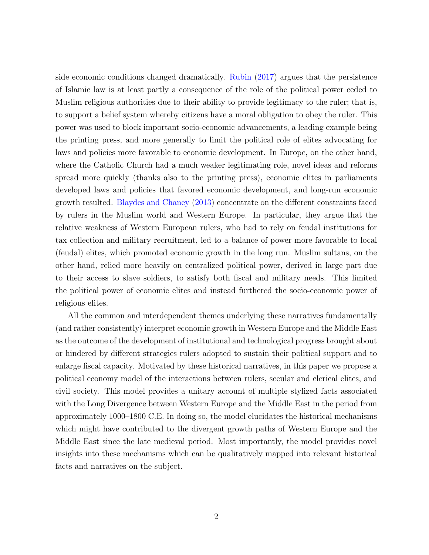side economic conditions changed dramatically. [Rubin](#page-50-0) [\(2017\)](#page-50-0) argues that the persistence of Islamic law is at least partly a consequence of the role of the political power ceded to Muslim religious authorities due to their ability to provide legitimacy to the ruler; that is, to support a belief system whereby citizens have a moral obligation to obey the ruler. This power was used to block important socio-economic advancements, a leading example being the printing press, and more generally to limit the political role of elites advocating for laws and policies more favorable to economic development. In Europe, on the other hand, where the Catholic Church had a much weaker legitimating role, novel ideas and reforms spread more quickly (thanks also to the printing press), economic elites in parliaments developed laws and policies that favored economic development, and long-run economic growth resulted. [Blaydes and Chaney](#page-44-1) [\(2013\)](#page-44-1) concentrate on the different constraints faced by rulers in the Muslim world and Western Europe. In particular, they argue that the relative weakness of Western European rulers, who had to rely on feudal institutions for tax collection and military recruitment, led to a balance of power more favorable to local (feudal) elites, which promoted economic growth in the long run. Muslim sultans, on the other hand, relied more heavily on centralized political power, derived in large part due to their access to slave soldiers, to satisfy both fiscal and military needs. This limited the political power of economic elites and instead furthered the socio-economic power of religious elites.

All the common and interdependent themes underlying these narratives fundamentally (and rather consistently) interpret economic growth in Western Europe and the Middle East as the outcome of the development of institutional and technological progress brought about or hindered by different strategies rulers adopted to sustain their political support and to enlarge fiscal capacity. Motivated by these historical narratives, in this paper we propose a political economy model of the interactions between rulers, secular and clerical elites, and civil society. This model provides a unitary account of multiple stylized facts associated with the Long Divergence between Western Europe and the Middle East in the period from approximately 1000–1800 C.E. In doing so, the model elucidates the historical mechanisms which might have contributed to the divergent growth paths of Western Europe and the Middle East since the late medieval period. Most importantly, the model provides novel insights into these mechanisms which can be qualitatively mapped into relevant historical facts and narratives on the subject.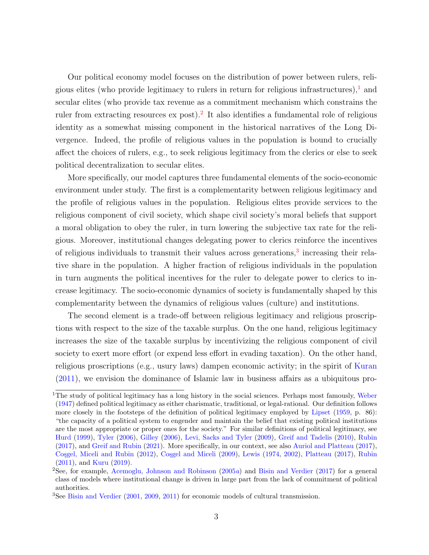Our political economy model focuses on the distribution of power between rulers, religious elites (who provide legitimacy to rulers in return for religious infrastructures), and secular elites (who provide tax revenue as a commitment mechanism which constrains the ruler from extracting resources ex post).<sup>[2](#page-3-1)</sup> It also identifies a fundamental role of religious identity as a somewhat missing component in the historical narratives of the Long Divergence. Indeed, the profile of religious values in the population is bound to crucially affect the choices of rulers, e.g., to seek religious legitimacy from the clerics or else to seek political decentralization to secular elites.

More specifically, our model captures three fundamental elements of the socio-economic environment under study. The first is a complementarity between religious legitimacy and the profile of religious values in the population. Religious elites provide services to the religious component of civil society, which shape civil society's moral beliefs that support a moral obligation to obey the ruler, in turn lowering the subjective tax rate for the religious. Moreover, institutional changes delegating power to clerics reinforce the incentives of religious individuals to transmit their values across generations,<sup>[3](#page-3-2)</sup> increasing their relative share in the population. A higher fraction of religious individuals in the population in turn augments the political incentives for the ruler to delegate power to clerics to increase legitimacy. The socio-economic dynamics of society is fundamentally shaped by this complementarity between the dynamics of religious values (culture) and institutions.

The second element is a trade-off between religious legitimacy and religious proscriptions with respect to the size of the taxable surplus. On the one hand, religious legitimacy increases the size of the taxable surplus by incentivizing the religious component of civil society to exert more effort (or expend less effort in evading taxation). On the other hand, religious proscriptions (e.g., usury laws) dampen economic activity; in the spirit of [Kuran](#page-48-0) [\(2011\)](#page-48-0), we envision the dominance of Islamic law in business affairs as a ubiquitous pro-

<span id="page-3-0"></span><sup>&</sup>lt;sup>1</sup>The study of political legitimacy has a long history in the social sciences. Perhaps most famously, [Weber](#page-51-0) [\(1947\)](#page-51-0) defined political legitimacy as either charismatic, traditional, or legal-rational. Our definition follows more closely in the footsteps of the definition of political legitimacy employed by [Lipset](#page-48-1) [\(1959,](#page-48-1) p. 86): "the capacity of a political system to engender and maintain the belief that existing political institutions are the most appropriate or proper ones for the society." For similar definitions of political legitimacy, see [Hurd](#page-47-0) [\(1999\)](#page-47-0), [Tyler](#page-51-1) [\(2006\)](#page-51-1), [Gilley](#page-46-0) [\(2006\)](#page-46-0), [Levi, Sacks and Tyler](#page-48-2) [\(2009\)](#page-48-2), [Greif and Tadelis](#page-46-1) [\(2010\)](#page-46-1), [Rubin](#page-50-0) [\(2017\)](#page-50-0), and [Greif and Rubin](#page-46-2) [\(2021\)](#page-46-2). More specifically, in our context, see also [Auriol and Platteau](#page-42-0) [\(2017\)](#page-42-0), Cosgel, Miceli and Rubin [\(2012\)](#page-45-0), Cosgel and Miceli [\(2009\)](#page-45-1), [Lewis](#page-48-3) [\(1974,](#page-48-3) [2002\)](#page-48-4), [Platteau](#page-50-1) [\(2017\)](#page-50-1), [Rubin](#page-50-2) [\(2011\)](#page-50-2), and [Kuru](#page-48-5) [\(2019\)](#page-48-5).

<span id="page-3-1"></span><sup>&</sup>lt;sup>2</sup>See, for example, [Acemoglu, Johnson and Robinson](#page-42-1)  $(2005a)$  $(2005a)$  and [Bisin and Verdier](#page-44-2)  $(2017)$  for a general class of models where institutional change is driven in large part from the lack of commitment of political authorities.

<span id="page-3-2"></span><sup>&</sup>lt;sup>3</sup>See [Bisin and Verdier](#page-43-0) [\(2001,](#page-43-0) [2009,](#page-43-1) [2011\)](#page-44-3) for economic models of cultural transmission.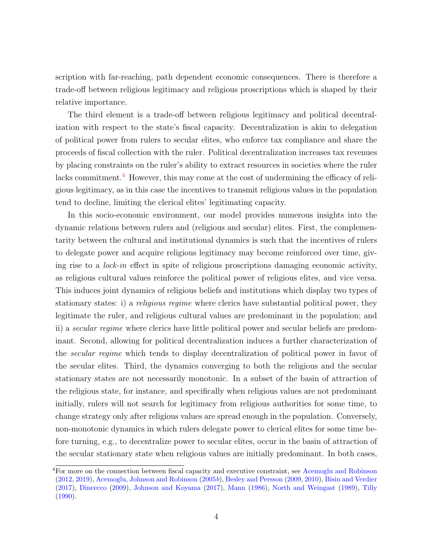scription with far-reaching, path dependent economic consequences. There is therefore a trade-off between religious legitimacy and religious proscriptions which is shaped by their relative importance.

The third element is a trade-off between religious legitimacy and political decentralization with respect to the state's fiscal capacity. Decentralization is akin to delegation of political power from rulers to secular elites, who enforce tax compliance and share the proceeds of fiscal collection with the ruler. Political decentralization increases tax revenues by placing constraints on the ruler's ability to extract resources in societies where the ruler lacks commitment.<sup>[4](#page-4-0)</sup> However, this may come at the cost of undermining the efficacy of religious legitimacy, as in this case the incentives to transmit religious values in the population tend to decline, limiting the clerical elites' legitimating capacity.

In this socio-economic environment, our model provides numerous insights into the dynamic relations between rulers and (religious and secular) elites. First, the complementarity between the cultural and institutional dynamics is such that the incentives of rulers to delegate power and acquire religious legitimacy may become reinforced over time, giving rise to a lock-in effect in spite of religious proscriptions damaging economic activity, as religious cultural values reinforce the political power of religious elites, and vice versa. This induces joint dynamics of religious beliefs and institutions which display two types of stationary states: i) a *religious regime* where clerics have substantial political power, they legitimate the ruler, and religious cultural values are predominant in the population; and ii) a secular regime where clerics have little political power and secular beliefs are predominant. Second, allowing for political decentralization induces a further characterization of the secular regime which tends to display decentralization of political power in favor of the secular elites. Third, the dynamics converging to both the religious and the secular stationary states are not necessarily monotonic. In a subset of the basin of attraction of the religious state, for instance, and specifically when religious values are not predominant initially, rulers will not search for legitimacy from religious authorities for some time, to change strategy only after religious values are spread enough in the population. Conversely, non-monotonic dynamics in which rulers delegate power to clerical elites for some time before turning, e.g., to decentralize power to secular elites, occur in the basin of attraction of the secular stationary state when religious values are initially predominant. In both cases,

<span id="page-4-0"></span><sup>4</sup>For more on the connection between fiscal capacity and executive constraint, see [Acemoglu and Robinson](#page-42-2) [\(2012,](#page-42-2) [2019\)](#page-42-3), [Acemoglu, Johnson and Robinson](#page-42-4) [\(2005](#page-42-4)b), [Besley and Persson](#page-43-2) [\(2009,](#page-43-2) [2010\)](#page-43-3), [Bisin and Verdier](#page-44-2) [\(2017\)](#page-44-2), [Dincecco](#page-45-2) [\(2009\)](#page-45-2), [Johnson and Koyama](#page-47-1) [\(2017\)](#page-47-1), [Mann](#page-48-6) [\(1986\)](#page-48-6), [North and Weingast](#page-49-2) [\(1989\)](#page-49-2), [Tilly](#page-51-2) [\(1990\)](#page-51-2).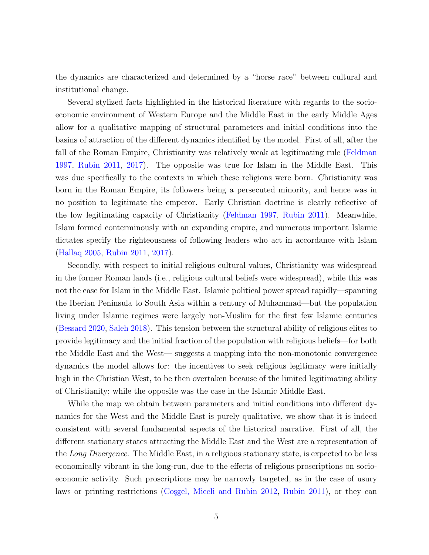the dynamics are characterized and determined by a "horse race" between cultural and institutional change.

Several stylized facts highlighted in the historical literature with regards to the socioeconomic environment of Western Europe and the Middle East in the early Middle Ages allow for a qualitative mapping of structural parameters and initial conditions into the basins of attraction of the different dynamics identified by the model. First of all, after the fall of the Roman Empire, Christianity was relatively weak at legitimating rule [\(Feldman](#page-46-3) [1997,](#page-46-3) [Rubin](#page-50-2) [2011,](#page-50-2) [2017\)](#page-50-0). The opposite was true for Islam in the Middle East. This was due specifically to the contexts in which these religions were born. Christianity was born in the Roman Empire, its followers being a persecuted minority, and hence was in no position to legitimate the emperor. Early Christian doctrine is clearly reflective of the low legitimating capacity of Christianity [\(Feldman](#page-46-3) [1997,](#page-46-3) [Rubin](#page-50-2) [2011\)](#page-50-2). Meanwhile, Islam formed conterminously with an expanding empire, and numerous important Islamic dictates specify the righteousness of following leaders who act in accordance with Islam [\(Hallaq](#page-47-2) [2005,](#page-47-2) [Rubin](#page-50-2) [2011,](#page-50-2) [2017\)](#page-50-0).

Secondly, with respect to initial religious cultural values, Christianity was widespread in the former Roman lands (i.e., religious cultural beliefs were widespread), while this was not the case for Islam in the Middle East. Islamic political power spread rapidly—spanning the Iberian Peninsula to South Asia within a century of Muhammad—but the population living under Islamic regimes were largely non-Muslim for the first few Islamic centuries [\(Bessard](#page-43-4) [2020,](#page-43-4) [Saleh](#page-50-3) [2018\)](#page-50-3). This tension between the structural ability of religious elites to provide legitimacy and the initial fraction of the population with religious beliefs—for both the Middle East and the West— suggests a mapping into the non-monotonic convergence dynamics the model allows for: the incentives to seek religious legitimacy were initially high in the Christian West, to be then overtaken because of the limited legitimating ability of Christianity; while the opposite was the case in the Islamic Middle East.

While the map we obtain between parameters and initial conditions into different dynamics for the West and the Middle East is purely qualitative, we show that it is indeed consistent with several fundamental aspects of the historical narrative. First of all, the different stationary states attracting the Middle East and the West are a representation of the Long Divergence. The Middle East, in a religious stationary state, is expected to be less economically vibrant in the long-run, due to the effects of religious proscriptions on socioeconomic activity. Such proscriptions may be narrowly targeted, as in the case of usury laws or printing restrictions (Cosgel, Miceli and Rubin [2012,](#page-45-0) [Rubin](#page-50-2) [2011\)](#page-50-2), or they can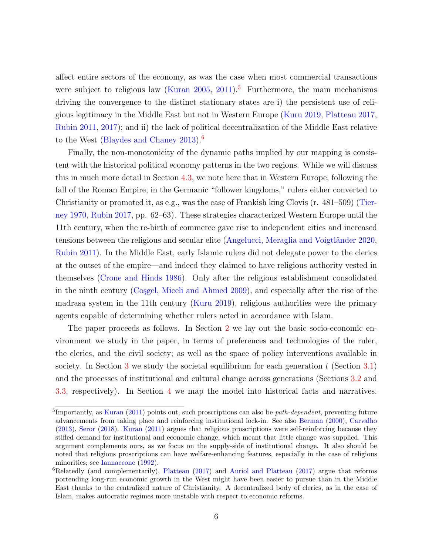affect entire sectors of the economy, as was the case when most commercial transactions were subject to religious law [\(Kuran](#page-48-7) [2005,](#page-48-7) [2011\)](#page-48-0).<sup>[5](#page-6-0)</sup> Furthermore, the main mechanisms driving the convergence to the distinct stationary states are i) the persistent use of religious legitimacy in the Middle East but not in Western Europe [\(Kuru](#page-48-5) [2019,](#page-48-5) [Platteau](#page-50-1) [2017,](#page-50-1) [Rubin](#page-50-2) [2011,](#page-50-2) [2017\)](#page-50-0); and ii) the lack of political decentralization of the Middle East relative to the West [\(Blaydes and Chaney](#page-44-1) [2013\)](#page-44-1).<sup>[6](#page-6-1)</sup>

Finally, the non-monotonicity of the dynamic paths implied by our mapping is consistent with the historical political economy patterns in the two regions. While we will discuss this in much more detail in Section [4.3,](#page-22-0) we note here that in Western Europe, following the fall of the Roman Empire, in the Germanic "follower kingdoms," rulers either converted to Christianity or promoted it, as e.g., was the case of Frankish king Clovis (r. 481–509) [\(Tier](#page-51-3)[ney](#page-51-3) [1970,](#page-51-3) [Rubin](#page-50-0) [2017,](#page-50-0) pp. 62–63). These strategies characterized Western Europe until the 11th century, when the re-birth of commerce gave rise to independent cities and increased tensions between the religious and secular elite (Angelucci, Meraglia and Voigtländer [2020,](#page-42-5) [Rubin](#page-50-2) [2011\)](#page-50-2). In the Middle East, early Islamic rulers did not delegate power to the clerics at the outset of the empire—and indeed they claimed to have religious authority vested in themselves [\(Crone and Hinds](#page-45-3) [1986\)](#page-45-3). Only after the religious establishment consolidated in the ninth century (Cosgel, Miceli and Ahmed [2009\)](#page-45-4), and especially after the rise of the madrasa system in the 11th century [\(Kuru](#page-48-5) [2019\)](#page-48-5), religious authorities were the primary agents capable of determining whether rulers acted in accordance with Islam.

The paper proceeds as follows. In Section [2](#page-7-0) we lay out the basic socio-economic environment we study in the paper, in terms of preferences and technologies of the ruler, the clerics, and the civil society; as well as the space of policy interventions available in society. In Section [3](#page-10-0) we study the societal equilibrium for each generation t (Section [3.1\)](#page-11-0) and the processes of institutional and cultural change across generations (Sections [3.2](#page-12-0) and [3.3,](#page-14-0) respectively). In Section [4](#page-17-0) we map the model into historical facts and narratives.

<span id="page-6-0"></span><sup>&</sup>lt;sup>5</sup>Importantly, as [Kuran](#page-48-0) [\(2011\)](#page-48-0) points out, such proscriptions can also be *path-dependent*, preventing future advancements from taking place and reinforcing institutional lock-in. See also [Berman](#page-43-5) [\(2000\)](#page-43-5), [Carvalho](#page-45-5) [\(2013\)](#page-45-5), [Seror](#page-50-4) [\(2018\)](#page-50-4). [Kuran](#page-48-0) [\(2011\)](#page-48-0) argues that religious proscriptions were self-reinforcing because they stifled demand for institutional and economic change, which meant that little change was supplied. This argument complements ours, as we focus on the supply-side of institutional change. It also should be noted that religious proscriptions can have welfare-enhancing features, especially in the case of religious minorities; see [Iannaccone](#page-47-3) [\(1992\)](#page-47-3).

<span id="page-6-1"></span> ${}^{6}$ Relatedly (and complementarily), [Platteau](#page-50-1) [\(2017\)](#page-42-0) and [Auriol and Platteau](#page-42-0) (2017) argue that reforms portending long-run economic growth in the West might have been easier to pursue than in the Middle East thanks to the centralized nature of Christianity. A decentralized body of clerics, as in the case of Islam, makes autocratic regimes more unstable with respect to economic reforms.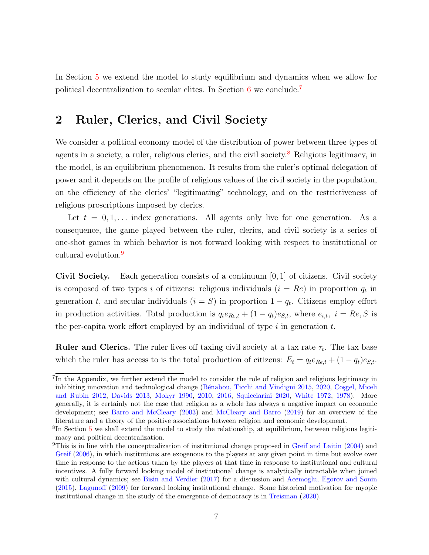In Section [5](#page-28-0) we extend the model to study equilibrium and dynamics when we allow for political decentralization to secular elites. In Section [6](#page-40-0) we conclude.[7](#page-7-1)

## <span id="page-7-0"></span>2 Ruler, Clerics, and Civil Society

We consider a political economy model of the distribution of power between three types of agents in a society, a ruler, religious clerics, and the civil society.<sup>[8](#page-7-2)</sup> Religious legitimacy, in the model, is an equilibrium phenomenon. It results from the ruler's optimal delegation of power and it depends on the profile of religious values of the civil society in the population, on the efficiency of the clerics' "legitimating" technology, and on the restrictiveness of religious proscriptions imposed by clerics.

Let  $t = 0, 1, \ldots$  index generations. All agents only live for one generation. As a consequence, the game played between the ruler, clerics, and civil society is a series of one-shot games in which behavior is not forward looking with respect to institutional or cultural evolution.<sup>[9](#page-7-3)</sup>

Civil Society. Each generation consists of a continuum  $[0, 1]$  of citizens. Civil society is composed of two types i of citizens: religious individuals  $(i = Re)$  in proportion  $q_t$  in generation t, and secular individuals  $(i = S)$  in proportion  $1 - q_t$ . Citizens employ effort in production activities. Total production is  $q_t e_{Re,t} + (1 - q_t) e_{S,t}$ , where  $e_{i,t}$ ,  $i = Re, S$  is the per-capita work effort employed by an individual of type  $i$  in generation  $t$ .

**Ruler and Clerics.** The ruler lives off taxing civil society at a tax rate  $\tau_t$ . The tax base which the ruler has access to is the total production of citizens:  $E_t = q_t e_{Re,t} + (1 - q_t)e_{S,t}$ .

<span id="page-7-1"></span><sup>&</sup>lt;sup>7</sup>In the Appendix, we further extend the model to consider the role of religion and religious legitimacy in inhibiting innovation and technological change (Bénabou, Ticchi and Vindigni [2015,](#page-43-6) [2020,](#page-43-7) Cosgel, Miceli [and Rubin](#page-45-0) [2012,](#page-45-0) [Davids](#page-45-6) [2013,](#page-45-6) [Mokyr](#page-49-0) [1990,](#page-49-0) [2010,](#page-49-3) [2016,](#page-49-4) [Squicciarini](#page-50-5) [2020,](#page-50-5) [White](#page-51-4) [1972,](#page-51-4) [1978\)](#page-51-5). More generally, it is certainly not the case that religion as a whole has always a negative impact on economic development; see [Barro and McCleary](#page-42-6) [\(2003\)](#page-42-6) and [McCleary and Barro](#page-48-8) [\(2019\)](#page-48-8) for an overview of the literature and a theory of the positive associations between religion and economic development.

<span id="page-7-2"></span><sup>&</sup>lt;sup>8</sup>In Section [5](#page-28-0) we shall extend the model to study the relationship, at equilibrium, between religious legitimacy and political decentralization.

<span id="page-7-3"></span><sup>&</sup>lt;sup>9</sup>This is in line with the conceptualization of institutional change proposed in [Greif and Laitin](#page-46-4) [\(2004\)](#page-46-4) and [Greif](#page-46-5)  $(2006)$ , in which institutions are exogenous to the players at any given point in time but evolve over time in response to the actions taken by the players at that time in response to institutional and cultural incentives. A fully forward looking model of institutional change is analytically intractable when joined with cultural dynamics; see [Bisin and Verdier](#page-44-2) [\(2017\)](#page-44-2) for a discussion and [Acemoglu, Egorov and Sonin](#page-42-7) [\(2015\)](#page-42-7), [Lagunoff](#page-48-9) [\(2009\)](#page-48-9) for forward looking institutional change. Some historical motivation for myopic institutional change in the study of the emergence of democracy is in [Treisman](#page-51-6) [\(2020\)](#page-51-6).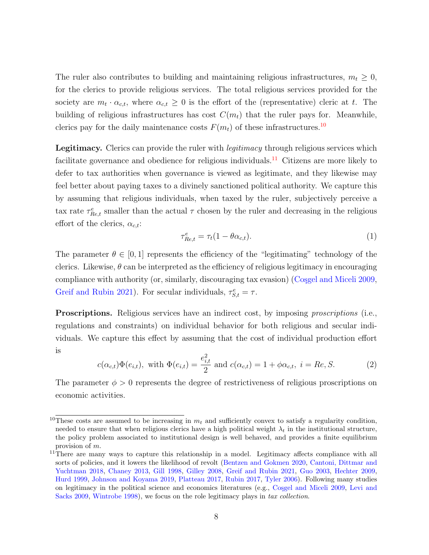The ruler also contributes to building and maintaining religious infrastructures,  $m_t \geq 0$ , for the clerics to provide religious services. The total religious services provided for the society are  $m_t \cdot \alpha_{c,t}$ , where  $\alpha_{c,t} \geq 0$  is the effort of the (representative) cleric at t. The building of religious infrastructures has cost  $C(m_t)$  that the ruler pays for. Meanwhile, clerics pay for the daily maintenance costs  $F(m_t)$  of these infrastructures.<sup>[10](#page-8-0)</sup>

Legitimacy. Clerics can provide the ruler with *legitimacy* through religious services which facilitate governance and obedience for religious individuals.<sup>[11](#page-8-1)</sup> Citizens are more likely to defer to tax authorities when governance is viewed as legitimate, and they likewise may feel better about paying taxes to a divinely sanctioned political authority. We capture this by assuming that religious individuals, when taxed by the ruler, subjectively perceive a tax rate  $\tau_{Re,t}^e$  smaller than the actual  $\tau$  chosen by the ruler and decreasing in the religious effort of the clerics,  $\alpha_{c,t}$ :

$$
\tau_{Re,t}^e = \tau_t (1 - \theta \alpha_{c,t}). \tag{1}
$$

The parameter  $\theta \in [0,1]$  represents the efficiency of the "legitimating" technology of the clerics. Likewise,  $\theta$  can be interpreted as the efficiency of religious legitimacy in encouraging compliance with authority (or, similarly, discouraging tax evasion) (Cosgel and Miceli [2009,](#page-45-1) [Greif and Rubin](#page-46-2) [2021\)](#page-46-2). For secular individuals,  $\tau_{S,t}^e = \tau$ .

**Proscriptions.** Religious services have an indirect cost, by imposing *proscriptions* (i.e., regulations and constraints) on individual behavior for both religious and secular individuals. We capture this effect by assuming that the cost of individual production effort is

$$
c(\alpha_{c,t})\Phi(e_{i,t}),
$$
 with  $\Phi(e_{i,t}) = \frac{e_{i,t}^2}{2}$  and  $c(\alpha_{c,t}) = 1 + \phi \alpha_{c,t}, i = Re, S.$  (2)

The parameter  $\phi > 0$  represents the degree of restrictiveness of religious proscriptions on economic activities.

<span id="page-8-0"></span><sup>&</sup>lt;sup>10</sup>These costs are assumed to be increasing in  $m_t$  and sufficiently convex to satisfy a regularity condition, needed to ensure that when religious clerics have a high political weight  $\lambda_t$  in the institutional structure, the policy problem associated to institutional design is well behaved, and provides a finite equilibrium provision of m.

<span id="page-8-1"></span><sup>&</sup>lt;sup>11</sup>There are many ways to capture this relationship in a model. Legitimacy affects compliance with all sorts of policies, and it lowers the likelihood of revolt [\(Bentzen and Gokmen](#page-43-8) [2020,](#page-43-8) [Cantoni, Dittmar and](#page-44-4) [Yuchtman](#page-44-4) [2018,](#page-44-4) [Chaney](#page-45-7) [2013,](#page-45-7) [Gill](#page-46-6) [1998,](#page-46-6) [Gilley](#page-46-7) [2008,](#page-46-7) [Greif and Rubin](#page-46-2) [2021,](#page-46-2) [Guo](#page-46-8) [2003,](#page-46-8) [Hechter](#page-47-4) [2009,](#page-47-4) [Hurd](#page-47-0) [1999,](#page-47-0) [Johnson and Koyama](#page-47-5) [2019,](#page-47-5) [Platteau](#page-50-1) [2017,](#page-50-1) [Rubin](#page-50-0) [2017,](#page-50-0) [Tyler](#page-51-1) [2006\)](#page-51-1). Following many studies on legitimacy in the political science and economics literatures (e.g., Co<sub>sgel</sub> and Miceli [2009,](#page-45-1) [Levi and](#page-48-10) [Sacks](#page-48-10) [2009,](#page-48-10) [Wintrobe](#page-51-7) [1998\)](#page-51-7), we focus on the role legitimacy plays in tax collection.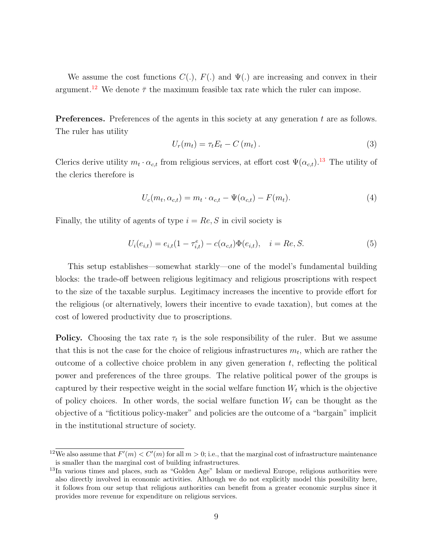We assume the cost functions  $C(.)$ ,  $F(.)$  and  $\Psi(.)$  are increasing and convex in their argument.<sup>[12](#page-9-0)</sup> We denote  $\bar{\tau}$  the maximum feasible tax rate which the ruler can impose.

Preferences. Preferences of the agents in this society at any generation t are as follows. The ruler has utility

<span id="page-9-2"></span>
$$
U_r(m_t) = \tau_t E_t - C(m_t). \tag{3}
$$

Clerics derive utility  $m_t \cdot \alpha_{c,t}$  from religious services, at effort cost  $\Psi(\alpha_{c,t})$ .<sup>[13](#page-9-1)</sup> The utility of the clerics therefore is

<span id="page-9-3"></span>
$$
U_c(m_t, \alpha_{c,t}) = m_t \cdot \alpha_{c,t} - \Psi(\alpha_{c,t}) - F(m_t). \tag{4}
$$

Finally, the utility of agents of type  $i = Re, S$  in civil society is

<span id="page-9-4"></span>
$$
U_i(e_{i,t}) = e_{i,t}(1 - \tau_{i,t}^e) - c(\alpha_{c,t})\Phi(e_{i,t}), \quad i = Re, S.
$$
 (5)

This setup establishes—somewhat starkly—one of the model's fundamental building blocks: the trade-off between religious legitimacy and religious proscriptions with respect to the size of the taxable surplus. Legitimacy increases the incentive to provide effort for the religious (or alternatively, lowers their incentive to evade taxation), but comes at the cost of lowered productivity due to proscriptions.

**Policy.** Choosing the tax rate  $\tau_t$  is the sole responsibility of the ruler. But we assume that this is not the case for the choice of religious infrastructures  $m_t$ , which are rather the outcome of a collective choice problem in any given generation  $t$ , reflecting the political power and preferences of the three groups. The relative political power of the groups is captured by their respective weight in the social welfare function  $W_t$  which is the objective of policy choices. In other words, the social welfare function  $W_t$  can be thought as the objective of a "fictitious policy-maker" and policies are the outcome of a "bargain" implicit in the institutional structure of society.

<span id="page-9-0"></span><sup>&</sup>lt;sup>12</sup>We also assume that  $F'(m) < C'(m)$  for all  $m > 0$ ; i.e., that the marginal cost of infrastructure maintenance is smaller than the marginal cost of building infrastructures.

<span id="page-9-1"></span><sup>&</sup>lt;sup>13</sup>In various times and places, such as "Golden Age" Islam or medieval Europe, religious authorities were also directly involved in economic activities. Although we do not explicitly model this possibility here, it follows from our setup that religious authorities can benefit from a greater economic surplus since it provides more revenue for expenditure on religious services.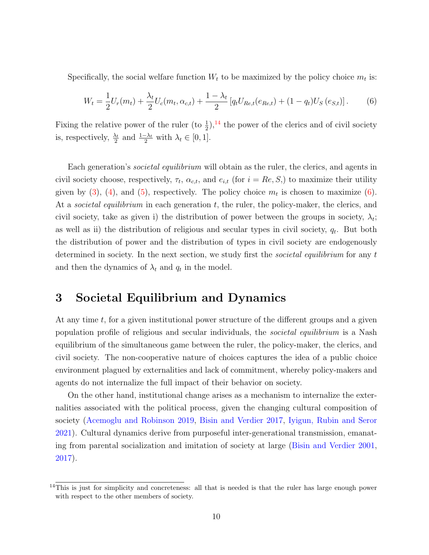Specifically, the social welfare function  $W_t$  to be maximized by the policy choice  $m_t$  is:

<span id="page-10-2"></span>
$$
W_t = \frac{1}{2}U_r(m_t) + \frac{\lambda_t}{2}U_c(m_t, \alpha_{c,t}) + \frac{1 - \lambda_t}{2} \left[ q_t U_{Re,t}(e_{Re,t}) + (1 - q_t) U_S(e_{S,t}) \right].
$$
 (6)

Fixing the relative power of the ruler (to  $\frac{1}{2}$ ),<sup>[14](#page-10-1)</sup> the power of the clerics and of civil society is, respectively,  $\frac{\lambda_t}{2}$  and  $\frac{1-\lambda_t}{2}$  with  $\lambda_t \in [0,1]$ .

Each generation's *societal equilibrium* will obtain as the ruler, the clerics, and agents in civil society choose, respectively,  $\tau_t$ ,  $\alpha_{c,t}$ , and  $e_{i,t}$  (for  $i = Re, S$ ) to maximize their utility given by [\(3\)](#page-9-2), [\(4\)](#page-9-3), and [\(5\)](#page-9-4), respectively. The policy choice  $m_t$  is chosen to maximize [\(6\)](#page-10-2). At a *societal equilibrium* in each generation  $t$ , the ruler, the policy-maker, the clerics, and civil society, take as given i) the distribution of power between the groups in society,  $\lambda_i$ ; as well as ii) the distribution of religious and secular types in civil society,  $q_t$ . But both the distribution of power and the distribution of types in civil society are endogenously determined in society. In the next section, we study first the *societal equilibrium* for any  $t$ and then the dynamics of  $\lambda_t$  and  $q_t$  in the model.

### <span id="page-10-0"></span>3 Societal Equilibrium and Dynamics

At any time  $t$ , for a given institutional power structure of the different groups and a given population profile of religious and secular individuals, the *societal equilibrium* is a Nash equilibrium of the simultaneous game between the ruler, the policy-maker, the clerics, and civil society. The non-cooperative nature of choices captures the idea of a public choice environment plagued by externalities and lack of commitment, whereby policy-makers and agents do not internalize the full impact of their behavior on society.

On the other hand, institutional change arises as a mechanism to internalize the externalities associated with the political process, given the changing cultural composition of society [\(Acemoglu and Robinson](#page-42-3) [2019,](#page-42-3) [Bisin and Verdier](#page-44-2) [2017,](#page-44-2) [Iyigun, Rubin and Seror](#page-47-6) [2021\)](#page-47-6). Cultural dynamics derive from purposeful inter-generational transmission, emanating from parental socialization and imitation of society at large [\(Bisin and Verdier](#page-43-0) [2001,](#page-43-0) [2017\)](#page-44-2).

<span id="page-10-1"></span><sup>&</sup>lt;sup>14</sup>This is just for simplicity and concreteness: all that is needed is that the ruler has large enough power with respect to the other members of society.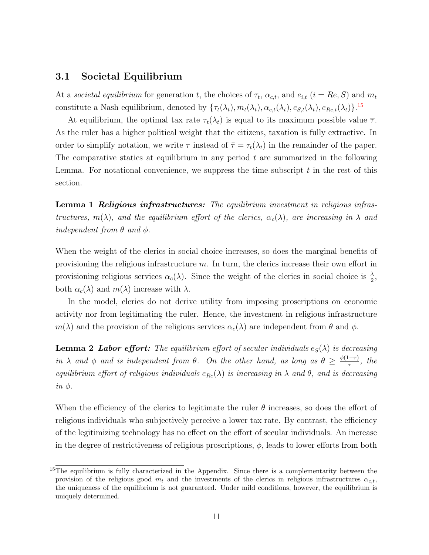#### <span id="page-11-0"></span>3.1 Societal Equilibrium

At a societal equilibrium for generation t, the choices of  $\tau_t$ ,  $\alpha_{c,t}$ , and  $e_{i,t}$  ( $i = Re, S$ ) and  $m_t$ constitute a Nash equilibrium, denoted by  $\{\tau_t(\lambda_t), m_t(\lambda_t), \alpha_{c,t}(\lambda_t), e_{S,t}(\lambda_t), e_{Re,t}(\lambda_t)\}$ .<sup>[15](#page-11-1)</sup>

At equilibrium, the optimal tax rate  $\tau_t(\lambda_t)$  is equal to its maximum possible value  $\overline{\tau}$ . As the ruler has a higher political weight that the citizens, taxation is fully extractive. In order to simplify notation, we write  $\tau$  instead of  $\bar{\tau} = \tau_t(\lambda_t)$  in the remainder of the paper. The comparative statics at equilibrium in any period  $t$  are summarized in the following Lemma. For notational convenience, we suppress the time subscript  $t$  in the rest of this section.

<span id="page-11-2"></span>Lemma 1 Religious infrastructures: The equilibrium investment in religious infrastructures,  $m(\lambda)$ , and the equilibrium effort of the clerics,  $\alpha_c(\lambda)$ , are increasing in  $\lambda$  and independent from  $\theta$  and  $\phi$ .

When the weight of the clerics in social choice increases, so does the marginal benefits of provisioning the religious infrastructure  $m$ . In turn, the clerics increase their own effort in provisioning religious services  $\alpha_c(\lambda)$ . Since the weight of the clerics in social choice is  $\frac{\lambda}{2}$ , both  $\alpha_c(\lambda)$  and  $m(\lambda)$  increase with  $\lambda$ .

In the model, clerics do not derive utility from imposing proscriptions on economic activity nor from legitimating the ruler. Hence, the investment in religious infrastructure  $m(\lambda)$  and the provision of the religious services  $\alpha_c(\lambda)$  are independent from  $\theta$  and  $\phi$ .

**Lemma 2 Labor effort:** The equilibrium effort of secular individuals  $e_S(\lambda)$  is decreasing in  $\lambda$  and  $\phi$  and is independent from  $\theta$ . On the other hand, as long as  $\theta \geq \frac{\phi(1-\tau)}{\tau}$  $\frac{(-\tau)}{\tau}$ , the equilibrium effort of religious individuals  $e_{Re}(\lambda)$  is increasing in  $\lambda$  and  $\theta$ , and is decreasing  $in \phi$ .

When the efficiency of the clerics to legitimate the ruler  $\theta$  increases, so does the effort of religious individuals who subjectively perceive a lower tax rate. By contrast, the efficiency of the legitimizing technology has no effect on the effort of secular individuals. An increase in the degree of restrictiveness of religious proscriptions,  $\phi$ , leads to lower efforts from both

<span id="page-11-1"></span><sup>&</sup>lt;sup>15</sup>The equilibrium is fully characterized in the Appendix. Since there is a complementarity between the provision of the religious good  $m_t$  and the investments of the clerics in religious infrastructures  $\alpha_{c,t}$ , the uniqueness of the equilibrium is not guaranteed. Under mild conditions, however, the equilibrium is uniquely determined.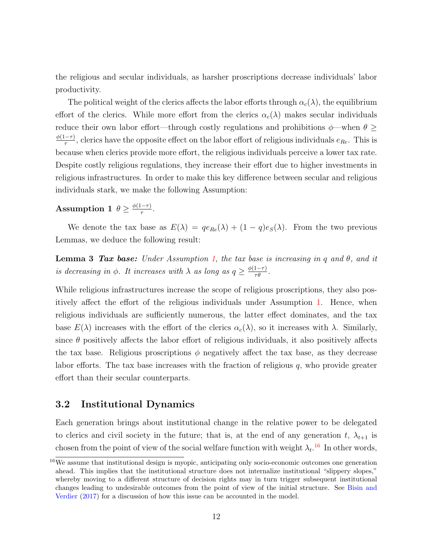the religious and secular individuals, as harsher proscriptions decrease individuals' labor productivity.

The political weight of the clerics affects the labor efforts through  $\alpha_c(\lambda)$ , the equilibrium effort of the clerics. While more effort from the clerics  $\alpha_c(\lambda)$  makes secular individuals reduce their own labor effort—through costly regulations and prohibitions  $\phi$ —when  $\theta \ge$  $\phi(1-\tau)$  $\frac{(-\tau)}{\tau}$ , clerics have the opposite effect on the labor effort of religious individuals  $e_{Re}$ . This is because when clerics provide more effort, the religious individuals perceive a lower tax rate. Despite costly religious regulations, they increase their effort due to higher investments in religious infrastructures. In order to make this key difference between secular and religious individuals stark, we make the following Assumption:

#### <span id="page-12-1"></span>Assumption 1  $\theta \geq \frac{\phi(1-\tau)}{\tau}$  $rac{-\tau)}{\tau}$ .

We denote the tax base as  $E(\lambda) = q e_{Re}(\lambda) + (1 - q) e_{S}(\lambda)$ . From the two previous Lemmas, we deduce the following result:

<span id="page-12-3"></span>**Lemma 3 Tax base:** Under Assumption [1,](#page-12-1) the tax base is increasing in q and  $\theta$ , and it is decreasing in  $\phi$ . It increases with  $\lambda$  as long as  $q \geq \frac{\phi(1-\tau)}{\tau \theta}$ .

While religious infrastructures increase the scope of religious proscriptions, they also positively affect the effort of the religious individuals under Assumption [1.](#page-12-1) Hence, when religious individuals are sufficiently numerous, the latter effect dominates, and the tax base  $E(\lambda)$  increases with the effort of the clerics  $\alpha_c(\lambda)$ , so it increases with  $\lambda$ . Similarly, since  $\theta$  positively affects the labor effort of religious individuals, it also positively affects the tax base. Religious proscriptions  $\phi$  negatively affect the tax base, as they decrease labor efforts. The tax base increases with the fraction of religious  $q$ , who provide greater effort than their secular counterparts.

### <span id="page-12-0"></span>3.2 Institutional Dynamics

Each generation brings about institutional change in the relative power to be delegated to clerics and civil society in the future; that is, at the end of any generation t,  $\lambda_{t+1}$  is chosen from the point of view of the social welfare function with weight  $\lambda_t$ .<sup>[16](#page-12-2)</sup> In other words,

<span id="page-12-2"></span><sup>&</sup>lt;sup>16</sup>We assume that institutional design is myopic, anticipating only socio-economic outcomes one generation ahead. This implies that the institutional structure does not internalize institutional "slippery slopes," whereby moving to a different structure of decision rights may in turn trigger subsequent institutional changes leading to undesirable outcomes from the point of view of the initial structure. See [Bisin and](#page-44-2) [Verdier](#page-44-2) [\(2017\)](#page-44-2) for a discussion of how this issue can be accounted in the model.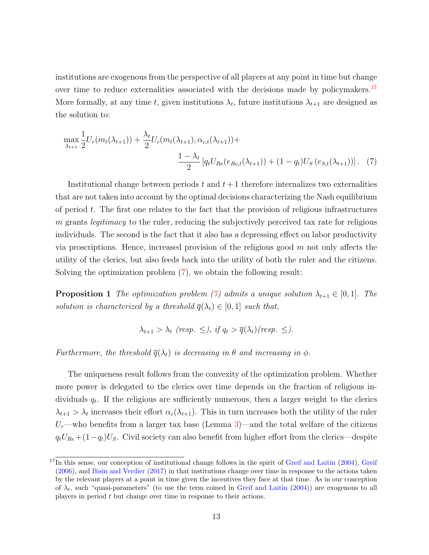institutions are exogenous from the perspective of all players at any point in time but change over time to reduce externalities associated with the decisions made by policymakers.<sup>[17](#page-13-0)</sup> More formally, at any time t, given institutions  $\lambda_t$ , future institutions  $\lambda_{t+1}$  are designed as the solution to:

$$
\max_{\lambda_{t+1}} \frac{1}{2} U_r(m_t(\lambda_{t+1})) + \frac{\lambda_t}{2} U_c(m_t(\lambda_{t+1}), \alpha_{c,t}(\lambda_{t+1})) + \frac{1 - \lambda_t}{2} \left[ q_t U_{Re}(e_{Re,t}(\lambda_{t+1})) + (1 - q_t) U_S(e_{S,t}(\lambda_{t+1})) \right].
$$
 (7)

Institutional change between periods  $t$  and  $t + 1$  therefore internalizes two externalities that are not taken into account by the optimal decisions characterizing the Nash equilibrium of period t. The first one relates to the fact that the provision of religious infrastructures  $m$  grants *legitimacy* to the ruler, reducing the subjectively perceived tax rate for religious individuals. The second is the fact that it also has a depressing effect on labor productivity via proscriptions. Hence, increased provision of the religious good  $m$  not only affects the utility of the clerics, but also feeds back into the utility of both the ruler and the citizens. Solving the optimization problem [\(7\)](#page-13-1), we obtain the following result:

<span id="page-13-2"></span>**Proposition 1** The optimization problem [\(7\)](#page-13-1) admits a unique solution  $\lambda_{t+1} \in [0,1]$ . The solution is characterized by a threshold  $\overline{q}(\lambda_t) \in [0,1]$  such that,

<span id="page-13-1"></span>
$$
\lambda_{t+1} > \lambda_t
$$
 (resp.  $\leq$ ), if  $q_t > \overline{q}(\lambda_t)$  (resp.  $\leq$ ).

Furthermore, the threshold  $\overline{q}(\lambda_t)$  is decreasing in  $\theta$  and increasing in  $\phi$ .

The uniqueness result follows from the convexity of the optimization problem. Whether more power is delegated to the clerics over time depends on the fraction of religious individuals  $q_t$ . If the religious are sufficiently numerous, then a larger weight to the clerics  $\lambda_{t+1} > \lambda_t$  increases their effort  $\alpha_c(\lambda_{t+1})$ . This in turn increases both the utility of the ruler  $U_r$ —who benefits from a larger tax base (Lemma [3\)](#page-12-3)—and the total welfare of the citizens  $q_tU_{Re}+(1-q_t)U_S$ . Civil society can also benefit from higher effort from the clerics—despite

<span id="page-13-0"></span> $17$ In this sense, our conception of institutional change follows in the spirit of [Greif and Laitin](#page-46-4) [\(2004\)](#page-46-4), [Greif](#page-46-5) [\(2006\)](#page-46-5), and [Bisin and Verdier](#page-44-2) [\(2017\)](#page-44-2) in that institutions change over time in response to the actions taken by the relevant players at a point in time given the incentives they face at that time. As in our conception of  $\lambda_t$ , such "quasi-parameters" (to use the term coined in [Greif and Laitin](#page-46-4) [\(2004\)](#page-46-4)) are exogenous to all players in period t but change over time in response to their actions.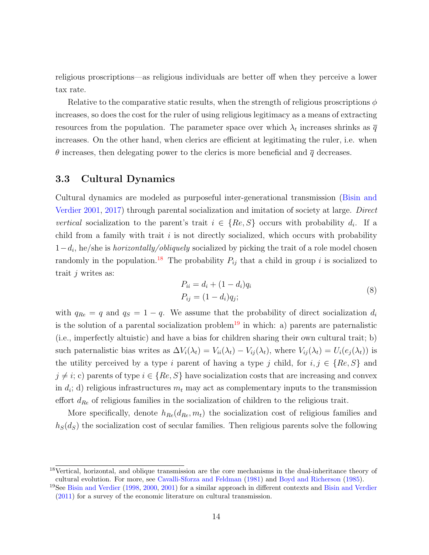religious proscriptions—as religious individuals are better off when they perceive a lower tax rate.

Relative to the comparative static results, when the strength of religious proscriptions  $\phi$ increases, so does the cost for the ruler of using religious legitimacy as a means of extracting resources from the population. The parameter space over which  $\lambda_t$  increases shrinks as  $\overline{q}$ increases. On the other hand, when clerics are efficient at legitimating the ruler, i.e. when  $\theta$  increases, then delegating power to the clerics is more beneficial and  $\overline{q}$  decreases.

### <span id="page-14-0"></span>3.3 Cultural Dynamics

Cultural dynamics are modeled as purposeful inter-generational transmission [\(Bisin and](#page-43-0) [Verdier](#page-43-0) [2001,](#page-43-0) [2017\)](#page-44-2) through parental socialization and imitation of society at large. Direct vertical socialization to the parent's trait  $i \in \{Re, S\}$  occurs with probability  $d_i$ . If a child from a family with trait  $i$  is not directly socialized, which occurs with probability  $1-d_i$ , he/she is *horizontally/obliquely* socialized by picking the trait of a role model chosen randomly in the population.<sup>[18](#page-14-1)</sup> The probability  $P_{ij}$  that a child in group i is socialized to trait  $j$  writes as:

<span id="page-14-3"></span>
$$
P_{ii} = d_i + (1 - d_i)q_i
$$
  
\n
$$
P_{ij} = (1 - d_i)q_j;
$$
\n(8)

with  $q_{Re} = q$  and  $q_S = 1 - q$ . We assume that the probability of direct socialization  $d_i$ is the solution of a parental socialization problem<sup>[19](#page-14-2)</sup> in which: a) parents are paternalistic (i.e., imperfectly altuistic) and have a bias for children sharing their own cultural trait; b) such paternalistic bias writes as  $\Delta V_i(\lambda_t) = V_{ii}(\lambda_t) - V_{ij}(\lambda_t)$ , where  $V_{ij}(\lambda_t) = U_i(e_j(\lambda_t))$  is the utility perceived by a type i parent of having a type j child, for  $i, j \in \{Re, S\}$  and  $j \neq i$ ; c) parents of type  $i \in \{Re, S\}$  have socialization costs that are increasing and convex in  $d_i$ ; d) religious infrastructures  $m_t$  may act as complementary inputs to the transmission effort  $d_{Re}$  of religious families in the socialization of children to the religious trait.

More specifically, denote  $h_{Re}(d_{Re}, m_t)$  the socialization cost of religious families and  $h<sub>S</sub>(d<sub>S</sub>)$  the socialization cost of secular families. Then religious parents solve the following

<span id="page-14-1"></span><sup>18</sup>Vertical, horizontal, and oblique transmission are the core mechanisms in the dual-inheritance theory of cultural evolution. For more, see [Cavalli-Sforza and Feldman](#page-45-8) [\(1981\)](#page-45-8) and [Boyd and Richerson](#page-44-5) [\(1985\)](#page-44-5).

<span id="page-14-2"></span><sup>&</sup>lt;sup>19</sup>See [Bisin and Verdier](#page-44-3) [\(1998,](#page-43-9) [2000,](#page-43-10) [2001\)](#page-43-0) for a similar approach in different contexts and Bisin and Verdier [\(2011\)](#page-44-3) for a survey of the economic literature on cultural transmission.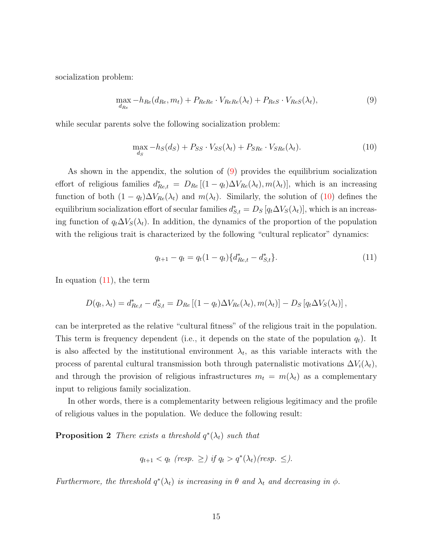socialization problem:

<span id="page-15-0"></span>
$$
\max_{d_{Re}} -h_{Re}(d_{Re}, m_t) + P_{ReRe} \cdot V_{ReRe}(\lambda_t) + P_{ReS} \cdot V_{ReS}(\lambda_t), \qquad (9)
$$

while secular parents solve the following socialization problem:

<span id="page-15-1"></span>
$$
\max_{d_S} -h_S(d_S) + P_{SS} \cdot V_{SS}(\lambda_t) + P_{SRe} \cdot V_{SRe}(\lambda_t). \tag{10}
$$

As shown in the appendix, the solution of [\(9\)](#page-15-0) provides the equilibrium socialization effort of religious families  $d_{Re,t}^* = D_{Re} [(1 - q_t) \Delta V_{Re}(\lambda_t), m(\lambda_t)],$  which is an increasing function of both  $(1 - q_t)\Delta V_{Re}(\lambda_t)$  and  $m(\lambda_t)$ . Similarly, the solution of [\(10\)](#page-15-1) defines the equilibrium socialization effort of secular families  $d_{S,t}^* = D_S [q_t \Delta V_S(\lambda_t)],$  which is an increasing function of  $q_t \Delta V_S(\lambda_t)$ . In addition, the dynamics of the proportion of the population with the religious trait is characterized by the following "cultural replicator" dynamics:

<span id="page-15-2"></span>
$$
q_{t+1} - q_t = q_t (1 - q_t) \{ d_{Re,t}^* - d_{S,t}^* \}.
$$
\n
$$
(11)
$$

In equation  $(11)$ , the term

$$
D(q_t, \lambda_t) = d_{Re,t}^* - d_{S,t}^* = D_{Re} \left[ (1 - q_t) \Delta V_{Re}(\lambda_t), m(\lambda_t) \right] - D_S \left[ q_t \Delta V_S(\lambda_t) \right],
$$

can be interpreted as the relative "cultural fitness" of the religious trait in the population. This term is frequency dependent (i.e., it depends on the state of the population  $q_t$ ). It is also affected by the institutional environment  $\lambda_t$ , as this variable interacts with the process of parental cultural transmission both through paternalistic motivations  $\Delta V_i(\lambda_t)$ , and through the provision of religious infrastructures  $m_t = m(\lambda_t)$  as a complementary input to religious family socialization.

In other words, there is a complementarity between religious legitimacy and the profile of religious values in the population. We deduce the following result:

<span id="page-15-3"></span>**Proposition 2** There exists a threshold  $q^*(\lambda_t)$  such that

$$
q_{t+1} < q_t \ (resp. \ \geq \ ) \ if \ q_t > q^*(\lambda_t) \ (resp. \ \leq ).
$$

Furthermore, the threshold  $q^*(\lambda_t)$  is increasing in  $\theta$  and  $\lambda_t$  and decreasing in  $\phi$ .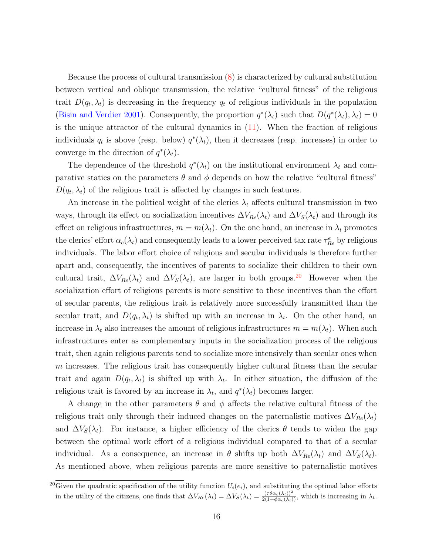Because the process of cultural transmission [\(8\)](#page-14-3) is characterized by cultural substitution between vertical and oblique transmission, the relative "cultural fitness" of the religious trait  $D(q_t, \lambda_t)$  is decreasing in the frequency  $q_t$  of religious individuals in the population [\(Bisin and Verdier](#page-43-0) [2001\)](#page-43-0). Consequently, the proportion  $q^*(\lambda_t)$  such that  $D(q^*(\lambda_t), \lambda_t) = 0$ is the unique attractor of the cultural dynamics in  $(11)$ . When the fraction of religious individuals  $q_t$  is above (resp. below)  $q^*(\lambda_t)$ , then it decreases (resp. increases) in order to converge in the direction of  $q^*(\lambda_t)$ .

The dependence of the threshold  $q^*(\lambda_t)$  on the institutional environment  $\lambda_t$  and comparative statics on the parameters  $\theta$  and  $\phi$  depends on how the relative "cultural fitness"  $D(q_t, \lambda_t)$  of the religious trait is affected by changes in such features.

An increase in the political weight of the clerics  $\lambda_t$  affects cultural transmission in two ways, through its effect on socialization incentives  $\Delta V_{Re}(\lambda_t)$  and  $\Delta V_S(\lambda_t)$  and through its effect on religious infrastructures,  $m = m(\lambda_t)$ . On the one hand, an increase in  $\lambda_t$  promotes the clerics' effort  $\alpha_c(\lambda_t)$  and consequently leads to a lower perceived tax rate  $\tau_{Re}^e$  by religious individuals. The labor effort choice of religious and secular individuals is therefore further apart and, consequently, the incentives of parents to socialize their children to their own cultural trait,  $\Delta V_{Re}(\lambda_t)$  and  $\Delta V_S(\lambda_t)$ , are larger in both groups.<sup>[20](#page-16-0)</sup> However when the socialization effort of religious parents is more sensitive to these incentives than the effort of secular parents, the religious trait is relatively more successfully transmitted than the secular trait, and  $D(q_t, \lambda_t)$  is shifted up with an increase in  $\lambda_t$ . On the other hand, an increase in  $\lambda_t$  also increases the amount of religious infrastructures  $m = m(\lambda_t)$ . When such infrastructures enter as complementary inputs in the socialization process of the religious trait, then again religious parents tend to socialize more intensively than secular ones when  $m$  increases. The religious trait has consequently higher cultural fitness than the secular trait and again  $D(q_t, \lambda_t)$  is shifted up with  $\lambda_t$ . In either situation, the diffusion of the religious trait is favored by an increase in  $\lambda_t$ , and  $q^*(\lambda_t)$  becomes larger.

A change in the other parameters  $\theta$  and  $\phi$  affects the relative cultural fitness of the religious trait only through their induced changes on the paternalistic motives  $\Delta V_{Re}(\lambda_t)$ and  $\Delta V_S(\lambda_t)$ . For instance, a higher efficiency of the clerics  $\theta$  tends to widen the gap between the optimal work effort of a religious individual compared to that of a secular individual. As a consequence, an increase in  $\theta$  shifts up both  $\Delta V_{Re}(\lambda_t)$  and  $\Delta V_S(\lambda_t)$ . As mentioned above, when religious parents are more sensitive to paternalistic motives

<span id="page-16-0"></span><sup>&</sup>lt;sup>20</sup>Given the quadratic specification of the utility function  $U_i(e_i)$ , and substituting the optimal labor efforts in the utility of the citizens, one finds that  $\Delta V_{Re}(\lambda_t) = \Delta V_S(\lambda_t) = \frac{(\tau \theta \alpha_c(\lambda_t))^2}{2(1 + \phi \alpha_c(\lambda_t))}$ , which is increasing in  $\lambda_t$ .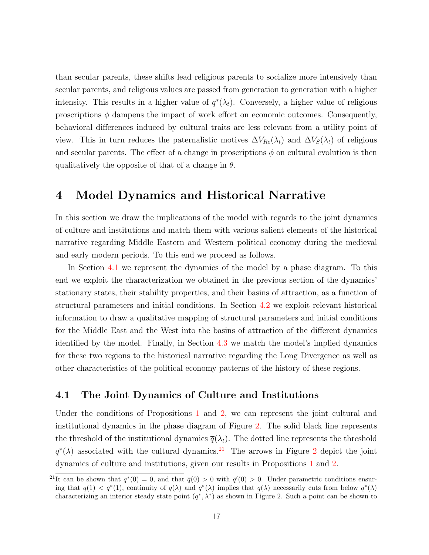than secular parents, these shifts lead religious parents to socialize more intensively than secular parents, and religious values are passed from generation to generation with a higher intensity. This results in a higher value of  $q^*(\lambda_t)$ . Conversely, a higher value of religious proscriptions  $\phi$  dampens the impact of work effort on economic outcomes. Consequently, behavioral differences induced by cultural traits are less relevant from a utility point of view. This in turn reduces the paternalistic motives  $\Delta V_{Re}(\lambda_t)$  and  $\Delta V_S(\lambda_t)$  of religious and secular parents. The effect of a change in proscriptions  $\phi$  on cultural evolution is then qualitatively the opposite of that of a change in  $\theta$ .

### <span id="page-17-0"></span>4 Model Dynamics and Historical Narrative

In this section we draw the implications of the model with regards to the joint dynamics of culture and institutions and match them with various salient elements of the historical narrative regarding Middle Eastern and Western political economy during the medieval and early modern periods. To this end we proceed as follows.

In Section [4.1](#page-17-1) we represent the dynamics of the model by a phase diagram. To this end we exploit the characterization we obtained in the previous section of the dynamics' stationary states, their stability properties, and their basins of attraction, as a function of structural parameters and initial conditions. In Section [4.2](#page-21-0) we exploit relevant historical information to draw a qualitative mapping of structural parameters and initial conditions for the Middle East and the West into the basins of attraction of the different dynamics identified by the model. Finally, in Section [4.3](#page-22-0) we match the model's implied dynamics for these two regions to the historical narrative regarding the Long Divergence as well as other characteristics of the political economy patterns of the history of these regions.

#### <span id="page-17-1"></span>4.1 The Joint Dynamics of Culture and Institutions

Under the conditions of Propositions [1](#page-13-2) and [2,](#page-15-3) we can represent the joint cultural and institutional dynamics in the phase diagram of Figure [2.](#page-18-0) The solid black line represents the threshold of the institutional dynamics  $\bar{q}(\lambda_t)$ . The dotted line represents the threshold  $q^*(\lambda)$  associated with the cultural dynamics.<sup>[21](#page-17-2)</sup> The arrows in Figure [2](#page-18-0) depict the joint dynamics of culture and institutions, given our results in Propositions [1](#page-13-2) and [2.](#page-15-3)

<span id="page-17-2"></span><sup>&</sup>lt;sup>21</sup>It can be shown that  $q^*(0) = 0$ , and that  $\bar{q}(0) > 0$  with  $\bar{q}'(0) > 0$ . Under parametric conditions ensuring that  $\overline{q}(1) < q^*(1)$ , continuity of  $\overline{q}(\lambda)$  and  $q^*(\lambda)$  implies that  $\overline{q}(\lambda)$  necessarily cuts from below  $q^*(\lambda)$ characterizing an interior steady state point  $(q^*, \lambda^*)$  as shown in Figure 2. Such a point can be shown to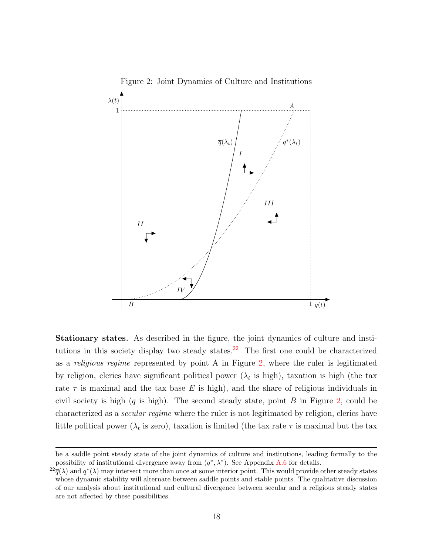

<span id="page-18-0"></span>Figure 2: Joint Dynamics of Culture and Institutions

Stationary states. As described in the figure, the joint dynamics of culture and insti-tutions in this society display two steady states.<sup>[22](#page-18-1)</sup> The first one could be characterized as a *religious regime* represented by point A in Figure  $2$ , where the ruler is legitimated by religion, clerics have significant political power  $(\lambda_t$  is high), taxation is high (the tax rate  $\tau$  is maximal and the tax base E is high), and the share of religious individuals in civil society is high  $(q$  is high). The second steady state, point B in Figure [2,](#page-18-0) could be characterized as a *secular regime* where the ruler is not legitimated by religion, clerics have little political power ( $\lambda_t$  is zero), taxation is limited (the tax rate  $\tau$  is maximal but the tax

be a saddle point steady state of the joint dynamics of culture and institutions, leading formally to the possibility of institutional divergence away from  $(q^*, \lambda^*)$ . See Appendix [A.6](#page-74-0) for details.

<span id="page-18-1"></span> $^{22} \overline{q}(\lambda)$  and  $q^*(\lambda)$  may intersect more than once at some interior point. This would provide other steady states whose dynamic stability will alternate between saddle points and stable points. The qualitative discussion of our analysis about institutional and cultural divergence between secular and a religious steady states are not affected by these possibilities.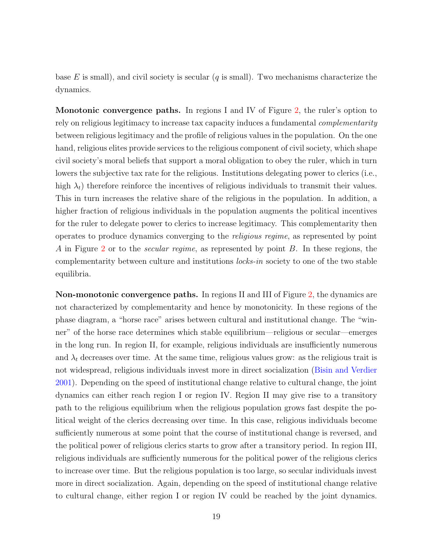base E is small), and civil society is secular  $(q$  is small). Two mechanisms characterize the dynamics.

**Monotonic convergence paths.** In regions I and IV of Figure [2,](#page-18-0) the ruler's option to rely on religious legitimacy to increase tax capacity induces a fundamental *complementarity* between religious legitimacy and the profile of religious values in the population. On the one hand, religious elites provide services to the religious component of civil society, which shape civil society's moral beliefs that support a moral obligation to obey the ruler, which in turn lowers the subjective tax rate for the religious. Institutions delegating power to clerics (i.e., high  $\lambda_t$ ) therefore reinforce the incentives of religious individuals to transmit their values. This in turn increases the relative share of the religious in the population. In addition, a higher fraction of religious individuals in the population augments the political incentives for the ruler to delegate power to clerics to increase legitimacy. This complementarity then operates to produce dynamics converging to the *religious regime*, as represented by point A in Figure [2](#page-18-0) or to the *secular regime*, as represented by point B. In these regions, the complementarity between culture and institutions locks-in society to one of the two stable equilibria.

Non-monotonic convergence paths. In regions II and III of Figure [2,](#page-18-0) the dynamics are not characterized by complementarity and hence by monotonicity. In these regions of the phase diagram, a "horse race" arises between cultural and institutional change. The "winner" of the horse race determines which stable equilibrium—religious or secular—emerges in the long run. In region II, for example, religious individuals are insufficiently numerous and  $\lambda_t$  decreases over time. At the same time, religious values grow: as the religious trait is not widespread, religious individuals invest more in direct socialization [\(Bisin and Verdier](#page-43-0) [2001\)](#page-43-0). Depending on the speed of institutional change relative to cultural change, the joint dynamics can either reach region I or region IV. Region II may give rise to a transitory path to the religious equilibrium when the religious population grows fast despite the political weight of the clerics decreasing over time. In this case, religious individuals become sufficiently numerous at some point that the course of institutional change is reversed, and the political power of religious clerics starts to grow after a transitory period. In region III, religious individuals are sufficiently numerous for the political power of the religious clerics to increase over time. But the religious population is too large, so secular individuals invest more in direct socialization. Again, depending on the speed of institutional change relative to cultural change, either region I or region IV could be reached by the joint dynamics.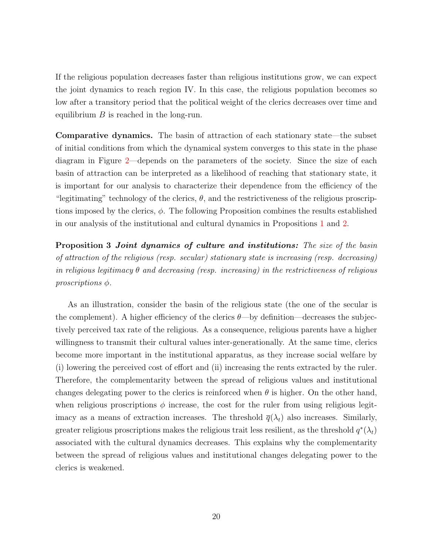If the religious population decreases faster than religious institutions grow, we can expect the joint dynamics to reach region IV. In this case, the religious population becomes so low after a transitory period that the political weight of the clerics decreases over time and equilibrium  $B$  is reached in the long-run.

Comparative dynamics. The basin of attraction of each stationary state—the subset of initial conditions from which the dynamical system converges to this state in the phase diagram in Figure [2—](#page-18-0)depends on the parameters of the society. Since the size of each basin of attraction can be interpreted as a likelihood of reaching that stationary state, it is important for our analysis to characterize their dependence from the efficiency of the "legitimating" technology of the clerics,  $\theta$ , and the restrictiveness of the religious proscriptions imposed by the clerics,  $\phi$ . The following Proposition combines the results established in our analysis of the institutional and cultural dynamics in Propositions [1](#page-13-2) and [2.](#page-15-3)

**Proposition 3 Joint dynamics of culture and institutions:** The size of the basin of attraction of the religious (resp. secular) stationary state is increasing (resp. decreasing) in religious legitimacy  $\theta$  and decreasing (resp. increasing) in the restrictiveness of religious proscriptions φ.

As an illustration, consider the basin of the religious state (the one of the secular is the complement). A higher efficiency of the clerics  $\theta$ —by definition—decreases the subjectively perceived tax rate of the religious. As a consequence, religious parents have a higher willingness to transmit their cultural values inter-generationally. At the same time, clerics become more important in the institutional apparatus, as they increase social welfare by (i) lowering the perceived cost of effort and (ii) increasing the rents extracted by the ruler. Therefore, the complementarity between the spread of religious values and institutional changes delegating power to the clerics is reinforced when  $\theta$  is higher. On the other hand, when religious proscriptions  $\phi$  increase, the cost for the ruler from using religious legitimacy as a means of extraction increases. The threshold  $\bar{q}(\lambda_t)$  also increases. Similarly, greater religious proscriptions makes the religious trait less resilient, as the threshold  $q^*(\lambda_t)$ associated with the cultural dynamics decreases. This explains why the complementarity between the spread of religious values and institutional changes delegating power to the clerics is weakened.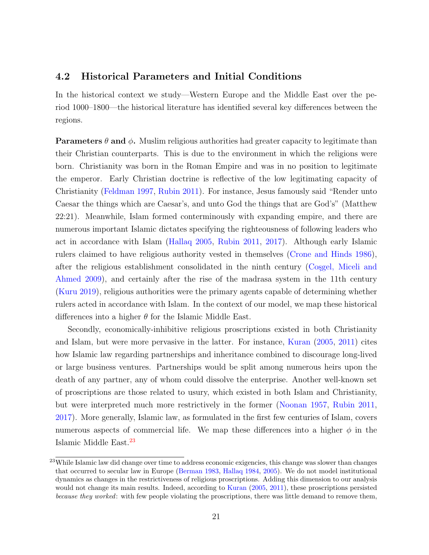### <span id="page-21-0"></span>4.2 Historical Parameters and Initial Conditions

In the historical context we study—Western Europe and the Middle East over the period 1000–1800—the historical literature has identified several key differences between the regions.

**Parameters**  $\theta$  **and**  $\phi$ **.** Muslim religious authorities had greater capacity to legitimate than their Christian counterparts. This is due to the environment in which the religions were born. Christianity was born in the Roman Empire and was in no position to legitimate the emperor. Early Christian doctrine is reflective of the low legitimating capacity of Christianity [\(Feldman](#page-46-3) [1997,](#page-46-3) [Rubin](#page-50-2) [2011\)](#page-50-2). For instance, Jesus famously said "Render unto Caesar the things which are Caesar's, and unto God the things that are God's" (Matthew 22:21). Meanwhile, Islam formed conterminously with expanding empire, and there are numerous important Islamic dictates specifying the righteousness of following leaders who act in accordance with Islam [\(Hallaq](#page-47-2) [2005,](#page-47-2) [Rubin](#page-50-2) [2011,](#page-50-2) [2017\)](#page-50-0). Although early Islamic rulers claimed to have religious authority vested in themselves [\(Crone and Hinds](#page-45-3) [1986\)](#page-45-3), after the religious establishment consolidated in the ninth century (Cosgel, Miceli and [Ahmed](#page-45-4) [2009\)](#page-45-4), and certainly after the rise of the madrasa system in the 11th century [\(Kuru](#page-48-5) [2019\)](#page-48-5), religious authorities were the primary agents capable of determining whether rulers acted in accordance with Islam. In the context of our model, we map these historical differences into a higher  $\theta$  for the Islamic Middle East.

Secondly, economically-inhibitive religious proscriptions existed in both Christianity and Islam, but were more pervasive in the latter. For instance, [Kuran](#page-48-7) [\(2005,](#page-48-7) [2011\)](#page-48-0) cites how Islamic law regarding partnerships and inheritance combined to discourage long-lived or large business ventures. Partnerships would be split among numerous heirs upon the death of any partner, any of whom could dissolve the enterprise. Another well-known set of proscriptions are those related to usury, which existed in both Islam and Christianity, but were interpreted much more restrictively in the former [\(Noonan](#page-49-5) [1957,](#page-49-5) [Rubin](#page-50-2) [2011,](#page-50-2) [2017\)](#page-50-0). More generally, Islamic law, as formulated in the first few centuries of Islam, covers numerous aspects of commercial life. We map these differences into a higher  $\phi$  in the Islamic Middle East.[23](#page-21-1)

<span id="page-21-1"></span><sup>&</sup>lt;sup>23</sup>While Islamic law did change over time to address economic exigencies, this change was slower than changes that occurred to secular law in Europe [\(Berman](#page-43-11) [1983,](#page-43-11) [Hallaq](#page-47-7) [1984,](#page-47-7) [2005\)](#page-47-2). We do not model institutional dynamics as changes in the restrictiveness of religious proscriptions. Adding this dimension to our analysis would not change its main results. Indeed, according to [Kuran](#page-48-7) [\(2005,](#page-48-7) [2011\)](#page-48-0), these proscriptions persisted because they worked: with few people violating the proscriptions, there was little demand to remove them,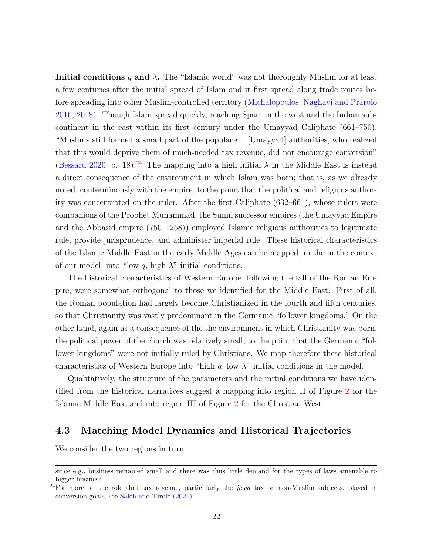**Initial conditions q and**  $\lambda$ **.** The "Islamic world" was not thoroughly Muslim for at least a few centuries after the initial spread of Islam and it first spread along trade routes before spreading into other Muslim-controlled territory [\(Michalopoulos, Naghavi and Prarolo](#page-49-6) [2016,](#page-49-6) [2018\)](#page-49-7). Though Islam spread quickly, reaching Spain in the west and the Indian subcontinent in the east within its first century under the Umayyad Caliphate (661–750), "Muslims still formed a small part of the populace... [Umayyad] authorities, who realized that this would deprive them of much-needed tax revenue, did not encourage conversion" [\(Bessard](#page-43-4) [2020,](#page-43-4) p. 18).<sup>[24](#page-22-1)</sup> The mapping into a high initial  $\lambda$  in the Middle East is instead a direct consequence of the environment in which Islam was born; that is, as we already noted, conterminously with the empire, to the point that the political and religious authority was concentrated on the ruler. After the first Caliphate (632–661), whose rulers were companions of the Prophet Muhammad, the Sunni successor empires (the Umayyad Empire and the Abbasid empire (750–1258)) employed Islamic religious authorities to legitimate rule, provide jurisprudence, and administer imperial rule. These historical characteristics of the Islamic Middle East in the early Middle Ages can be mapped, in the in the context of our model, into "low q, high  $\lambda$ " initial conditions.

The historical characteristics of Western Europe, following the fall of the Roman Empire, were somewhat orthogonal to those we identified for the Middle East. First of all, the Roman population had largely become Christianized in the fourth and fifth centuries, so that Christianity was vastly predominant in the Germanic "follower kingdoms." On the other hand, again as a consequence of the the environment in which Christianity was born, the political power of the church was relatively small, to the point that the Germanic "follower kingdoms" were not initially ruled by Christians. We map therefore these historical characteristics of Western Europe into "high  $q$ , low  $\lambda$ " initial conditions in the model.

Qualitatively, the structure of the parameters and the initial conditions we have identified from the historical narratives suggest a mapping into region II of Figure [2](#page-18-0) for the Islamic Middle East and into region III of Figure [2](#page-18-0) for the Christian West.

### <span id="page-22-0"></span>4.3 Matching Model Dynamics and Historical Trajectories

We consider the two regions in turn.

since e.g., business remained small and there was thus little demand for the types of laws amenable to bigger business.

<span id="page-22-1"></span> $^{24}$ For more on the role that tax revenue, particularly the *jizya* tax on non-Muslim subjects, played in conversion goals, see [Saleh and Tirole](#page-50-6) [\(2021\)](#page-50-6).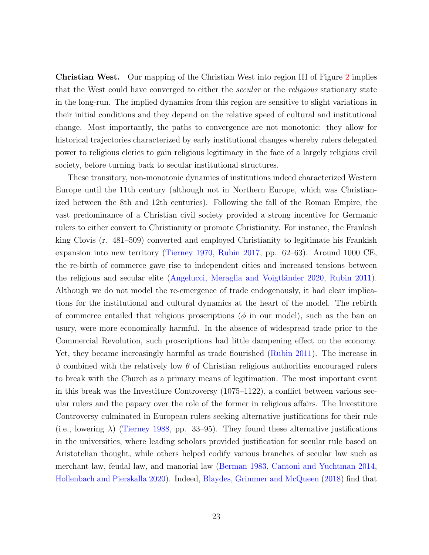Christian West. Our mapping of the Christian West into region III of Figure [2](#page-18-0) implies that the West could have converged to either the *secular* or the *religious* stationary state in the long-run. The implied dynamics from this region are sensitive to slight variations in their initial conditions and they depend on the relative speed of cultural and institutional change. Most importantly, the paths to convergence are not monotonic: they allow for historical trajectories characterized by early institutional changes whereby rulers delegated power to religious clerics to gain religious legitimacy in the face of a largely religious civil society, before turning back to secular institutional structures.

These transitory, non-monotonic dynamics of institutions indeed characterized Western Europe until the 11th century (although not in Northern Europe, which was Christianized between the 8th and 12th centuries). Following the fall of the Roman Empire, the vast predominance of a Christian civil society provided a strong incentive for Germanic rulers to either convert to Christianity or promote Christianity. For instance, the Frankish king Clovis (r. 481–509) converted and employed Christianity to legitimate his Frankish expansion into new territory [\(Tierney](#page-51-3) [1970,](#page-51-3) [Rubin](#page-50-0) [2017,](#page-50-0) pp. 62–63). Around 1000 CE, the re-birth of commerce gave rise to independent cities and increased tensions between the religious and secular elite (Angelucci, Meraglia and Voigtländer [2020,](#page-42-5) [Rubin](#page-50-2) [2011\)](#page-50-2). Although we do not model the re-emergence of trade endogenously, it had clear implications for the institutional and cultural dynamics at the heart of the model. The rebirth of commerce entailed that religious proscriptions ( $\phi$  in our model), such as the ban on usury, were more economically harmful. In the absence of widespread trade prior to the Commercial Revolution, such proscriptions had little dampening effect on the economy. Yet, they became increasingly harmful as trade flourished [\(Rubin](#page-50-2) [2011\)](#page-50-2). The increase in  $\phi$  combined with the relatively low  $\theta$  of Christian religious authorities encouraged rulers to break with the Church as a primary means of legitimation. The most important event in this break was the Investiture Controversy (1075–1122), a conflict between various secular rulers and the papacy over the role of the former in religious affairs. The Investiture Controversy culminated in European rulers seeking alternative justifications for their rule (i.e., lowering  $\lambda$ ) [\(Tierney](#page-51-8) [1988,](#page-51-8) pp. 33–95). They found these alternative justifications in the universities, where leading scholars provided justification for secular rule based on Aristotelian thought, while others helped codify various branches of secular law such as merchant law, feudal law, and manorial law [\(Berman](#page-43-11) [1983,](#page-43-11) [Cantoni and Yuchtman](#page-44-6) [2014,](#page-44-6) [Hollenbach and Pierskalla](#page-47-8) [2020\)](#page-47-8). Indeed, [Blaydes, Grimmer and McQueen](#page-44-7) [\(2018\)](#page-44-7) find that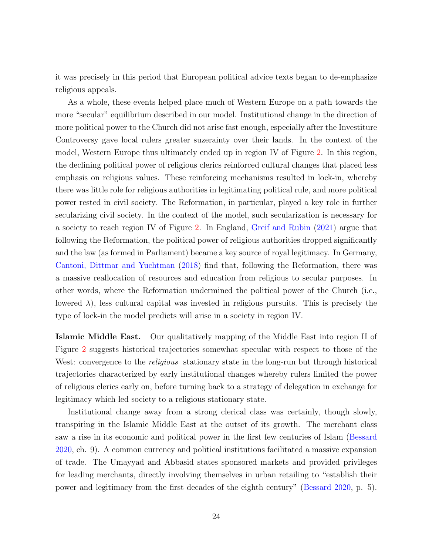it was precisely in this period that European political advice texts began to de-emphasize religious appeals.

As a whole, these events helped place much of Western Europe on a path towards the more "secular" equilibrium described in our model. Institutional change in the direction of more political power to the Church did not arise fast enough, especially after the Investiture Controversy gave local rulers greater suzerainty over their lands. In the context of the model, Western Europe thus ultimately ended up in region IV of Figure [2.](#page-18-0) In this region, the declining political power of religious clerics reinforced cultural changes that placed less emphasis on religious values. These reinforcing mechanisms resulted in lock-in, whereby there was little role for religious authorities in legitimating political rule, and more political power rested in civil society. The Reformation, in particular, played a key role in further secularizing civil society. In the context of the model, such secularization is necessary for a society to reach region IV of Figure [2.](#page-18-0) In England, [Greif and Rubin](#page-46-2) [\(2021\)](#page-46-2) argue that following the Reformation, the political power of religious authorities dropped significantly and the law (as formed in Parliament) became a key source of royal legitimacy. In Germany, [Cantoni, Dittmar and Yuchtman](#page-44-4) [\(2018\)](#page-44-4) find that, following the Reformation, there was a massive reallocation of resources and education from religious to secular purposes. In other words, where the Reformation undermined the political power of the Church (i.e., lowered  $\lambda$ ), less cultural capital was invested in religious pursuits. This is precisely the type of lock-in the model predicts will arise in a society in region IV.

Islamic Middle East. Our qualitatively mapping of the Middle East into region II of Figure [2](#page-18-0) suggests historical trajectories somewhat specular with respect to those of the West: convergence to the *religious* stationary state in the long-run but through historical trajectories characterized by early institutional changes whereby rulers limited the power of religious clerics early on, before turning back to a strategy of delegation in exchange for legitimacy which led society to a religious stationary state.

Institutional change away from a strong clerical class was certainly, though slowly, transpiring in the Islamic Middle East at the outset of its growth. The merchant class saw a rise in its economic and political power in the first few centuries of Islam [\(Bessard](#page-43-4) [2020,](#page-43-4) ch. 9). A common currency and political institutions facilitated a massive expansion of trade. The Umayyad and Abbasid states sponsored markets and provided privileges for leading merchants, directly involving themselves in urban retailing to "establish their power and legitimacy from the first decades of the eighth century" [\(Bessard](#page-43-4) [2020,](#page-43-4) p. 5).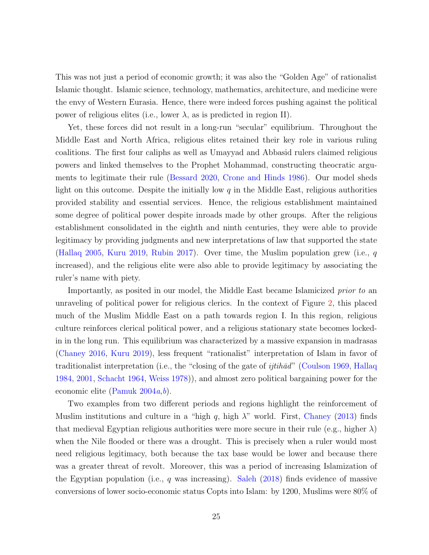This was not just a period of economic growth; it was also the "Golden Age" of rationalist Islamic thought. Islamic science, technology, mathematics, architecture, and medicine were the envy of Western Eurasia. Hence, there were indeed forces pushing against the political power of religious elites (i.e., lower  $\lambda$ , as is predicted in region II).

Yet, these forces did not result in a long-run "secular" equilibrium. Throughout the Middle East and North Africa, religious elites retained their key role in various ruling coalitions. The first four caliphs as well as Umayyad and Abbasid rulers claimed religious powers and linked themselves to the Prophet Mohammad, constructing theocratic arguments to legitimate their rule [\(Bessard](#page-43-4) [2020,](#page-43-4) [Crone and Hinds](#page-45-3) [1986\)](#page-45-3). Our model sheds light on this outcome. Despite the initially low  $q$  in the Middle East, religious authorities provided stability and essential services. Hence, the religious establishment maintained some degree of political power despite inroads made by other groups. After the religious establishment consolidated in the eighth and ninth centuries, they were able to provide legitimacy by providing judgments and new interpretations of law that supported the state [\(Hallaq](#page-47-2) [2005,](#page-47-2) [Kuru](#page-48-5) [2019,](#page-48-5) [Rubin](#page-50-0) [2017\)](#page-50-0). Over time, the Muslim population grew (i.e.,  $q$ increased), and the religious elite were also able to provide legitimacy by associating the ruler's name with piety.

Importantly, as posited in our model, the Middle East became Islamicized *prior to* an unraveling of political power for religious clerics. In the context of Figure [2,](#page-18-0) this placed much of the Muslim Middle East on a path towards region I. In this region, religious culture reinforces clerical political power, and a religious stationary state becomes lockedin in the long run. This equilibrium was characterized by a massive expansion in madrasas [\(Chaney](#page-45-9) [2016,](#page-45-9) [Kuru](#page-48-5) [2019\)](#page-48-5), less frequent "rationalist" interpretation of Islam in favor of traditionalist interpretation (i.e., the "closing of the gate of *ijtih* $\bar{a}d$ " [\(Coulson](#page-45-10) [1969,](#page-45-10) [Hallaq](#page-47-7) [1984,](#page-47-7) [2001,](#page-47-9) [Schacht](#page-50-7) [1964,](#page-50-7) [Weiss](#page-51-9) [1978\)](#page-51-9)), and almost zero political bargaining power for the economic elite [\(Pamuk](#page-49-8)  $2004a,b$  $2004a,b$  $2004a,b$ ).

Two examples from two different periods and regions highlight the reinforcement of Muslim institutions and culture in a "high q, high  $\lambda$ " world. First, [Chaney](#page-45-7) [\(2013\)](#page-45-7) finds that medieval Egyptian religious authorities were more secure in their rule (e.g., higher  $\lambda$ ) when the Nile flooded or there was a drought. This is precisely when a ruler would most need religious legitimacy, both because the tax base would be lower and because there was a greater threat of revolt. Moreover, this was a period of increasing Islamization of the Egyptian population (i.e., q was increasing). [Saleh](#page-50-3)  $(2018)$  finds evidence of massive conversions of lower socio-economic status Copts into Islam: by 1200, Muslims were 80% of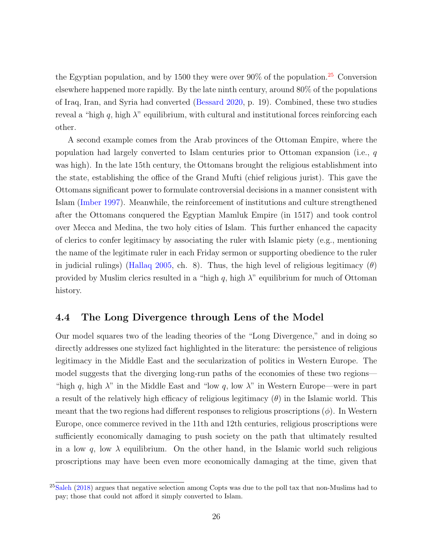the Egyptian population, and by 1500 they were over  $90\%$  of the population.<sup>[25](#page-26-0)</sup> Conversion elsewhere happened more rapidly. By the late ninth century, around 80% of the populations of Iraq, Iran, and Syria had converted [\(Bessard](#page-43-4) [2020,](#page-43-4) p. 19). Combined, these two studies reveal a "high  $q$ , high  $\lambda$ " equilibrium, with cultural and institutional forces reinforcing each other.

A second example comes from the Arab provinces of the Ottoman Empire, where the population had largely converted to Islam centuries prior to Ottoman expansion (i.e.,  $q$ was high). In the late 15th century, the Ottomans brought the religious establishment into the state, establishing the office of the Grand Mufti (chief religious jurist). This gave the Ottomans significant power to formulate controversial decisions in a manner consistent with Islam [\(Imber](#page-47-10) [1997\)](#page-47-10). Meanwhile, the reinforcement of institutions and culture strengthened after the Ottomans conquered the Egyptian Mamluk Empire (in 1517) and took control over Mecca and Medina, the two holy cities of Islam. This further enhanced the capacity of clerics to confer legitimacy by associating the ruler with Islamic piety (e.g., mentioning the name of the legitimate ruler in each Friday sermon or supporting obedience to the ruler in judicial rulings) [\(Hallaq](#page-47-2) [2005,](#page-47-2) ch. 8). Thus, the high level of religious legitimacy  $(\theta)$ provided by Muslim clerics resulted in a "high  $q$ , high  $\lambda$ " equilibrium for much of Ottoman history.

### 4.4 The Long Divergence through Lens of the Model

Our model squares two of the leading theories of the "Long Divergence," and in doing so directly addresses one stylized fact highlighted in the literature: the persistence of religious legitimacy in the Middle East and the secularization of politics in Western Europe. The model suggests that the diverging long-run paths of the economies of these two regions— "high q, high  $\lambda$ " in the Middle East and "low q, low  $\lambda$ " in Western Europe—were in part a result of the relatively high efficacy of religious legitimacy  $(\theta)$  in the Islamic world. This meant that the two regions had different responses to religious proscriptions  $(\phi)$ . In Western Europe, once commerce revived in the 11th and 12th centuries, religious proscriptions were sufficiently economically damaging to push society on the path that ultimately resulted in a low q, low  $\lambda$  equilibrium. On the other hand, in the Islamic world such religious proscriptions may have been even more economically damaging at the time, given that

<span id="page-26-0"></span><sup>&</sup>lt;sup>25</sup>[Saleh](#page-50-3) [\(2018\)](#page-50-3) argues that negative selection among Copts was due to the poll tax that non-Muslims had to pay; those that could not afford it simply converted to Islam.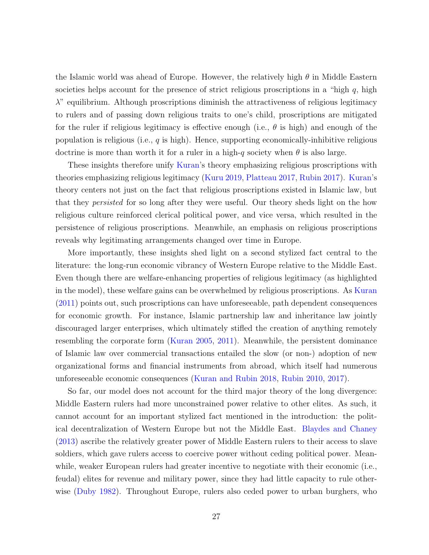the Islamic world was ahead of Europe. However, the relatively high  $\theta$  in Middle Eastern societies helps account for the presence of strict religious proscriptions in a "high  $q$ , high  $\lambda$ " equilibrium. Although proscriptions diminish the attractiveness of religious legitimacy to rulers and of passing down religious traits to one's child, proscriptions are mitigated for the ruler if religious legitimacy is effective enough (i.e.,  $\theta$  is high) and enough of the population is religious (i.e.,  $q$  is high). Hence, supporting economically-inhibitive religious doctrine is more than worth it for a ruler in a high- $q$  society when  $\theta$  is also large.

These insights therefore unify [Kuran'](#page-48-0)s theory emphasizing religious proscriptions with theories emphasizing religious legitimacy [\(Kuru](#page-48-5) [2019,](#page-48-5) [Platteau](#page-50-1) [2017,](#page-50-1) [Rubin](#page-50-0) [2017\)](#page-50-0). [Kuran'](#page-48-0)s theory centers not just on the fact that religious proscriptions existed in Islamic law, but that they persisted for so long after they were useful. Our theory sheds light on the how religious culture reinforced clerical political power, and vice versa, which resulted in the persistence of religious proscriptions. Meanwhile, an emphasis on religious proscriptions reveals why legitimating arrangements changed over time in Europe.

More importantly, these insights shed light on a second stylized fact central to the literature: the long-run economic vibrancy of Western Europe relative to the Middle East. Even though there are welfare-enhancing properties of religious legitimacy (as highlighted in the model), these welfare gains can be overwhelmed by religious proscriptions. As [Kuran](#page-48-0) [\(2011\)](#page-48-0) points out, such proscriptions can have unforeseeable, path dependent consequences for economic growth. For instance, Islamic partnership law and inheritance law jointly discouraged larger enterprises, which ultimately stifled the creation of anything remotely resembling the corporate form [\(Kuran](#page-48-7) [2005,](#page-48-7) [2011\)](#page-48-0). Meanwhile, the persistent dominance of Islamic law over commercial transactions entailed the slow (or non-) adoption of new organizational forms and financial instruments from abroad, which itself had numerous unforeseeable economic consequences [\(Kuran and Rubin](#page-48-11) [2018,](#page-48-11) [Rubin](#page-50-8) [2010,](#page-50-8) [2017\)](#page-50-0).

So far, our model does not account for the third major theory of the long divergence: Middle Eastern rulers had more unconstrained power relative to other elites. As such, it cannot account for an important stylized fact mentioned in the introduction: the political decentralization of Western Europe but not the Middle East. [Blaydes and Chaney](#page-44-1) [\(2013\)](#page-44-1) ascribe the relatively greater power of Middle Eastern rulers to their access to slave soldiers, which gave rulers access to coercive power without ceding political power. Meanwhile, weaker European rulers had greater incentive to negotiate with their economic (i.e., feudal) elites for revenue and military power, since they had little capacity to rule otherwise [\(Duby](#page-46-9) [1982\)](#page-46-9). Throughout Europe, rulers also ceded power to urban burghers, who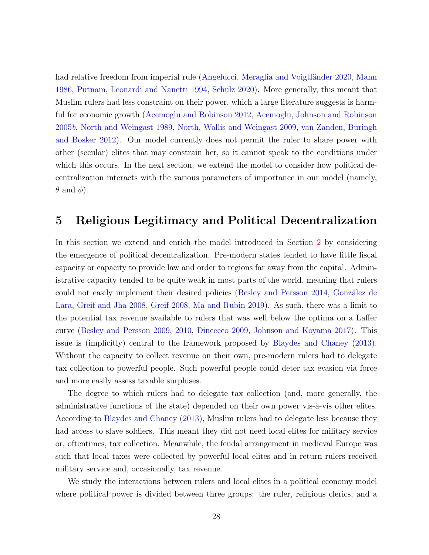had relative freedom from imperial rule (Angelucci, Meraglia and Voigtländer [2020,](#page-42-5) [Mann](#page-48-6) [1986,](#page-48-6) [Putnam, Leonardi and Nanetti](#page-50-9) [1994,](#page-50-9) [Schulz](#page-50-10) [2020\)](#page-50-10). More generally, this meant that Muslim rulers had less constraint on their power, which a large literature suggests is harmful for economic growth [\(Acemoglu and Robinson](#page-42-2) [2012,](#page-42-2) [Acemoglu, Johnson and Robinson](#page-42-4) [2005](#page-42-4)b, [North and Weingast](#page-49-2) [1989,](#page-49-2) [North, Wallis and Weingast](#page-49-10) [2009,](#page-49-10) [van Zanden, Buringh](#page-51-10) [and Bosker](#page-51-10) [2012\)](#page-51-10). Our model currently does not permit the ruler to share power with other (secular) elites that may constrain her, so it cannot speak to the conditions under which this occurs. In the next section, we extend the model to consider how political decentralization interacts with the various parameters of importance in our model (namely,  $\theta$  and  $\phi$ ).

### <span id="page-28-0"></span>5 Religious Legitimacy and Political Decentralization

In this section we extend and enrich the model introduced in Section [2](#page-7-0) by considering the emergence of political decentralization. Pre-modern states tended to have little fiscal capacity or capacity to provide law and order to regions far away from the capital. Administrative capacity tended to be quite weak in most parts of the world, meaning that rulers could not easily implement their desired policies [\(Besley and Persson](#page-43-12) [2014,](#page-43-12) González de [Lara, Greif and Jha](#page-46-10) [2008,](#page-46-10) [Greif](#page-46-11) [2008,](#page-46-11) [Ma and Rubin](#page-48-12) [2019\)](#page-48-12). As such, there was a limit to the potential tax revenue available to rulers that was well below the optima on a Laffer curve [\(Besley and Persson](#page-43-2) [2009,](#page-43-2) [2010,](#page-43-3) [Dincecco](#page-45-2) [2009,](#page-45-2) [Johnson and Koyama](#page-47-1) [2017\)](#page-47-1). This issue is (implicitly) central to the framework proposed by [Blaydes and Chaney](#page-44-1) [\(2013\)](#page-44-1). Without the capacity to collect revenue on their own, pre-modern rulers had to delegate tax collection to powerful people. Such powerful people could deter tax evasion via force and more easily assess taxable surpluses.

The degree to which rulers had to delegate tax collection (and, more generally, the administrative functions of the state) depended on their own power vis- $\grave{a}$ -vis other elites. According to [Blaydes and Chaney](#page-44-1) [\(2013\)](#page-44-1), Muslim rulers had to delegate less because they had access to slave soldiers. This meant they did not need local elites for military service or, oftentimes, tax collection. Meanwhile, the feudal arrangement in medieval Europe was such that local taxes were collected by powerful local elites and in return rulers received military service and, occasionally, tax revenue.

We study the interactions between rulers and local elites in a political economy model where political power is divided between three groups: the ruler, religious clerics, and a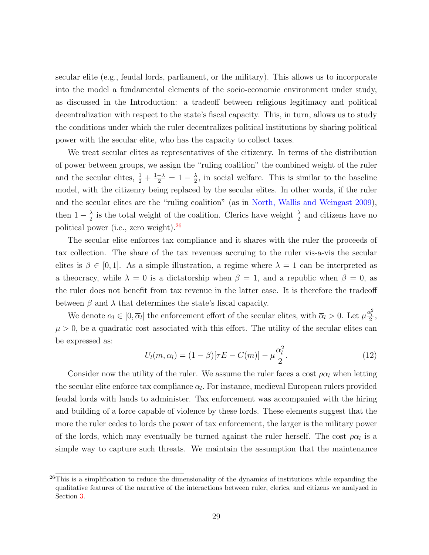secular elite (e.g., feudal lords, parliament, or the military). This allows us to incorporate into the model a fundamental elements of the socio-economic environment under study, as discussed in the Introduction: a tradeoff between religious legitimacy and political decentralization with respect to the state's fiscal capacity. This, in turn, allows us to study the conditions under which the ruler decentralizes political institutions by sharing political power with the secular elite, who has the capacity to collect taxes.

We treat secular elites as representatives of the citizenry. In terms of the distribution of power between groups, we assign the "ruling coalition" the combined weight of the ruler and the secular elites,  $\frac{1}{2} + \frac{1-\lambda}{2} = 1 - \frac{\lambda}{2}$  $\frac{\lambda}{2}$ , in social welfare. This is similar to the baseline model, with the citizenry being replaced by the secular elites. In other words, if the ruler and the secular elites are the "ruling coalition" (as in [North, Wallis and Weingast](#page-49-10) [2009\)](#page-49-10), then  $1-\frac{\lambda}{2}$  $\frac{\lambda}{2}$  is the total weight of the coalition. Clerics have weight  $\frac{\lambda}{2}$  and citizens have no political power (i.e., zero weight). $^{26}$  $^{26}$  $^{26}$ 

The secular elite enforces tax compliance and it shares with the ruler the proceeds of tax collection. The share of the tax revenues accruing to the ruler vis-a-vis the secular elites is  $\beta \in [0,1]$ . As a simple illustration, a regime where  $\lambda = 1$  can be interpreted as a theocracy, while  $\lambda = 0$  is a dictatorship when  $\beta = 1$ , and a republic when  $\beta = 0$ , as the ruler does not benefit from tax revenue in the latter case. It is therefore the tradeoff between  $\beta$  and  $\lambda$  that determines the state's fiscal capacity.

We denote  $\alpha_l \in [0, \overline{\alpha}_l]$  the enforcement effort of the secular elites, with  $\overline{\alpha}_l > 0$ . Let  $\mu \frac{\alpha_l^2}{2}$ ,  $\mu > 0$ , be a quadratic cost associated with this effort. The utility of the secular elites can be expressed as:

$$
U_l(m, \alpha_l) = (1 - \beta)[\tau E - C(m)] - \mu \frac{\alpha_l^2}{2}.
$$
 (12)

Consider now the utility of the ruler. We assume the ruler faces a cost  $\rho \alpha_l$  when letting the secular elite enforce tax compliance  $\alpha_l$ . For instance, medieval European rulers provided feudal lords with lands to administer. Tax enforcement was accompanied with the hiring and building of a force capable of violence by these lords. These elements suggest that the more the ruler cedes to lords the power of tax enforcement, the larger is the military power of the lords, which may eventually be turned against the ruler herself. The cost  $\rho \alpha_l$  is a simple way to capture such threats. We maintain the assumption that the maintenance

<span id="page-29-0"></span> $^{26}$ This is a simplification to reduce the dimensionality of the dynamics of institutions while expanding the qualitative features of the narrative of the interactions between ruler, clerics, and citizens we analyzed in Section [3.](#page-10-0)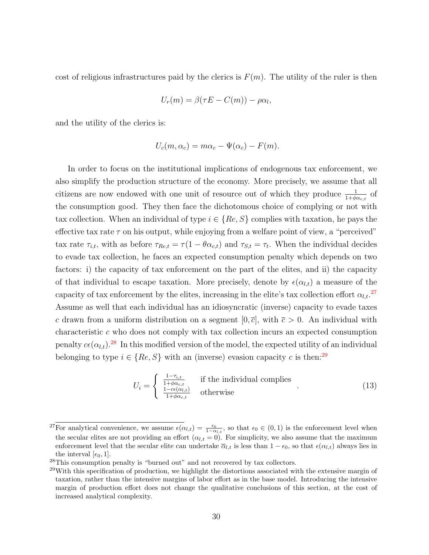cost of religious infrastructures paid by the clerics is  $F(m)$ . The utility of the ruler is then

$$
U_r(m) = \beta(\tau E - C(m)) - \rho \alpha_l,
$$

and the utility of the clerics is:

$$
U_c(m, \alpha_c) = m\alpha_c - \Psi(\alpha_c) - F(m).
$$

In order to focus on the institutional implications of endogenous tax enforcement, we also simplify the production structure of the economy. More precisely, we assume that all citizens are now endowed with one unit of resource out of which they produce  $\frac{1}{1+\phi\alpha_{c,t}}$  of the consumption good. They then face the dichotomous choice of complying or not with tax collection. When an individual of type  $i \in \{Re, S\}$  complies with taxation, he pays the effective tax rate  $\tau$  on his output, while enjoying from a welfare point of view, a "perceived" tax rate  $\tau_{i,t}$ , with as before  $\tau_{Re,t} = \tau(1 - \theta \alpha_{c,t})$  and  $\tau_{S,t} = \tau_t$ . When the individual decides to evade tax collection, he faces an expected consumption penalty which depends on two factors: i) the capacity of tax enforcement on the part of the elites, and ii) the capacity of that individual to escape taxation. More precisely, denote by  $\epsilon(\alpha_{l,t})$  a measure of the capacity of tax enforcement by the elites, increasing in the elite's tax collection effort  $\alpha_{l,t}$ .<sup>[27](#page-30-0)</sup> Assume as well that each individual has an idiosyncratic (inverse) capacity to evade taxes c drawn from a uniform distribution on a segment  $[0, \bar{c}]$ , with  $\bar{c} > 0$ . An individual with characteristic c who does not comply with tax collection incurs an expected consumption penalty  $c\epsilon(\alpha_{l,t})$ .<sup>[28](#page-30-1)</sup> In this modified version of the model, the expected utility of an individual belonging to type  $i \in \{Re, S\}$  with an (inverse) evasion capacity c is then:<sup>[29](#page-30-2)</sup>

$$
U_i = \begin{cases} \frac{1 - \tau_{i,t}}{1 + \phi \alpha_{c,t}} & \text{if the individual complies} \\ \frac{1 - c\epsilon(\alpha_{l,t})}{1 + \phi \alpha_{c,t}} & \text{otherwise} \end{cases}
$$
 (13)

<span id="page-30-0"></span><sup>&</sup>lt;sup>27</sup>For analytical convenience, we assume  $\epsilon(\alpha_{l,t}) = \frac{\epsilon_0}{1-\alpha_{l,t}}$ , so that  $\epsilon_0 \in (0,1)$  is the enforcement level when the secular elites are not providing an effort  $(\alpha_{l,t} = 0)$ . For simplicity, we also assume that the maximum enforcement level that the secular elite can undertake  $\overline{\alpha}_{l,t}$  is less than  $1 - \epsilon_0$ , so that  $\epsilon(\alpha_{l,t})$  always lies in the interval  $[\epsilon_0, 1]$ .

<span id="page-30-1"></span><sup>28</sup>This consumption penalty is "burned out" and not recovered by tax collectors.

<span id="page-30-2"></span><sup>&</sup>lt;sup>29</sup>With this specification of production, we highlight the distortions associated with the extensive margin of taxation, rather than the intensive margins of labor effort as in the base model. Introducing the intensive margin of production effort does not change the qualitative conclusions of this section, at the cost of increased analytical complexity.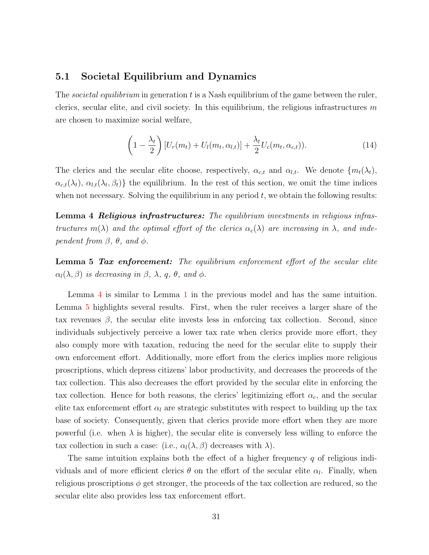### 5.1 Societal Equilibrium and Dynamics

The *societal equilibrium* in generation  $t$  is a Nash equilibrium of the game between the ruler, clerics, secular elite, and civil society. In this equilibrium, the religious infrastructures  $m$ are chosen to maximize social welfare,

$$
\left(1 - \frac{\lambda_t}{2}\right)[U_r(m_t) + U_l(m_t, \alpha_{l,t})] + \frac{\lambda_t}{2}U_c(m_t, \alpha_{c,t})).
$$
\n(14)

The clerics and the secular elite choose, respectively,  $\alpha_{c,t}$  and  $\alpha_{l,t}$ . We denote  $\{m_t(\lambda_t),$  $\{\alpha_{c,t}(\lambda_t), \alpha_{l,t}(\lambda_t, \beta_t)\}\)$  the equilibrium. In the rest of this section, we omit the time indices when not necessary. Solving the equilibrium in any period  $t$ , we obtain the following results:

<span id="page-31-0"></span>Lemma 4 Religious infrastructures: The equilibrium investments in religious infrastructures  $m(\lambda)$  and the optimal effort of the clerics  $\alpha_c(\lambda)$  are increasing in  $\lambda$ , and independent from  $\beta$ ,  $\theta$ , and  $\phi$ .

<span id="page-31-1"></span>**Lemma 5 Tax enforcement:** The equilibrium enforcement effort of the secular elite  $\alpha_l(\lambda, \beta)$  is decreasing in  $\beta$ ,  $\lambda$ ,  $q$ ,  $\theta$ , and  $\phi$ .

Lemma [4](#page-31-0) is similar to Lemma [1](#page-11-2) in the previous model and has the same intuition. Lemma [5](#page-31-1) highlights several results. First, when the ruler receives a larger share of the tax revenues  $\beta$ , the secular elite invests less in enforcing tax collection. Second, since individuals subjectively perceive a lower tax rate when clerics provide more effort, they also comply more with taxation, reducing the need for the secular elite to supply their own enforcement effort. Additionally, more effort from the clerics implies more religious proscriptions, which depress citizens' labor productivity, and decreases the proceeds of the tax collection. This also decreases the effort provided by the secular elite in enforcing the tax collection. Hence for both reasons, the clerics' legitimizing effort  $\alpha_c$ , and the secular elite tax enforcement effort  $\alpha_l$  are strategic substitutes with respect to building up the tax base of society. Consequently, given that clerics provide more effort when they are more powerful (i.e. when  $\lambda$  is higher), the secular elite is conversely less willing to enforce the tax collection in such a case: (i.e.,  $\alpha_l(\lambda, \beta)$  decreases with  $\lambda$ ).

The same intuition explains both the effect of a higher frequency  $q$  of religious individuals and of more efficient clerics  $\theta$  on the effort of the secular elite  $\alpha_l$ . Finally, when religious proscriptions  $\phi$  get stronger, the proceeds of the tax collection are reduced, so the secular elite also provides less tax enforcement effort.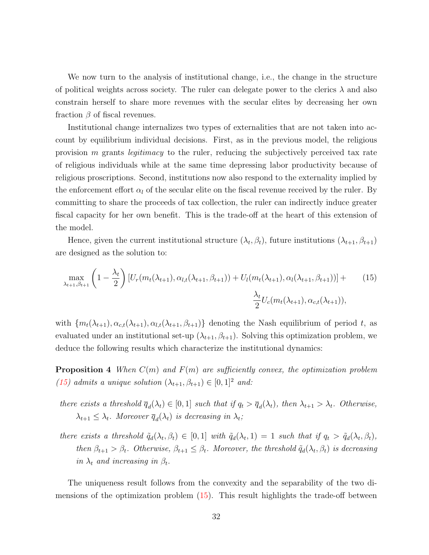We now turn to the analysis of institutional change, i.e., the change in the structure of political weights across society. The ruler can delegate power to the clerics  $\lambda$  and also constrain herself to share more revenues with the secular elites by decreasing her own fraction  $\beta$  of fiscal revenues.

Institutional change internalizes two types of externalities that are not taken into account by equilibrium individual decisions. First, as in the previous model, the religious provision m grants *legitimacy* to the ruler, reducing the subjectively perceived tax rate of religious individuals while at the same time depressing labor productivity because of religious proscriptions. Second, institutions now also respond to the externality implied by the enforcement effort  $\alpha_l$  of the secular elite on the fiscal revenue received by the ruler. By committing to share the proceeds of tax collection, the ruler can indirectly induce greater fiscal capacity for her own benefit. This is the trade-off at the heart of this extension of the model.

Hence, given the current institutional structure  $(\lambda_t, \beta_t)$ , future institutions  $(\lambda_{t+1}, \beta_{t+1})$ are designed as the solution to:

<span id="page-32-0"></span>
$$
\max_{\lambda_{t+1}, \beta_{t+1}} \left( 1 - \frac{\lambda_t}{2} \right) \left[ U_r(m_t(\lambda_{t+1}), \alpha_{l,t}(\lambda_{t+1}, \beta_{t+1})) + U_l(m_t(\lambda_{t+1}), \alpha_l(\lambda_{t+1}, \beta_{t+1})) \right] + \frac{\lambda_t}{2} U_c(m_t(\lambda_{t+1}), \alpha_{c,t}(\lambda_{t+1})),
$$
\n(15)

with  $\{m_t(\lambda_{t+1}), \alpha_{c,t}(\lambda_{t+1}), \alpha_{l,t}(\lambda_{t+1}, \beta_{t+1})\}$  denoting the Nash equilibrium of period t, as evaluated under an institutional set-up  $(\lambda_{t+1}, \beta_{t+1})$ . Solving this optimization problem, we deduce the following results which characterize the institutional dynamics:

<span id="page-32-1"></span>**Proposition 4** When  $C(m)$  and  $F(m)$  are sufficiently convex, the optimization problem [\(15\)](#page-32-0) admits a unique solution  $(\lambda_{t+1}, \beta_{t+1}) \in [0, 1]^2$  and:

- there exists a threshold  $\overline{q}_d(\lambda_t) \in [0,1]$  such that if  $q_t > \overline{q}_d(\lambda_t)$ , then  $\lambda_{t+1} > \lambda_t$ . Otherwise,  $\lambda_{t+1} \leq \lambda_t$ . Moreover  $\overline{q}_d(\lambda_t)$  is decreasing in  $\lambda_t$ ;
- there exists a threshold  $\tilde{q}_d(\lambda_t, \beta_t) \in [0, 1]$  with  $\tilde{q}_d(\lambda_t, 1) = 1$  such that if  $q_t > \tilde{q}_d(\lambda_t, \beta_t)$ , then  $\beta_{t+1} > \beta_t$ . Otherwise,  $\beta_{t+1} \leq \beta_t$ . Moreover, the threshold  $\tilde{q}_d(\lambda_t, \beta_t)$  is decreasing in  $\lambda_t$  and increasing in  $\beta_t$ .

The uniqueness result follows from the convexity and the separability of the two dimensions of the optimization problem  $(15)$ . This result highlights the trade-off between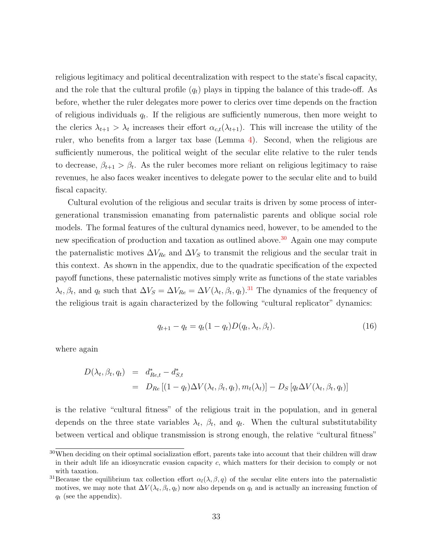religious legitimacy and political decentralization with respect to the state's fiscal capacity, and the role that the cultural profile  $(q_t)$  plays in tipping the balance of this trade-off. As before, whether the ruler delegates more power to clerics over time depends on the fraction of religious individuals  $q_t$ . If the religious are sufficiently numerous, then more weight to the clerics  $\lambda_{t+1} > \lambda_t$  increases their effort  $\alpha_{c,t}(\lambda_{t+1})$ . This will increase the utility of the ruler, who benefits from a larger tax base (Lemma [4\)](#page-31-0). Second, when the religious are sufficiently numerous, the political weight of the secular elite relative to the ruler tends to decrease,  $\beta_{t+1} > \beta_t$ . As the ruler becomes more reliant on religious legitimacy to raise revenues, he also faces weaker incentives to delegate power to the secular elite and to build fiscal capacity.

Cultural evolution of the religious and secular traits is driven by some process of intergenerational transmission emanating from paternalistic parents and oblique social role models. The formal features of the cultural dynamics need, however, to be amended to the new specification of production and taxation as outlined above.<sup>[30](#page-33-0)</sup> Again one may compute the paternalistic motives  $\Delta V_{Re}$  and  $\Delta V_S$  to transmit the religious and the secular trait in this context. As shown in the appendix, due to the quadratic specification of the expected payoff functions, these paternalistic motives simply write as functions of the state variables  $\lambda_t, \beta_t$ , and  $q_t$  such that  $\Delta V_S = \Delta V_{Re} = \Delta V(\lambda_t, \beta_t, q_t)$ .<sup>[31](#page-33-1)</sup> The dynamics of the frequency of the religious trait is again characterized by the following "cultural replicator" dynamics:

<span id="page-33-2"></span>
$$
q_{t+1} - q_t = q_t(1 - q_t)D(q_t, \lambda_t, \beta_t).
$$
\n(16)

where again

$$
D(\lambda_t, \beta_t, q_t) = d_{Re,t}^* - d_{S,t}^*
$$
  
= 
$$
D_{Re} [(1 - q_t) \Delta V(\lambda_t, \beta_t, q_t), m_t(\lambda_t)] - D_S [q_t \Delta V(\lambda_t, \beta_t, q_t)]
$$

is the relative "cultural fitness" of the religious trait in the population, and in general depends on the three state variables  $\lambda_t$ ,  $\beta_t$ , and  $q_t$ . When the cultural substitutability between vertical and oblique transmission is strong enough, the relative "cultural fitness"

<span id="page-33-0"></span><sup>30</sup>When deciding on their optimal socialization effort, parents take into account that their children will draw in their adult life an idiosyncratic evasion capacity c, which matters for their decision to comply or not with taxation.

<span id="page-33-1"></span><sup>&</sup>lt;sup>31</sup>Because the equilibrium tax collection effort  $\alpha_l(\lambda, \beta, q)$  of the secular elite enters into the paternalistic motives, we may note that  $\Delta V(\lambda_t, \beta_t, q_t)$  now also depends on  $q_t$  and is actually an increasing function of  $q_t$  (see the appendix).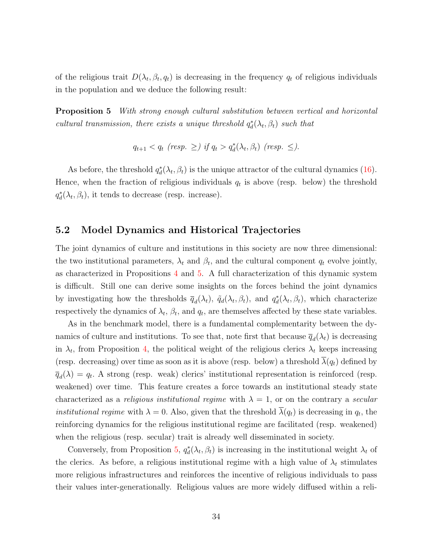of the religious trait  $D(\lambda_t, \beta_t, q_t)$  is decreasing in the frequency  $q_t$  of religious individuals in the population and we deduce the following result:

<span id="page-34-0"></span>**Proposition 5** With strong enough cultural substitution between vertical and horizontal cultural transmission, there exists a unique threshold  $q_d^*(\lambda_t, \beta_t)$  such that

$$
q_{t+1} < q_t \text{ (resp. } \geq \text{) if } q_t > q_d^*(\lambda_t, \beta_t) \text{ (resp. } \leq \text{).}
$$

As before, the threshold  $q_d^*(\lambda_t, \beta_t)$  is the unique attractor of the cultural dynamics [\(16\)](#page-33-2). Hence, when the fraction of religious individuals  $q_t$  is above (resp. below) the threshold  $q_d^*(\lambda_t, \beta_t)$ , it tends to decrease (resp. increase).

### 5.2 Model Dynamics and Historical Trajectories

The joint dynamics of culture and institutions in this society are now three dimensional: the two institutional parameters,  $\lambda_t$  and  $\beta_t$ , and the cultural component  $q_t$  evolve jointly, as characterized in Propositions [4](#page-32-1) and [5.](#page-34-0) A full characterization of this dynamic system is difficult. Still one can derive some insights on the forces behind the joint dynamics by investigating how the thresholds  $\bar{q}_d(\lambda_t)$ ,  $\tilde{q}_d(\lambda_t, \beta_t)$ , and  $q_d^*(\lambda_t, \beta_t)$ , which characterize respectively the dynamics of  $\lambda_t$ ,  $\beta_t$ , and  $q_t$ , are themselves affected by these state variables.

As in the benchmark model, there is a fundamental complementarity between the dynamics of culture and institutions. To see that, note first that because  $\overline{q}_d(\lambda_t)$  is decreasing in  $\lambda_t$ , from Proposition [4,](#page-32-1) the political weight of the religious clerics  $\lambda_t$  keeps increasing (resp. decreasing) over time as soon as it is above (resp. below) a threshold  $\overline{\lambda}(q_t)$  defined by  $\overline{q}_d(\lambda) = q_t$ . A strong (resp. weak) clerics' institutional representation is reinforced (resp. weakened) over time. This feature creates a force towards an institutional steady state characterized as a *religious institutional regime* with  $\lambda = 1$ , or on the contrary a *secular institutional regime* with  $\lambda = 0$ . Also, given that the threshold  $\lambda(q_t)$  is decreasing in  $q_t$ , the reinforcing dynamics for the religious institutional regime are facilitated (resp. weakened) when the religious (resp. secular) trait is already well disseminated in society.

Conversely, from Proposition [5,](#page-34-0)  $q_d^*(\lambda_t, \beta_t)$  is increasing in the institutional weight  $\lambda_t$  of the clerics. As before, a religious institutional regime with a high value of  $\lambda_t$  stimulates more religious infrastructures and reinforces the incentive of religious individuals to pass their values inter-generationally. Religious values are more widely diffused within a reli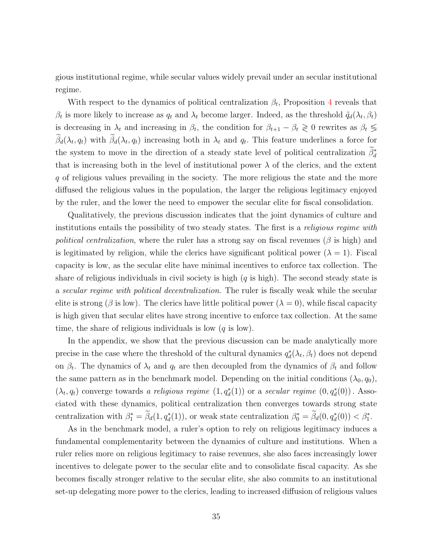gious institutional regime, while secular values widely prevail under an secular institutional regime.

With respect to the dynamics of political centralization  $\beta_t$ , Proposition [4](#page-32-1) reveals that  $\beta_t$  is more likely to increase as  $q_t$  and  $\lambda_t$  become larger. Indeed, as the threshold  $\tilde{q}_d(\lambda_t, \beta_t)$ is decreasing in  $\lambda_t$  and increasing in  $\beta_t$ , the condition for  $\beta_{t+1} - \beta_t \geq 0$  rewrites as  $\beta_t \leq$  $\beta_d(\lambda_t, q_t)$  with  $\beta_d(\lambda_t, q_t)$  increasing both in  $\lambda_t$  and  $q_t$ . This feature underlines a force for the system to move in the direction of a steady state level of political centralization  $\tilde{\beta}_d^*$ that is increasing both in the level of institutional power  $\lambda$  of the clerics, and the extent q of religious values prevailing in the society. The more religious the state and the more diffused the religious values in the population, the larger the religious legitimacy enjoyed by the ruler, and the lower the need to empower the secular elite for fiscal consolidation.

Qualitatively, the previous discussion indicates that the joint dynamics of culture and institutions entails the possibility of two steady states. The first is a *religious regime with* political centralization, where the ruler has a strong say on fiscal revenues ( $\beta$  is high) and is legitimated by religion, while the clerics have significant political power  $(\lambda = 1)$ . Fiscal capacity is low, as the secular elite have minimal incentives to enforce tax collection. The share of religious individuals in civil society is high  $(q \text{ is high})$ . The second steady state is a secular regime with political decentralization. The ruler is fiscally weak while the secular elite is strong ( $\beta$  is low). The clerics have little political power ( $\lambda = 0$ ), while fiscal capacity is high given that secular elites have strong incentive to enforce tax collection. At the same time, the share of religious individuals is low  $(q \text{ is low})$ .

In the appendix, we show that the previous discussion can be made analytically more precise in the case where the threshold of the cultural dynamics  $q_d^*(\lambda_t, \beta_t)$  does not depend on  $\beta_t$ . The dynamics of  $\lambda_t$  and  $q_t$  are then decoupled from the dynamics of  $\beta_t$  and follow the same pattern as in the benchmark model. Depending on the initial conditions  $(\lambda_0, q_0)$ ,  $(\lambda_t, q_t)$  converge towards a religious regime  $(1, q_d^*(1))$  or a secular regime  $(0, q_d^*(0))$ . Associated with these dynamics, political centralization then converges towards strong state centralization with  $\beta_1^* = \tilde{\beta}_d(1, q_d^*(1))$ , or weak state centralization  $\beta_0^* = \tilde{\beta}_d(0, q_d^*(0)) < \beta_1^*$ .

As in the benchmark model, a ruler's option to rely on religious legitimacy induces a fundamental complementarity between the dynamics of culture and institutions. When a ruler relies more on religious legitimacy to raise revenues, she also faces increasingly lower incentives to delegate power to the secular elite and to consolidate fiscal capacity. As she becomes fiscally stronger relative to the secular elite, she also commits to an institutional set-up delegating more power to the clerics, leading to increased diffusion of religious values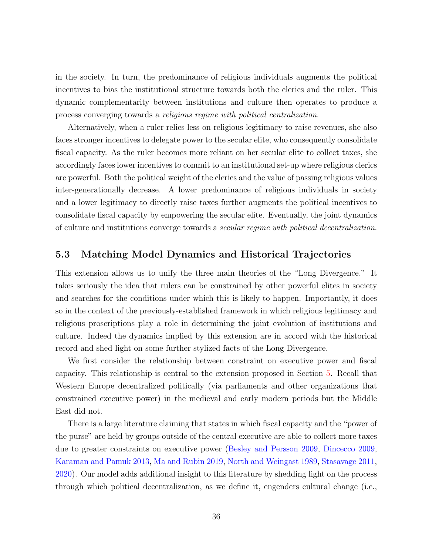in the society. In turn, the predominance of religious individuals augments the political incentives to bias the institutional structure towards both the clerics and the ruler. This dynamic complementarity between institutions and culture then operates to produce a process converging towards a religious regime with political centralization.

Alternatively, when a ruler relies less on religious legitimacy to raise revenues, she also faces stronger incentives to delegate power to the secular elite, who consequently consolidate fiscal capacity. As the ruler becomes more reliant on her secular elite to collect taxes, she accordingly faces lower incentives to commit to an institutional set-up where religious clerics are powerful. Both the political weight of the clerics and the value of passing religious values inter-generationally decrease. A lower predominance of religious individuals in society and a lower legitimacy to directly raise taxes further augments the political incentives to consolidate fiscal capacity by empowering the secular elite. Eventually, the joint dynamics of culture and institutions converge towards a secular regime with political decentralization.

#### 5.3 Matching Model Dynamics and Historical Trajectories

This extension allows us to unify the three main theories of the "Long Divergence." It takes seriously the idea that rulers can be constrained by other powerful elites in society and searches for the conditions under which this is likely to happen. Importantly, it does so in the context of the previously-established framework in which religious legitimacy and religious proscriptions play a role in determining the joint evolution of institutions and culture. Indeed the dynamics implied by this extension are in accord with the historical record and shed light on some further stylized facts of the Long Divergence.

We first consider the relationship between constraint on executive power and fiscal capacity. This relationship is central to the extension proposed in Section [5.](#page-28-0) Recall that Western Europe decentralized politically (via parliaments and other organizations that constrained executive power) in the medieval and early modern periods but the Middle East did not.

There is a large literature claiming that states in which fiscal capacity and the "power of the purse" are held by groups outside of the central executive are able to collect more taxes due to greater constraints on executive power [\(Besley and Persson](#page-43-0) [2009,](#page-43-0) [Dincecco](#page-45-0) [2009,](#page-45-0) [Karaman and Pamuk](#page-47-0) [2013,](#page-47-0) [Ma and Rubin](#page-48-0) [2019,](#page-48-0) [North and Weingast](#page-49-0) [1989,](#page-49-0) [Stasavage](#page-50-0) [2011,](#page-50-0) [2020\)](#page-51-0). Our model adds additional insight to this literature by shedding light on the process through which political decentralization, as we define it, engenders cultural change (i.e.,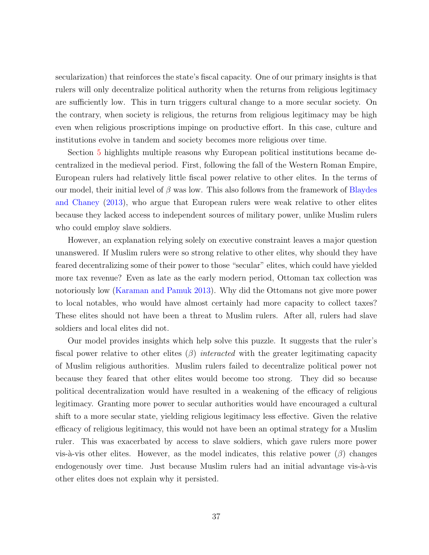secularization) that reinforces the state's fiscal capacity. One of our primary insights is that rulers will only decentralize political authority when the returns from religious legitimacy are sufficiently low. This in turn triggers cultural change to a more secular society. On the contrary, when society is religious, the returns from religious legitimacy may be high even when religious proscriptions impinge on productive effort. In this case, culture and institutions evolve in tandem and society becomes more religious over time.

Section [5](#page-28-0) highlights multiple reasons why European political institutions became decentralized in the medieval period. First, following the fall of the Western Roman Empire, European rulers had relatively little fiscal power relative to other elites. In the terms of our model, their initial level of  $\beta$  was low. This also follows from the framework of [Blaydes](#page-44-0) [and Chaney](#page-44-0) [\(2013\)](#page-44-0), who argue that European rulers were weak relative to other elites because they lacked access to independent sources of military power, unlike Muslim rulers who could employ slave soldiers.

However, an explanation relying solely on executive constraint leaves a major question unanswered. If Muslim rulers were so strong relative to other elites, why should they have feared decentralizing some of their power to those "secular" elites, which could have yielded more tax revenue? Even as late as the early modern period, Ottoman tax collection was notoriously low [\(Karaman and Pamuk](#page-47-0) [2013\)](#page-47-0). Why did the Ottomans not give more power to local notables, who would have almost certainly had more capacity to collect taxes? These elites should not have been a threat to Muslim rulers. After all, rulers had slave soldiers and local elites did not.

Our model provides insights which help solve this puzzle. It suggests that the ruler's fiscal power relative to other elites  $(\beta)$  interacted with the greater legitimating capacity of Muslim religious authorities. Muslim rulers failed to decentralize political power not because they feared that other elites would become too strong. They did so because political decentralization would have resulted in a weakening of the efficacy of religious legitimacy. Granting more power to secular authorities would have encouraged a cultural shift to a more secular state, yielding religious legitimacy less effective. Given the relative efficacy of religious legitimacy, this would not have been an optimal strategy for a Muslim ruler. This was exacerbated by access to slave soldiers, which gave rulers more power vis-à-vis other elites. However, as the model indicates, this relative power  $(\beta)$  changes endogenously over time. Just because Muslim rulers had an initial advantage vis-à-vis other elites does not explain why it persisted.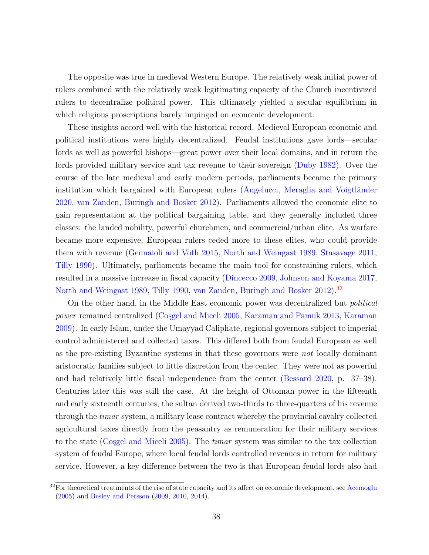The opposite was true in medieval Western Europe. The relatively weak initial power of rulers combined with the relatively weak legitimating capacity of the Church incentivized rulers to decentralize political power. This ultimately yielded a secular equilibrium in which religious proscriptions barely impinged on economic development.

These insights accord well with the historical record. Medieval European economic and political institutions were highly decentralized. Feudal institutions gave lords—secular lords as well as powerful bishops—great power over their local domains, and in return the lords provided military service and tax revenue to their sovereign [\(Duby](#page-46-0) [1982\)](#page-46-0). Over the course of the late medieval and early modern periods, parliaments became the primary institution which bargained with European rulers (Angelucci, Meraglia and Voigtländer [2020,](#page-42-0) [van Zanden, Buringh and Bosker](#page-51-1) [2012\)](#page-51-1). Parliaments allowed the economic elite to gain representation at the political bargaining table, and they generally included three classes: the landed nobility, powerful churchmen, and commercial/urban elite. As warfare became more expensive, European rulers ceded more to these elites, who could provide them with revenue [\(Gennaioli and Voth](#page-46-1) [2015,](#page-46-1) [North and Weingast](#page-49-0) [1989,](#page-49-0) [Stasavage](#page-50-0) [2011,](#page-50-0) [Tilly](#page-51-2) [1990\)](#page-51-2). Ultimately, parliaments became the main tool for constraining rulers, which resulted in a massive increase in fiscal capacity [\(Dincecco](#page-45-0) [2009,](#page-45-0) [Johnson and Koyama](#page-47-1) [2017,](#page-47-1) [North and Weingast](#page-49-0) [1989,](#page-49-0) [Tilly](#page-51-2) [1990,](#page-51-2) [van Zanden, Buringh and Bosker](#page-51-1) [2012\)](#page-51-1).<sup>[32](#page-38-0)</sup>

On the other hand, in the Middle East economic power was decentralized but political power remained centralized (Cosgel and Miceli [2005,](#page-45-1) [Karaman and Pamuk](#page-47-0) [2013,](#page-47-0) [Karaman](#page-47-2) [2009\)](#page-47-2). In early Islam, under the Umayyad Caliphate, regional governors subject to imperial control administered and collected taxes. This differed both from feudal European as well as the pre-existing Byzantine systems in that these governors were *not* locally dominant aristocratic families subject to little discretion from the center. They were not as powerful and had relatively little fiscal independence from the center [\(Bessard](#page-43-1) [2020,](#page-43-1) p. 37–38). Centuries later this was still the case. At the height of Ottoman power in the fifteenth and early sixteenth centuries, the sultan derived two-thirds to three-quarters of his revenue through the *timar* system, a military lease contract whereby the provincial cavalry collected agricultural taxes directly from the peasantry as remuneration for their military services to the state (Cosgel and Miceli [2005\)](#page-45-1). The timar system was similar to the tax collection system of feudal Europe, where local feudal lords controlled revenues in return for military service. However, a key difference between the two is that European feudal lords also had

<span id="page-38-0"></span> $32$ For theoretical treatments of the rise of state capacity and its affect on economic development, see [Acemoglu](#page-42-1) [\(2005\)](#page-42-1) and [Besley and Persson](#page-43-0) [\(2009,](#page-43-0) [2010,](#page-43-2) [2014\)](#page-43-3).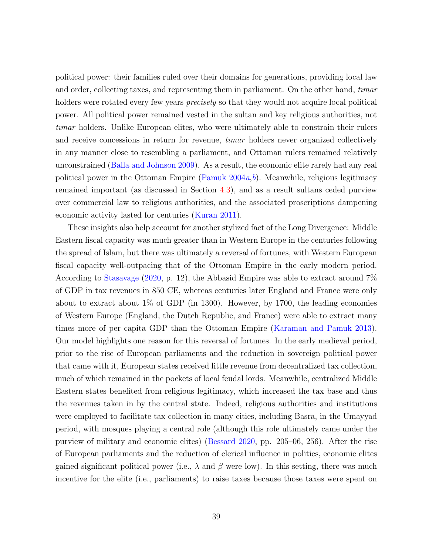political power: their families ruled over their domains for generations, providing local law and order, collecting taxes, and representing them in parliament. On the other hand, timar holders were rotated every few years *precisely* so that they would not acquire local political power. All political power remained vested in the sultan and key religious authorities, not tımar holders. Unlike European elites, who were ultimately able to constrain their rulers and receive concessions in return for revenue, *timar* holders never organized collectively in any manner close to resembling a parliament, and Ottoman rulers remained relatively unconstrained [\(Balla and Johnson](#page-42-2) [2009\)](#page-42-2). As a result, the economic elite rarely had any real political power in the Ottoman Empire [\(Pamuk](#page-49-1)  $2004a, b$  $2004a, b$  $2004a, b$ ). Meanwhile, religious legitimacy remained important (as discussed in Section [4.3\)](#page-22-0), and as a result sultans ceded purview over commercial law to religious authorities, and the associated proscriptions dampening economic activity lasted for centuries [\(Kuran](#page-48-1) [2011\)](#page-48-1).

These insights also help account for another stylized fact of the Long Divergence: Middle Eastern fiscal capacity was much greater than in Western Europe in the centuries following the spread of Islam, but there was ultimately a reversal of fortunes, with Western European fiscal capacity well-outpacing that of the Ottoman Empire in the early modern period. According to [Stasavage](#page-51-0) [\(2020,](#page-51-0) p. 12), the Abbasid Empire was able to extract around 7% of GDP in tax revenues in 850 CE, whereas centuries later England and France were only about to extract about 1% of GDP (in 1300). However, by 1700, the leading economies of Western Europe (England, the Dutch Republic, and France) were able to extract many times more of per capita GDP than the Ottoman Empire [\(Karaman and Pamuk](#page-47-0) [2013\)](#page-47-0). Our model highlights one reason for this reversal of fortunes. In the early medieval period, prior to the rise of European parliaments and the reduction in sovereign political power that came with it, European states received little revenue from decentralized tax collection, much of which remained in the pockets of local feudal lords. Meanwhile, centralized Middle Eastern states benefited from religious legitimacy, which increased the tax base and thus the revenues taken in by the central state. Indeed, religious authorities and institutions were employed to facilitate tax collection in many cities, including Basra, in the Umayyad period, with mosques playing a central role (although this role ultimately came under the purview of military and economic elites) [\(Bessard](#page-43-1) [2020,](#page-43-1) pp. 205–06, 256). After the rise of European parliaments and the reduction of clerical influence in politics, economic elites gained significant political power (i.e.,  $\lambda$  and  $\beta$  were low). In this setting, there was much incentive for the elite (i.e., parliaments) to raise taxes because those taxes were spent on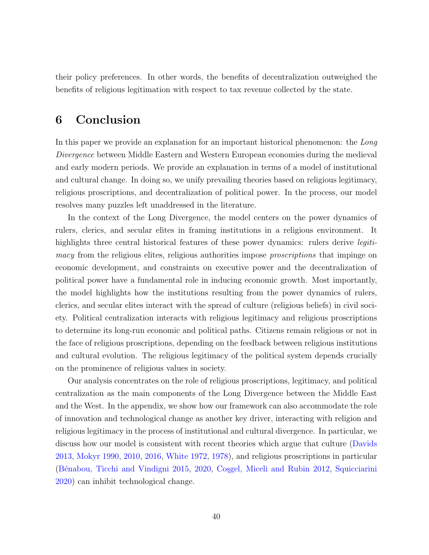their policy preferences. In other words, the benefits of decentralization outweighed the benefits of religious legitimation with respect to tax revenue collected by the state.

## 6 Conclusion

In this paper we provide an explanation for an important historical phenomenon: the Long Divergence between Middle Eastern and Western European economies during the medieval and early modern periods. We provide an explanation in terms of a model of institutional and cultural change. In doing so, we unify prevailing theories based on religious legitimacy, religious proscriptions, and decentralization of political power. In the process, our model resolves many puzzles left unaddressed in the literature.

In the context of the Long Divergence, the model centers on the power dynamics of rulers, clerics, and secular elites in framing institutions in a religious environment. It highlights three central historical features of these power dynamics: rulers derive *legiti*macy from the religious elites, religious authorities impose *proscriptions* that impinge on economic development, and constraints on executive power and the decentralization of political power have a fundamental role in inducing economic growth. Most importantly, the model highlights how the institutions resulting from the power dynamics of rulers, clerics, and secular elites interact with the spread of culture (religious beliefs) in civil society. Political centralization interacts with religious legitimacy and religious proscriptions to determine its long-run economic and political paths. Citizens remain religious or not in the face of religious proscriptions, depending on the feedback between religious institutions and cultural evolution. The religious legitimacy of the political system depends crucially on the prominence of religious values in society.

Our analysis concentrates on the role of religious proscriptions, legitimacy, and political centralization as the main components of the Long Divergence between the Middle East and the West. In the appendix, we show how our framework can also accommodate the role of innovation and technological change as another key driver, interacting with religion and religious legitimacy in the process of institutional and cultural divergence. In particular, we discuss how our model is consistent with recent theories which argue that culture [\(Davids](#page-45-2) [2013,](#page-45-2) [Mokyr](#page-49-3) [1990,](#page-49-3) [2010,](#page-49-4) [2016,](#page-49-5) [White](#page-51-3) [1972,](#page-51-3) [1978\)](#page-51-4), and religious proscriptions in particular (Bénabou, Ticchi and Vindigni [2015,](#page-43-4) [2020,](#page-43-5) Cosgel, Miceli and Rubin [2012,](#page-45-3) [Squicciarini](#page-50-1) [2020\)](#page-50-1) can inhibit technological change.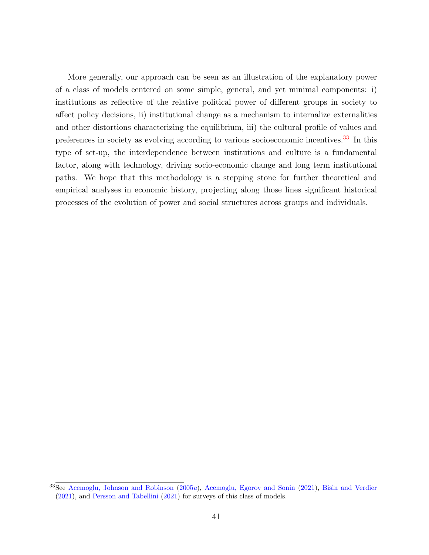More generally, our approach can be seen as an illustration of the explanatory power of a class of models centered on some simple, general, and yet minimal components: i) institutions as reflective of the relative political power of different groups in society to affect policy decisions, ii) institutional change as a mechanism to internalize externalities and other distortions characterizing the equilibrium, iii) the cultural profile of values and preferences in society as evolving according to various socioeconomic incentives.[33](#page-41-0) In this type of set-up, the interdependence between institutions and culture is a fundamental factor, along with technology, driving socio-economic change and long term institutional paths. We hope that this methodology is a stepping stone for further theoretical and empirical analyses in economic history, projecting along those lines significant historical processes of the evolution of power and social structures across groups and individuals.

<span id="page-41-0"></span><sup>33</sup>See [Acemoglu, Johnson and Robinson](#page-42-3) [\(2005](#page-42-3)a), [Acemoglu, Egorov and Sonin](#page-42-4) [\(2021\)](#page-42-4), [Bisin and Verdier](#page-44-1) [\(2021\)](#page-44-1), and [Persson and Tabellini](#page-49-6) [\(2021\)](#page-49-6) for surveys of this class of models.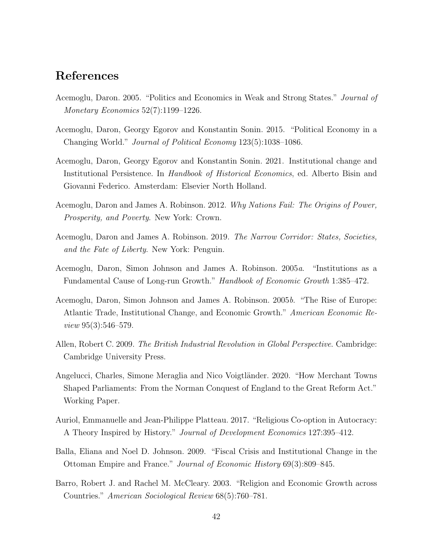## References

- <span id="page-42-1"></span>Acemoglu, Daron. 2005. "Politics and Economics in Weak and Strong States." Journal of Monetary Economics 52(7):1199–1226.
- Acemoglu, Daron, Georgy Egorov and Konstantin Sonin. 2015. "Political Economy in a Changing World." Journal of Political Economy 123(5):1038–1086.
- <span id="page-42-4"></span>Acemoglu, Daron, Georgy Egorov and Konstantin Sonin. 2021. Institutional change and Institutional Persistence. In Handbook of Historical Economics, ed. Alberto Bisin and Giovanni Federico. Amsterdam: Elsevier North Holland.
- Acemoglu, Daron and James A. Robinson. 2012. Why Nations Fail: The Origins of Power, Prosperity, and Poverty. New York: Crown.
- Acemoglu, Daron and James A. Robinson. 2019. The Narrow Corridor: States, Societies, and the Fate of Liberty. New York: Penguin.
- <span id="page-42-3"></span>Acemoglu, Daron, Simon Johnson and James A. Robinson. 2005a. "Institutions as a Fundamental Cause of Long-run Growth." Handbook of Economic Growth 1:385–472.
- Acemoglu, Daron, Simon Johnson and James A. Robinson. 2005b. "The Rise of Europe: Atlantic Trade, Institutional Change, and Economic Growth." American Economic Review 95(3):546–579.
- <span id="page-42-5"></span>Allen, Robert C. 2009. The British Industrial Revolution in Global Perspective. Cambridge: Cambridge University Press.
- <span id="page-42-0"></span>Angelucci, Charles, Simone Meraglia and Nico Voigtländer. 2020. "How Merchant Towns Shaped Parliaments: From the Norman Conquest of England to the Great Reform Act." Working Paper.
- Auriol, Emmanuelle and Jean-Philippe Platteau. 2017. "Religious Co-option in Autocracy: A Theory Inspired by History." Journal of Development Economics 127:395–412.
- <span id="page-42-2"></span>Balla, Eliana and Noel D. Johnson. 2009. "Fiscal Crisis and Institutional Change in the Ottoman Empire and France." Journal of Economic History 69(3):809–845.
- Barro, Robert J. and Rachel M. McCleary. 2003. "Religion and Economic Growth across Countries." American Sociological Review 68(5):760–781.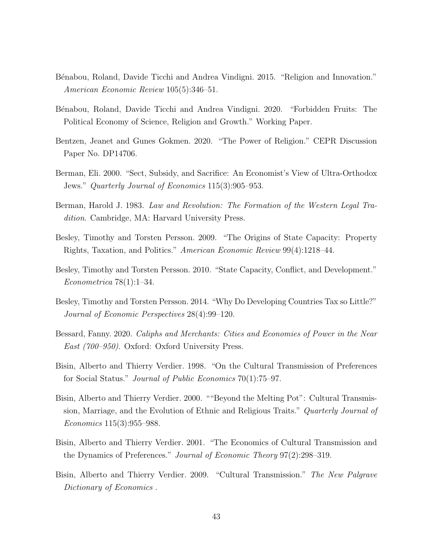- <span id="page-43-4"></span>Bénabou, Roland, Davide Ticchi and Andrea Vindigni. 2015. "Religion and Innovation." American Economic Review 105(5):346–51.
- <span id="page-43-5"></span>Bénabou, Roland, Davide Ticchi and Andrea Vindigni. 2020. "Forbidden Fruits: The Political Economy of Science, Religion and Growth." Working Paper.
- Bentzen, Jeanet and Gunes Gokmen. 2020. "The Power of Religion." CEPR Discussion Paper No. DP14706.
- Berman, Eli. 2000. "Sect, Subsidy, and Sacrifice: An Economist's View of Ultra-Orthodox Jews." Quarterly Journal of Economics 115(3):905–953.
- Berman, Harold J. 1983. Law and Revolution: The Formation of the Western Legal Tradition. Cambridge, MA: Harvard University Press.
- <span id="page-43-0"></span>Besley, Timothy and Torsten Persson. 2009. "The Origins of State Capacity: Property Rights, Taxation, and Politics." American Economic Review 99(4):1218–44.
- <span id="page-43-2"></span>Besley, Timothy and Torsten Persson. 2010. "State Capacity, Conflict, and Development." Econometrica 78(1):1–34.
- <span id="page-43-3"></span>Besley, Timothy and Torsten Persson. 2014. "Why Do Developing Countries Tax so Little?" Journal of Economic Perspectives 28(4):99–120.
- <span id="page-43-1"></span>Bessard, Fanny. 2020. Caliphs and Merchants: Cities and Economies of Power in the Near East (700–950). Oxford: Oxford University Press.
- Bisin, Alberto and Thierry Verdier. 1998. "On the Cultural Transmission of Preferences for Social Status." Journal of Public Economics 70(1):75–97.
- Bisin, Alberto and Thierry Verdier. 2000. ""Beyond the Melting Pot": Cultural Transmission, Marriage, and the Evolution of Ethnic and Religious Traits." Quarterly Journal of Economics 115(3):955–988.
- <span id="page-43-6"></span>Bisin, Alberto and Thierry Verdier. 2001. "The Economics of Cultural Transmission and the Dynamics of Preferences." Journal of Economic Theory 97(2):298–319.
- Bisin, Alberto and Thierry Verdier. 2009. "Cultural Transmission." The New Palgrave Dictionary of Economics .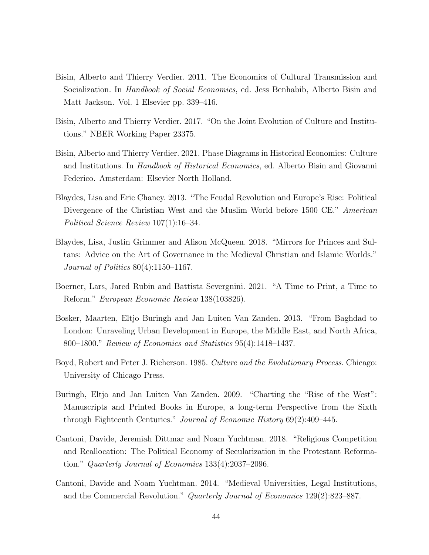- Bisin, Alberto and Thierry Verdier. 2011. The Economics of Cultural Transmission and Socialization. In Handbook of Social Economics, ed. Jess Benhabib, Alberto Bisin and Matt Jackson. Vol. 1 Elsevier pp. 339–416.
- <span id="page-44-4"></span>Bisin, Alberto and Thierry Verdier. 2017. "On the Joint Evolution of Culture and Institutions." NBER Working Paper 23375.
- <span id="page-44-1"></span>Bisin, Alberto and Thierry Verdier. 2021. Phase Diagrams in Historical Economics: Culture and Institutions. In Handbook of Historical Economics, ed. Alberto Bisin and Giovanni Federico. Amsterdam: Elsevier North Holland.
- <span id="page-44-0"></span>Blaydes, Lisa and Eric Chaney. 2013. "The Feudal Revolution and Europe's Rise: Political Divergence of the Christian West and the Muslim World before 1500 CE." American Political Science Review 107(1):16–34.
- Blaydes, Lisa, Justin Grimmer and Alison McQueen. 2018. "Mirrors for Princes and Sultans: Advice on the Art of Governance in the Medieval Christian and Islamic Worlds." Journal of Politics 80(4):1150–1167.
- <span id="page-44-2"></span>Boerner, Lars, Jared Rubin and Battista Severgnini. 2021. "A Time to Print, a Time to Reform." European Economic Review 138(103826).
- Bosker, Maarten, Eltjo Buringh and Jan Luiten Van Zanden. 2013. "From Baghdad to London: Unraveling Urban Development in Europe, the Middle East, and North Africa, 800–1800." Review of Economics and Statistics 95(4):1418–1437.
- Boyd, Robert and Peter J. Richerson. 1985. Culture and the Evolutionary Process. Chicago: University of Chicago Press.
- <span id="page-44-3"></span>Buringh, Eltjo and Jan Luiten Van Zanden. 2009. "Charting the "Rise of the West": Manuscripts and Printed Books in Europe, a long-term Perspective from the Sixth through Eighteenth Centuries." Journal of Economic History 69(2):409–445.
- Cantoni, Davide, Jeremiah Dittmar and Noam Yuchtman. 2018. "Religious Competition and Reallocation: The Political Economy of Secularization in the Protestant Reformation." Quarterly Journal of Economics 133(4):2037–2096.
- Cantoni, Davide and Noam Yuchtman. 2014. "Medieval Universities, Legal Institutions, and the Commercial Revolution." Quarterly Journal of Economics 129(2):823–887.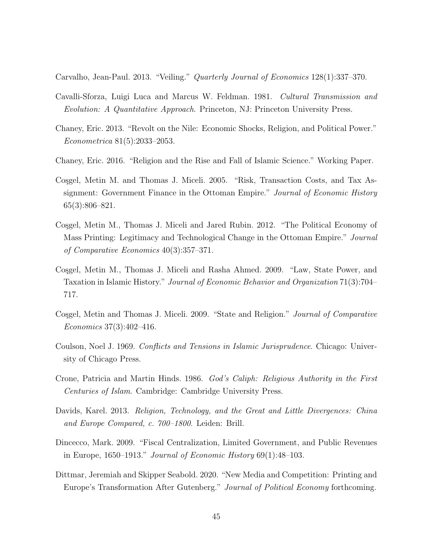Carvalho, Jean-Paul. 2013. "Veiling." Quarterly Journal of Economics 128(1):337–370.

- Cavalli-Sforza, Luigi Luca and Marcus W. Feldman. 1981. Cultural Transmission and Evolution: A Quantitative Approach. Princeton, NJ: Princeton University Press.
- Chaney, Eric. 2013. "Revolt on the Nile: Economic Shocks, Religion, and Political Power." Econometrica 81(5):2033–2053.
- <span id="page-45-4"></span>Chaney, Eric. 2016. "Religion and the Rise and Fall of Islamic Science." Working Paper.
- <span id="page-45-1"></span>Cosgel, Metin M. and Thomas J. Miceli. 2005. "Risk, Transaction Costs, and Tax Assignment: Government Finance in the Ottoman Empire." Journal of Economic History 65(3):806–821.
- <span id="page-45-3"></span>Cosgel, Metin M., Thomas J. Miceli and Jared Rubin. 2012. "The Political Economy of Mass Printing: Legitimacy and Technological Change in the Ottoman Empire." Journal of Comparative Economics 40(3):357–371.
- <span id="page-45-5"></span>Cosgel, Metin M., Thomas J. Miceli and Rasha Ahmed. 2009. "Law, State Power, and Taxation in Islamic History." Journal of Economic Behavior and Organization 71(3):704– 717.
- Cosgel, Metin and Thomas J. Miceli. 2009. "State and Religion." Journal of Comparative Economics 37(3):402–416.
- Coulson, Noel J. 1969. Conflicts and Tensions in Islamic Jurisprudence. Chicago: University of Chicago Press.
- Crone, Patricia and Martin Hinds. 1986. God's Caliph: Religious Authority in the First Centuries of Islam. Cambridge: Cambridge University Press.
- <span id="page-45-2"></span>Davids, Karel. 2013. *Religion, Technology, and the Great and Little Divergences: China* and Europe Compared, c. 700–1800. Leiden: Brill.
- <span id="page-45-0"></span>Dincecco, Mark. 2009. "Fiscal Centralization, Limited Government, and Public Revenues in Europe, 1650–1913." Journal of Economic History 69(1):48–103.
- <span id="page-45-6"></span>Dittmar, Jeremiah and Skipper Seabold. 2020. "New Media and Competition: Printing and Europe's Transformation After Gutenberg." Journal of Political Economy forthcoming.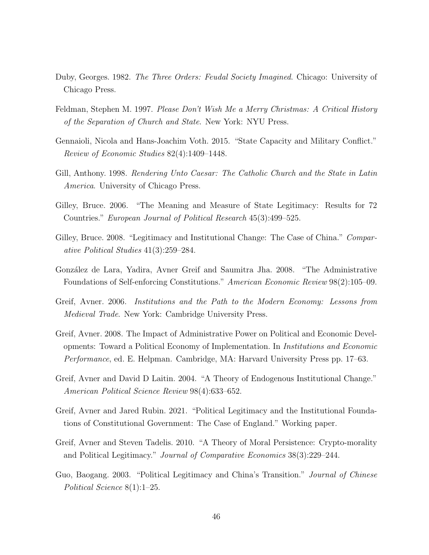- <span id="page-46-0"></span>Duby, Georges. 1982. The Three Orders: Feudal Society Imagined. Chicago: University of Chicago Press.
- Feldman, Stephen M. 1997. Please Don't Wish Me a Merry Christmas: A Critical History of the Separation of Church and State. New York: NYU Press.
- <span id="page-46-1"></span>Gennaioli, Nicola and Hans-Joachim Voth. 2015. "State Capacity and Military Conflict." Review of Economic Studies 82(4):1409–1448.
- Gill, Anthony. 1998. Rendering Unto Caesar: The Catholic Church and the State in Latin America. University of Chicago Press.
- Gilley, Bruce. 2006. "The Meaning and Measure of State Legitimacy: Results for 72 Countries." European Journal of Political Research 45(3):499–525.
- Gilley, Bruce. 2008. "Legitimacy and Institutional Change: The Case of China." Comparative Political Studies 41(3):259–284.
- Gonz´alez de Lara, Yadira, Avner Greif and Saumitra Jha. 2008. "The Administrative Foundations of Self-enforcing Constitutions." American Economic Review 98(2):105–09.
- Greif, Avner. 2006. Institutions and the Path to the Modern Economy: Lessons from Medieval Trade. New York: Cambridge University Press.
- Greif, Avner. 2008. The Impact of Administrative Power on Political and Economic Developments: Toward a Political Economy of Implementation. In Institutions and Economic Performance, ed. E. Helpman. Cambridge, MA: Harvard University Press pp. 17–63.
- Greif, Avner and David D Laitin. 2004. "A Theory of Endogenous Institutional Change." American Political Science Review 98(4):633–652.
- Greif, Avner and Jared Rubin. 2021. "Political Legitimacy and the Institutional Foundations of Constitutional Government: The Case of England." Working paper.
- Greif, Avner and Steven Tadelis. 2010. "A Theory of Moral Persistence: Crypto-morality and Political Legitimacy." Journal of Comparative Economics 38(3):229–244.
- Guo, Baogang. 2003. "Political Legitimacy and China's Transition." Journal of Chinese Political Science 8(1):1–25.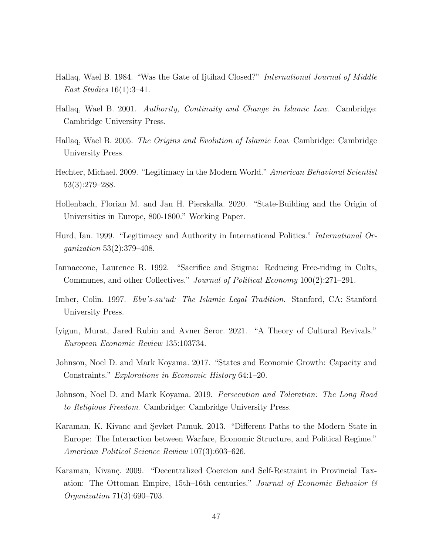- Hallaq, Wael B. 1984. "Was the Gate of Ijtihad Closed?" International Journal of Middle East Studies 16(1):3–41.
- Hallaq, Wael B. 2001. Authority, Continuity and Change in Islamic Law. Cambridge: Cambridge University Press.
- Hallaq, Wael B. 2005. The Origins and Evolution of Islamic Law. Cambridge: Cambridge University Press.
- Hechter, Michael. 2009. "Legitimacy in the Modern World." American Behavioral Scientist 53(3):279–288.
- Hollenbach, Florian M. and Jan H. Pierskalla. 2020. "State-Building and the Origin of Universities in Europe, 800-1800." Working Paper.
- Hurd, Ian. 1999. "Legitimacy and Authority in International Politics." International Organization 53(2):379–408.
- Iannaccone, Laurence R. 1992. "Sacrifice and Stigma: Reducing Free-riding in Cults, Communes, and other Collectives." Journal of Political Economy 100(2):271–291.
- Imber, Colin. 1997. Ebu's-su'ud: The Islamic Legal Tradition. Stanford, CA: Stanford University Press.
- Iyigun, Murat, Jared Rubin and Avner Seror. 2021. "A Theory of Cultural Revivals." European Economic Review 135:103734.
- <span id="page-47-1"></span>Johnson, Noel D. and Mark Koyama. 2017. "States and Economic Growth: Capacity and Constraints." Explorations in Economic History 64:1–20.
- Johnson, Noel D. and Mark Koyama. 2019. Persecution and Toleration: The Long Road to Religious Freedom. Cambridge: Cambridge University Press.
- <span id="page-47-0"></span>Karaman, K. Kivanc and Sevket Pamuk. 2013. "Different Paths to the Modern State in Europe: The Interaction between Warfare, Economic Structure, and Political Regime." American Political Science Review 107(3):603–626.
- <span id="page-47-2"></span>Karaman, Kivanç. 2009. "Decentralized Coercion and Self-Restraint in Provincial Taxation: The Ottoman Empire, 15th–16th centuries." Journal of Economic Behavior  $\mathcal{B}$ Organization 71(3):690–703.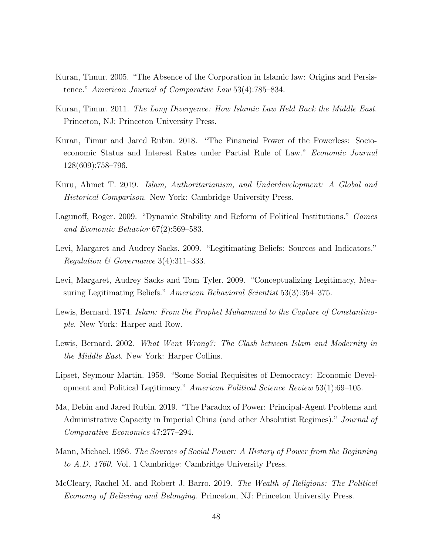- Kuran, Timur. 2005. "The Absence of the Corporation in Islamic law: Origins and Persistence." American Journal of Comparative Law 53(4):785–834.
- <span id="page-48-1"></span>Kuran, Timur. 2011. The Long Divergence: How Islamic Law Held Back the Middle East. Princeton, NJ: Princeton University Press.
- Kuran, Timur and Jared Rubin. 2018. "The Financial Power of the Powerless: Socioeconomic Status and Interest Rates under Partial Rule of Law." Economic Journal 128(609):758–796.
- <span id="page-48-2"></span>Kuru, Ahmet T. 2019. Islam, Authoritarianism, and Underdevelopment: A Global and Historical Comparison. New York: Cambridge University Press.
- Lagunoff, Roger. 2009. "Dynamic Stability and Reform of Political Institutions." Games and Economic Behavior 67(2):569–583.
- Levi, Margaret and Audrey Sacks. 2009. "Legitimating Beliefs: Sources and Indicators." Regulation & Governance 3(4):311–333.
- Levi, Margaret, Audrey Sacks and Tom Tyler. 2009. "Conceptualizing Legitimacy, Measuring Legitimating Beliefs." American Behavioral Scientist 53(3):354–375.
- Lewis, Bernard. 1974. Islam: From the Prophet Muhammad to the Capture of Constantinople. New York: Harper and Row.
- Lewis, Bernard. 2002. What Went Wrong?: The Clash between Islam and Modernity in the Middle East. New York: Harper Collins.
- Lipset, Seymour Martin. 1959. "Some Social Requisites of Democracy: Economic Development and Political Legitimacy." American Political Science Review 53(1):69–105.
- <span id="page-48-0"></span>Ma, Debin and Jared Rubin. 2019. "The Paradox of Power: Principal-Agent Problems and Administrative Capacity in Imperial China (and other Absolutist Regimes)." Journal of Comparative Economics 47:277–294.
- Mann, Michael. 1986. The Sources of Social Power: A History of Power from the Beginning to A.D. 1760. Vol. 1 Cambridge: Cambridge University Press.
- McCleary, Rachel M. and Robert J. Barro. 2019. The Wealth of Religions: The Political Economy of Believing and Belonging. Princeton, NJ: Princeton University Press.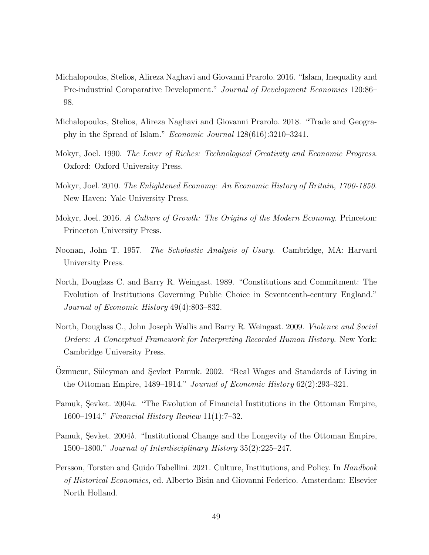- Michalopoulos, Stelios, Alireza Naghavi and Giovanni Prarolo. 2016. "Islam, Inequality and Pre-industrial Comparative Development." Journal of Development Economics 120:86– 98.
- Michalopoulos, Stelios, Alireza Naghavi and Giovanni Prarolo. 2018. "Trade and Geography in the Spread of Islam." Economic Journal 128(616):3210–3241.
- <span id="page-49-3"></span>Mokyr, Joel. 1990. The Lever of Riches: Technological Creativity and Economic Progress. Oxford: Oxford University Press.
- <span id="page-49-4"></span>Mokyr, Joel. 2010. The Enlightened Economy: An Economic History of Britain, 1700-1850. New Haven: Yale University Press.
- <span id="page-49-5"></span>Mokyr, Joel. 2016. A Culture of Growth: The Origins of the Modern Economy. Princeton: Princeton University Press.
- Noonan, John T. 1957. The Scholastic Analysis of Usury. Cambridge, MA: Harvard University Press.
- <span id="page-49-0"></span>North, Douglass C. and Barry R. Weingast. 1989. "Constitutions and Commitment: The Evolution of Institutions Governing Public Choice in Seventeenth-century England." Journal of Economic History 49(4):803–832.
- North, Douglass C., John Joseph Wallis and Barry R. Weingast. 2009. *Violence and Social* Orders: A Conceptual Framework for Interpreting Recorded Human History. New York: Cambridge University Press.
- Ozmucur, Süleyman and Sevket Pamuk. 2002. "Real Wages and Standards of Living in the Ottoman Empire, 1489–1914." Journal of Economic History 62(2):293–321.
- <span id="page-49-1"></span>Pamuk, Sevket.  $2004a$ . "The Evolution of Financial Institutions in the Ottoman Empire, 1600–1914." Financial History Review 11(1):7–32.
- <span id="page-49-2"></span>Pamuk, Şevket. 2004b. "Institutional Change and the Longevity of the Ottoman Empire, 1500–1800." Journal of Interdisciplinary History 35(2):225–247.
- <span id="page-49-6"></span>Persson, Torsten and Guido Tabellini. 2021. Culture, Institutions, and Policy. In *Handbook* of Historical Economics, ed. Alberto Bisin and Giovanni Federico. Amsterdam: Elsevier North Holland.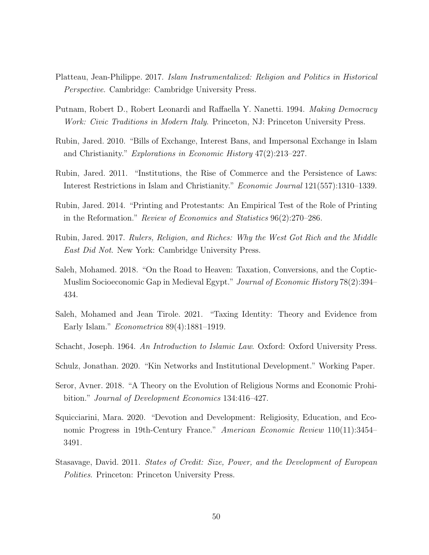- Platteau, Jean-Philippe. 2017. Islam Instrumentalized: Religion and Politics in Historical Perspective. Cambridge: Cambridge University Press.
- Putnam, Robert D., Robert Leonardi and Raffaella Y. Nanetti. 1994. Making Democracy Work: Civic Traditions in Modern Italy. Princeton, NJ: Princeton University Press.
- Rubin, Jared. 2010. "Bills of Exchange, Interest Bans, and Impersonal Exchange in Islam and Christianity." Explorations in Economic History 47(2):213–227.
- Rubin, Jared. 2011. "Institutions, the Rise of Commerce and the Persistence of Laws: Interest Restrictions in Islam and Christianity." Economic Journal 121(557):1310–1339.
- <span id="page-50-3"></span>Rubin, Jared. 2014. "Printing and Protestants: An Empirical Test of the Role of Printing in the Reformation." Review of Economics and Statistics 96(2):270–286.
- <span id="page-50-2"></span>Rubin, Jared. 2017. Rulers, Religion, and Riches: Why the West Got Rich and the Middle East Did Not. New York: Cambridge University Press.
- Saleh, Mohamed. 2018. "On the Road to Heaven: Taxation, Conversions, and the Coptic-Muslim Socioeconomic Gap in Medieval Egypt." Journal of Economic History 78(2):394– 434.
- Saleh, Mohamed and Jean Tirole. 2021. "Taxing Identity: Theory and Evidence from Early Islam." Econometrica 89(4):1881–1919.
- Schacht, Joseph. 1964. An Introduction to Islamic Law. Oxford: Oxford University Press.
- Schulz, Jonathan. 2020. "Kin Networks and Institutional Development." Working Paper.
- Seror, Avner. 2018. "A Theory on the Evolution of Religious Norms and Economic Prohibition." Journal of Development Economics 134:416–427.
- <span id="page-50-1"></span>Squicciarini, Mara. 2020. "Devotion and Development: Religiosity, Education, and Economic Progress in 19th-Century France." American Economic Review 110(11):3454– 3491.
- <span id="page-50-0"></span>Stasavage, David. 2011. States of Credit: Size, Power, and the Development of European Polities. Princeton: Princeton University Press.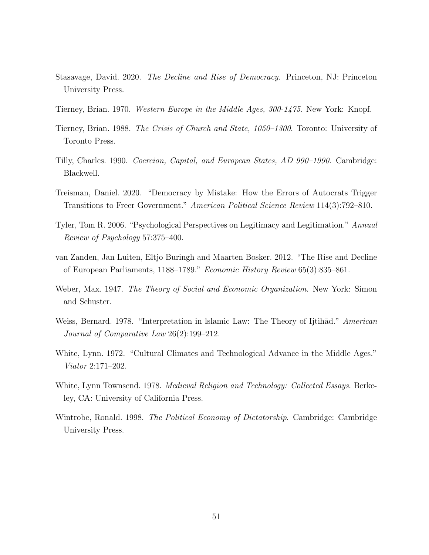- <span id="page-51-0"></span>Stasavage, David. 2020. The Decline and Rise of Democracy. Princeton, NJ: Princeton University Press.
- Tierney, Brian. 1970. Western Europe in the Middle Ages, 300-1475. New York: Knopf.
- Tierney, Brian. 1988. The Crisis of Church and State, 1050–1300. Toronto: University of Toronto Press.
- <span id="page-51-2"></span>Tilly, Charles. 1990. Coercion, Capital, and European States, AD 990–1990. Cambridge: Blackwell.
- Treisman, Daniel. 2020. "Democracy by Mistake: How the Errors of Autocrats Trigger Transitions to Freer Government." American Political Science Review 114(3):792–810.
- Tyler, Tom R. 2006. "Psychological Perspectives on Legitimacy and Legitimation." Annual Review of Psychology 57:375–400.
- <span id="page-51-1"></span>van Zanden, Jan Luiten, Eltjo Buringh and Maarten Bosker. 2012. "The Rise and Decline of European Parliaments, 1188–1789." Economic History Review 65(3):835–861.
- Weber, Max. 1947. The Theory of Social and Economic Organization. New York: Simon and Schuster.
- Weiss, Bernard. 1978. "Interpretation in Islamic Law: The Theory of Ijtihad." American Journal of Comparative Law 26(2):199–212.
- <span id="page-51-3"></span>White, Lynn. 1972. "Cultural Climates and Technological Advance in the Middle Ages." Viator 2:171–202.
- <span id="page-51-4"></span>White, Lynn Townsend. 1978. *Medieval Religion and Technology: Collected Essays.* Berkeley, CA: University of California Press.
- Wintrobe, Ronald. 1998. *The Political Economy of Dictatorship*. Cambridge: Cambridge University Press.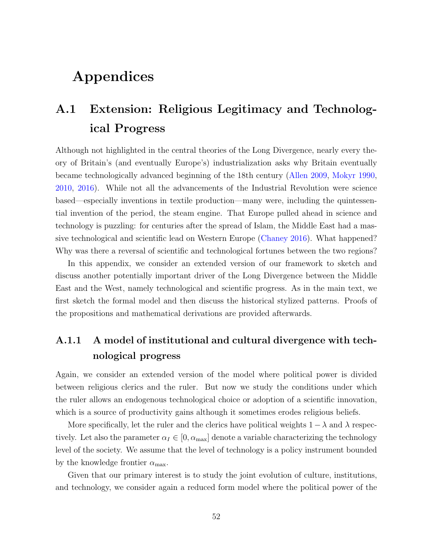# Appendices

# <span id="page-52-0"></span>A.1 Extension: Religious Legitimacy and Technological Progress

Although not highlighted in the central theories of the Long Divergence, nearly every theory of Britain's (and eventually Europe's) industrialization asks why Britain eventually became technologically advanced beginning of the 18th century [\(Allen](#page-42-5) [2009,](#page-42-5) [Mokyr](#page-49-3) [1990,](#page-49-3) [2010,](#page-49-4) [2016\)](#page-49-5). While not all the advancements of the Industrial Revolution were science based—especially inventions in textile production—many were, including the quintessential invention of the period, the steam engine. That Europe pulled ahead in science and technology is puzzling: for centuries after the spread of Islam, the Middle East had a massive technological and scientific lead on Western Europe [\(Chaney](#page-45-4) [2016\)](#page-45-4). What happened? Why was there a reversal of scientific and technological fortunes between the two regions?

In this appendix, we consider an extended version of our framework to sketch and discuss another potentially important driver of the Long Divergence between the Middle East and the West, namely technological and scientific progress. As in the main text, we first sketch the formal model and then discuss the historical stylized patterns. Proofs of the propositions and mathematical derivations are provided afterwards.

## A.1.1 A model of institutional and cultural divergence with technological progress

Again, we consider an extended version of the model where political power is divided between religious clerics and the ruler. But now we study the conditions under which the ruler allows an endogenous technological choice or adoption of a scientific innovation, which is a source of productivity gains although it sometimes erodes religious beliefs.

More specifically, let the ruler and the clerics have political weights  $1 - \lambda$  and  $\lambda$  respectively. Let also the parameter  $\alpha_I \in [0, \alpha_{\text{max}}]$  denote a variable characterizing the technology level of the society. We assume that the level of technology is a policy instrument bounded by the knowledge frontier  $\alpha_{\text{max}}$ .

Given that our primary interest is to study the joint evolution of culture, institutions, and technology, we consider again a reduced form model where the political power of the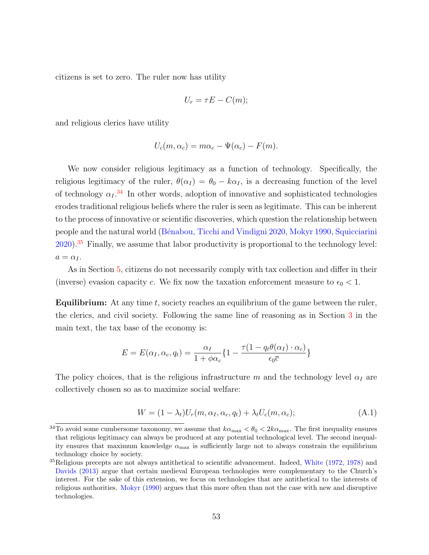citizens is set to zero. The ruler now has utility

$$
U_r = \tau E - C(m);
$$

and religious clerics have utility

$$
U_c(m, \alpha_c) = m\alpha_c - \Psi(\alpha_c) - F(m).
$$

We now consider religious legitimacy as a function of technology. Specifically, the religious legitimacy of the ruler,  $\theta(\alpha_I) = \theta_0 - k\alpha_I$ , is a decreasing function of the level of technology  $\alpha_I$ <sup>[34](#page-53-0)</sup> In other words, adoption of innovative and sophisticated technologies erodes traditional religious beliefs where the ruler is seen as legitimate. This can be inherent to the process of innovative or scientific discoveries, which question the relationship between people and the natural world [\(B´enabou, Ticchi and Vindigni](#page-43-5) [2020,](#page-43-5) [Mokyr](#page-49-3) [1990,](#page-49-3) [Squicciarini](#page-50-1) [2020\)](#page-50-1).[35](#page-53-1) Finally, we assume that labor productivity is proportional to the technology level:  $a = \alpha_I$ .

As in Section [5,](#page-28-0) citizens do not necessarily comply with tax collection and differ in their (inverse) evasion capacity c. We fix now the taxation enforcement measure to  $\epsilon_0 < 1$ .

**Equilibrium:** At any time  $t$ , society reaches an equilibrium of the game between the ruler, the clerics, and civil society. Following the same line of reasoning as in Section [3](#page-10-0) in the main text, the tax base of the economy is:

$$
E = E(\alpha_I, \alpha_c, q_t) = \frac{\alpha_I}{1 + \phi \alpha_c} \{ 1 - \frac{\tau (1 - q_t \theta(\alpha_I) \cdot \alpha_c)}{\epsilon_0 \overline{c}} \}
$$

The policy choices, that is the religious infrastructure m and the technology level  $\alpha_I$  are collectively chosen so as to maximize social welfare:

$$
W = (1 - \lambda_t)U_r(m, \alpha_I, \alpha_c, q_t) + \lambda_t U_c(m, \alpha_c); \tag{A.1}
$$

<span id="page-53-0"></span><sup>&</sup>lt;sup>34</sup>To avoid some cumbersome taxonomy, we assume that  $k\alpha_{\text{max}} < \theta_0 < 2k\alpha_{\text{max}}$ . The first inequality ensures that religious legitimacy can always be produced at any potential technological level. The second inequality ensures that maximum knowledge  $\alpha_{\text{max}}$  is sufficiently large not to always constrain the equilibrium technology choice by society.

<span id="page-53-1"></span> $35$ Religious precepts are not always antithetical to scientific advancement. Indeed, [White](#page-51-3) [\(1972,](#page-51-3) [1978\)](#page-51-4) and [Davids](#page-45-2) [\(2013\)](#page-45-2) argue that certain medieval European technologies were complementary to the Church's interest. For the sake of this extension, we focus on technologies that are antithetical to the interests of religious authorities. [Mokyr](#page-49-3) [\(1990\)](#page-49-3) argues that this more often than not the case with new and disruptive technologies.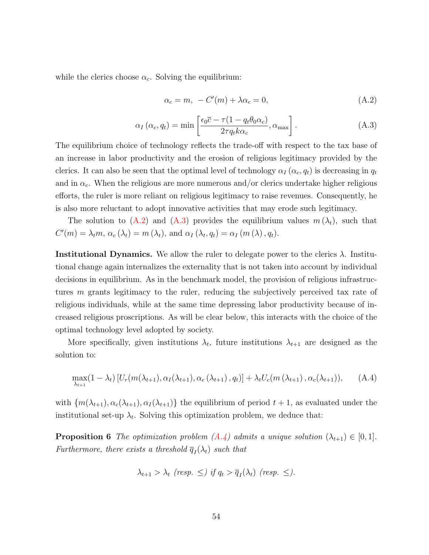while the clerics choose  $\alpha_c$ . Solving the equilibrium:

<span id="page-54-0"></span>
$$
\alpha_c = m, \ -C'(m) + \lambda \alpha_c = 0,\tag{A.2}
$$

<span id="page-54-1"></span>
$$
\alpha_I(\alpha_c, q_t) = \min\left[\frac{\epsilon_0 \bar{c} - \tau (1 - q_t \theta_0 \alpha_c)}{2 \tau q_t k \alpha_c}, \alpha_{\text{max}}\right].
$$
\n(A.3)

The equilibrium choice of technology reflects the trade-off with respect to the tax base of an increase in labor productivity and the erosion of religious legitimacy provided by the clerics. It can also be seen that the optimal level of technology  $\alpha_I(\alpha_c, q_t)$  is decreasing in  $q_t$ and in  $\alpha_c$ . When the religious are more numerous and/or clerics undertake higher religious efforts, the ruler is more reliant on religious legitimacy to raise revenues. Consequently, he is also more reluctant to adopt innovative activities that may erode such legitimacy.

The solution to [\(A.2\)](#page-54-0) and [\(A.3\)](#page-54-1) provides the equilibrium values  $m(\lambda_t)$ , such that  $C'(m) = \lambda_t m, \, \alpha_c(\lambda_t) = m(\lambda_t), \text{ and } \alpha_I(\lambda_t, q_t) = \alpha_I(m(\lambda), q_t).$ 

**Institutional Dynamics.** We allow the ruler to delegate power to the clerics  $\lambda$ . Institutional change again internalizes the externality that is not taken into account by individual decisions in equilibrium. As in the benchmark model, the provision of religious infrastructures m grants legitimacy to the ruler, reducing the subjectively perceived tax rate of religious individuals, while at the same time depressing labor productivity because of increased religious proscriptions. As will be clear below, this interacts with the choice of the optimal technology level adopted by society.

More specifically, given institutions  $\lambda_t$ , future institutions  $\lambda_{t+1}$  are designed as the solution to:

<span id="page-54-2"></span>
$$
\max_{\lambda_{t+1}} (1 - \lambda_t) \left[ U_r(m(\lambda_{t+1}), \alpha_I(\lambda_{t+1}), \alpha_c(\lambda_{t+1}), q_t) \right] + \lambda_t U_c(m(\lambda_{t+1}), \alpha_c(\lambda_{t+1})), \quad (A.4)
$$

with  $\{m(\lambda_{t+1}), \alpha_c(\lambda_{t+1}), \alpha_I(\lambda_{t+1})\}$  the equilibrium of period  $t+1$ , as evaluated under the institutional set-up  $\lambda_t$ . Solving this optimization problem, we deduce that:

<span id="page-54-3"></span>**Proposition 6** The optimization problem  $(A.4)$  admits a unique solution  $(\lambda_{t+1}) \in [0,1]$ . Furthermore, there exists a threshold  $\overline{q}_I(\lambda_t)$  such that

$$
\lambda_{t+1} > \lambda_t \ (resp. \ \leq \ ) \ \text{if } q_t > \overline{q}_I(\lambda_t) \ (resp. \ \leq ).
$$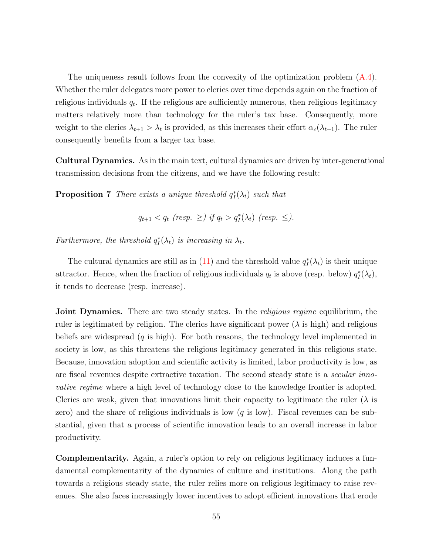The uniqueness result follows from the convexity of the optimization problem [\(A.4\)](#page-54-2). Whether the ruler delegates more power to clerics over time depends again on the fraction of religious individuals  $q_t$ . If the religious are sufficiently numerous, then religious legitimacy matters relatively more than technology for the ruler's tax base. Consequently, more weight to the clerics  $\lambda_{t+1} > \lambda_t$  is provided, as this increases their effort  $\alpha_c(\lambda_{t+1})$ . The ruler consequently benefits from a larger tax base.

Cultural Dynamics. As in the main text, cultural dynamics are driven by inter-generational transmission decisions from the citizens, and we have the following result:

<span id="page-55-0"></span>**Proposition 7** There exists a unique threshold  $q_I^*(\lambda_t)$  such that

 $q_{t+1} < q_t$  (resp.  $\geq$ ) if  $q_t > q_I^*(\lambda_t)$  (resp.  $\leq$ ).

Furthermore, the threshold  $q_l^*(\lambda_t)$  is increasing in  $\lambda_t$ .

The cultural dynamics are still as in [\(11\)](#page-15-0) and the threshold value  $q_I^*(\lambda_t)$  is their unique attractor. Hence, when the fraction of religious individuals  $q_t$  is above (resp. below)  $q_t^*(\lambda_t)$ , it tends to decrease (resp. increase).

**Joint Dynamics.** There are two steady states. In the *religious regime* equilibrium, the ruler is legitimated by religion. The clerics have significant power ( $\lambda$  is high) and religious beliefs are widespread  $(q \text{ is high})$ . For both reasons, the technology level implemented in society is low, as this threatens the religious legitimacy generated in this religious state. Because, innovation adoption and scientific activity is limited, labor productivity is low, as are fiscal revenues despite extractive taxation. The second steady state is a *secular inno*vative regime where a high level of technology close to the knowledge frontier is adopted. Clerics are weak, given that innovations limit their capacity to legitimate the ruler  $(\lambda)$  is zero) and the share of religious individuals is low  $(q$  is low). Fiscal revenues can be substantial, given that a process of scientific innovation leads to an overall increase in labor productivity.

Complementarity. Again, a ruler's option to rely on religious legitimacy induces a fundamental complementarity of the dynamics of culture and institutions. Along the path towards a religious steady state, the ruler relies more on religious legitimacy to raise revenues. She also faces increasingly lower incentives to adopt efficient innovations that erode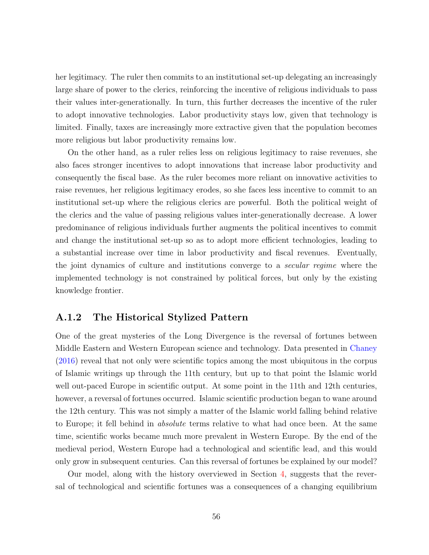her legitimacy. The ruler then commits to an institutional set-up delegating an increasingly large share of power to the clerics, reinforcing the incentive of religious individuals to pass their values inter-generationally. In turn, this further decreases the incentive of the ruler to adopt innovative technologies. Labor productivity stays low, given that technology is limited. Finally, taxes are increasingly more extractive given that the population becomes more religious but labor productivity remains low.

On the other hand, as a ruler relies less on religious legitimacy to raise revenues, she also faces stronger incentives to adopt innovations that increase labor productivity and consequently the fiscal base. As the ruler becomes more reliant on innovative activities to raise revenues, her religious legitimacy erodes, so she faces less incentive to commit to an institutional set-up where the religious clerics are powerful. Both the political weight of the clerics and the value of passing religious values inter-generationally decrease. A lower predominance of religious individuals further augments the political incentives to commit and change the institutional set-up so as to adopt more efficient technologies, leading to a substantial increase over time in labor productivity and fiscal revenues. Eventually, the joint dynamics of culture and institutions converge to a secular regime where the implemented technology is not constrained by political forces, but only by the existing knowledge frontier.

### A.1.2 The Historical Stylized Pattern

One of the great mysteries of the Long Divergence is the reversal of fortunes between Middle Eastern and Western European science and technology. Data presented in [Chaney](#page-45-4) [\(2016\)](#page-45-4) reveal that not only were scientific topics among the most ubiquitous in the corpus of Islamic writings up through the 11th century, but up to that point the Islamic world well out-paced Europe in scientific output. At some point in the 11th and 12th centuries, however, a reversal of fortunes occurred. Islamic scientific production began to wane around the 12th century. This was not simply a matter of the Islamic world falling behind relative to Europe; it fell behind in absolute terms relative to what had once been. At the same time, scientific works became much more prevalent in Western Europe. By the end of the medieval period, Western Europe had a technological and scientific lead, and this would only grow in subsequent centuries. Can this reversal of fortunes be explained by our model?

Our model, along with the history overviewed in Section [4,](#page-17-0) suggests that the reversal of technological and scientific fortunes was a consequences of a changing equilibrium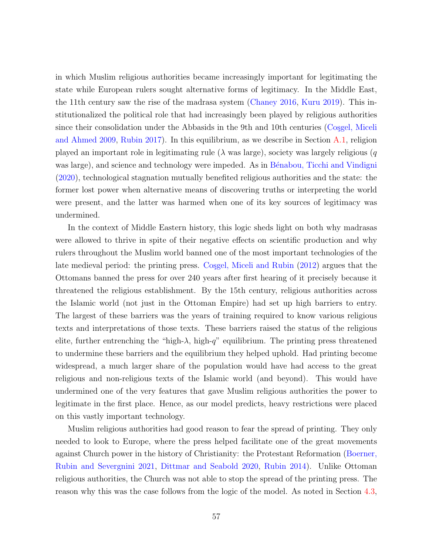in which Muslim religious authorities became increasingly important for legitimating the state while European rulers sought alternative forms of legitimacy. In the Middle East, the 11th century saw the rise of the madrasa system [\(Chaney](#page-45-4) [2016,](#page-45-4) [Kuru](#page-48-2) [2019\)](#page-48-2). This institutionalized the political role that had increasingly been played by religious authorities since their consolidation under the Abbasids in the 9th and 10th centuries (Cosgel, Miceli [and Ahmed](#page-45-5) [2009,](#page-45-5) [Rubin](#page-50-2) [2017\)](#page-50-2). In this equilibrium, as we describe in Section [A.1,](#page-52-0) religion played an important role in legitimating rule ( $\lambda$  was large), society was largely religious (q was large), and science and technology were impeded. As in Bénabou, Ticchi and Vindigni [\(2020\)](#page-43-5), technological stagnation mutually benefited religious authorities and the state: the former lost power when alternative means of discovering truths or interpreting the world were present, and the latter was harmed when one of its key sources of legitimacy was undermined.

In the context of Middle Eastern history, this logic sheds light on both why madrasas were allowed to thrive in spite of their negative effects on scientific production and why rulers throughout the Muslim world banned one of the most important technologies of the late medieval period: the printing press. Cosgel, Miceli and Rubin [\(2012\)](#page-45-3) argues that the Ottomans banned the press for over 240 years after first hearing of it precisely because it threatened the religious establishment. By the 15th century, religious authorities across the Islamic world (not just in the Ottoman Empire) had set up high barriers to entry. The largest of these barriers was the years of training required to know various religious texts and interpretations of those texts. These barriers raised the status of the religious elite, further entrenching the "high- $\lambda$ , high-q" equilibrium. The printing press threatened to undermine these barriers and the equilibrium they helped uphold. Had printing become widespread, a much larger share of the population would have had access to the great religious and non-religious texts of the Islamic world (and beyond). This would have undermined one of the very features that gave Muslim religious authorities the power to legitimate in the first place. Hence, as our model predicts, heavy restrictions were placed on this vastly important technology.

Muslim religious authorities had good reason to fear the spread of printing. They only needed to look to Europe, where the press helped facilitate one of the great movements against Church power in the history of Christianity: the Protestant Reformation [\(Boerner,](#page-44-2) [Rubin and Severgnini](#page-44-2) [2021,](#page-44-2) [Dittmar and Seabold](#page-45-6) [2020,](#page-45-6) [Rubin](#page-50-3) [2014\)](#page-50-3). Unlike Ottoman religious authorities, the Church was not able to stop the spread of the printing press. The reason why this was the case follows from the logic of the model. As noted in Section [4.3,](#page-22-0)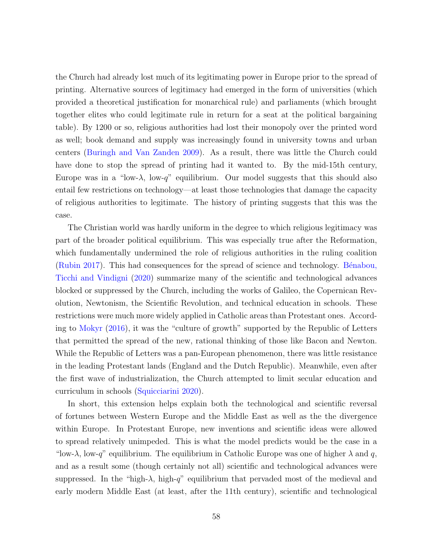the Church had already lost much of its legitimating power in Europe prior to the spread of printing. Alternative sources of legitimacy had emerged in the form of universities (which provided a theoretical justification for monarchical rule) and parliaments (which brought together elites who could legitimate rule in return for a seat at the political bargaining table). By 1200 or so, religious authorities had lost their monopoly over the printed word as well; book demand and supply was increasingly found in university towns and urban centers [\(Buringh and Van Zanden](#page-44-3) [2009\)](#page-44-3). As a result, there was little the Church could have done to stop the spread of printing had it wanted to. By the mid-15th century, Europe was in a "low- $\lambda$ , low-q" equilibrium. Our model suggests that this should also entail few restrictions on technology—at least those technologies that damage the capacity of religious authorities to legitimate. The history of printing suggests that this was the case.

The Christian world was hardly uniform in the degree to which religious legitimacy was part of the broader political equilibrium. This was especially true after the Reformation, which fundamentally undermined the role of religious authorities in the ruling coalition [\(Rubin](#page-50-2) [2017\)](#page-50-2). This had consequences for the spread of science and technology. Bénabou, [Ticchi and Vindigni](#page-43-5) [\(2020\)](#page-43-5) summarize many of the scientific and technological advances blocked or suppressed by the Church, including the works of Galileo, the Copernican Revolution, Newtonism, the Scientific Revolution, and technical education in schools. These restrictions were much more widely applied in Catholic areas than Protestant ones. According to [Mokyr](#page-49-5) [\(2016\)](#page-49-5), it was the "culture of growth" supported by the Republic of Letters that permitted the spread of the new, rational thinking of those like Bacon and Newton. While the Republic of Letters was a pan-European phenomenon, there was little resistance in the leading Protestant lands (England and the Dutch Republic). Meanwhile, even after the first wave of industrialization, the Church attempted to limit secular education and curriculum in schools [\(Squicciarini](#page-50-1) [2020\)](#page-50-1).

In short, this extension helps explain both the technological and scientific reversal of fortunes between Western Europe and the Middle East as well as the the divergence within Europe. In Protestant Europe, new inventions and scientific ideas were allowed to spread relatively unimpeded. This is what the model predicts would be the case in a "low- $\lambda$ , low-q" equilibrium. The equilibrium in Catholic Europe was one of higher  $\lambda$  and q, and as a result some (though certainly not all) scientific and technological advances were suppressed. In the "high- $\lambda$ , high-q" equilibrium that pervaded most of the medieval and early modern Middle East (at least, after the 11th century), scientific and technological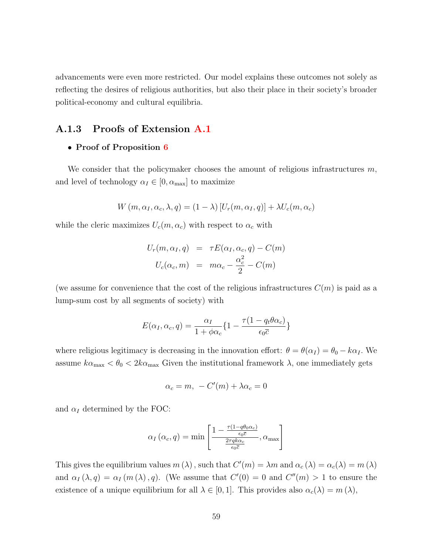advancements were even more restricted. Our model explains these outcomes not solely as reflecting the desires of religious authorities, but also their place in their society's broader political-economy and cultural equilibria.

### A.1.3 Proofs of Extension [A.1](#page-52-0)

#### • Proof of Proposition [6](#page-54-3)

We consider that the policymaker chooses the amount of religious infrastructures  $m$ , and level of technology  $\alpha_I \in [0, \alpha_{\text{max}}]$  to maximize

$$
W(m, \alpha_I, \alpha_c, \lambda, q) = (1 - \lambda) [U_r(m, \alpha_I, q)] + \lambda U_c(m, \alpha_c)
$$

while the cleric maximizes  $U_c(m, \alpha_c)$  with respect to  $\alpha_c$  with

$$
U_r(m, \alpha_I, q) = \tau E(\alpha_I, \alpha_c, q) - C(m)
$$
  

$$
U_c(\alpha_c, m) = m\alpha_c - \frac{\alpha_c^2}{2} - C(m)
$$

(we assume for convenience that the cost of the religious infrastructures  $C(m)$  is paid as a lump-sum cost by all segments of society) with

$$
E(\alpha_I, \alpha_c, q) = \frac{\alpha_I}{1 + \phi \alpha_c} \{ 1 - \frac{\tau (1 - q_t \theta \alpha_c)}{\epsilon_0 \overline{c}} \}
$$

where religious legitimacy is decreasing in the innovation effort:  $\theta = \theta(\alpha_I) = \theta_0 - k\alpha_I$ . We assume  $k\alpha_{\text{max}} < \theta_0 < 2k\alpha_{\text{max}}$  Given the institutional framework  $\lambda$ , one immediately gets

$$
\alpha_c = m, -C'(m) + \lambda \alpha_c = 0
$$

and  $\alpha_I$  determined by the FOC:

$$
\alpha_I(\alpha_c, q) = \min \left[ \frac{1 - \frac{\tau(1 - q\theta_0 \alpha_c)}{\epsilon_0 \bar{c}}}{\frac{2\tau q k \alpha_c}{\epsilon_0 \bar{c}}}, \alpha_{\max} \right]
$$

This gives the equilibrium values  $m(\lambda)$ , such that  $C'(m) = \lambda m$  and  $\alpha_c(\lambda) = \alpha_c(\lambda) = m(\lambda)$ and  $\alpha_I(\lambda, q) = \alpha_I(m(\lambda), q)$ . (We assume that  $C'(0) = 0$  and  $C''(m) > 1$  to ensure the existence of a unique equilibrium for all  $\lambda \in [0,1]$ . This provides also  $\alpha_c(\lambda) = m(\lambda)$ ,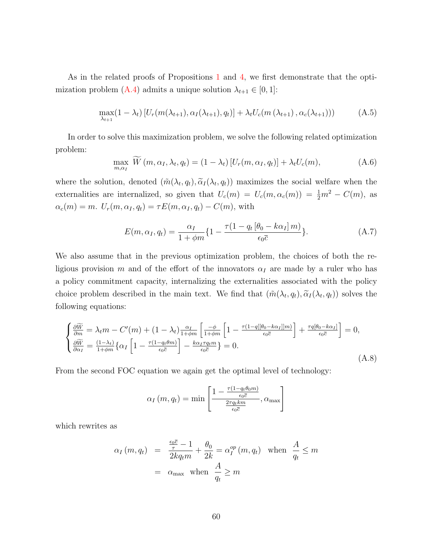As in the related proofs of Propositions [1](#page-13-0) and [4,](#page-32-0) we first demonstrate that the opti-mization problem [\(A.4\)](#page-54-2) admits a unique solution  $\lambda_{t+1} \in [0, 1]$ :

$$
\max_{\lambda_{t+1}} (1 - \lambda_t) \left[ U_r(m(\lambda_{t+1}), \alpha_I(\lambda_{t+1}), q_t) \right] + \lambda_t U_c(m(\lambda_{t+1}), \alpha_c(\lambda_{t+1}))) \tag{A.5}
$$

In order to solve this maximization problem, we solve the following related optimization problem:

$$
\max_{m,\alpha_I} \widetilde{W}(m,\alpha_I,\lambda_t,q_t) = (1-\lambda_t) \left[ U_r(m,\alpha_I,q_t) \right] + \lambda_t U_c(m), \tag{A.6}
$$

where the solution, denoted  $(\tilde{m}(\lambda_t, q_t), \tilde{\alpha}_I(\lambda_t, q_t))$  maximizes the social welfare when the externalities are internalized, so given that  $U_c(m) = U_c(m, \alpha_c(m)) = \frac{1}{2}m^2 - C(m)$ , as  $\alpha_c(m) = m$ .  $U_r(m, \alpha_I, q_t) = \tau E(m, \alpha_I, q_t) - C(m)$ , with

$$
E(m, \alpha_I, q_t) = \frac{\alpha_I}{1 + \phi m} \{ 1 - \frac{\tau (1 - q_t [\theta_0 - k \alpha_I] m)}{\epsilon_0 \overline{c}} \}.
$$
 (A.7)

We also assume that in the previous optimization problem, the choices of both the religious provision m and of the effort of the innovators  $\alpha_I$  are made by a ruler who has a policy commitment capacity, internalizing the externalities associated with the policy choice problem described in the main text. We find that  $(\tilde{m}(\lambda_t, q_t), \tilde{\alpha}_I(\lambda_t, q_t))$  solves the following equations:

$$
\begin{cases}\n\frac{\partial \widetilde{W}}{\partial m} = \lambda_t m - C'(m) + (1 - \lambda_t) \frac{\alpha_I}{1 + \phi m} \left[ \frac{-\phi}{1 + \phi m} \left[ 1 - \frac{\tau (1 - q[[\theta_0 - k\alpha_I]]m)}{\epsilon_0 \overline{c}} \right] + \frac{\tau q[\theta_0 - k\alpha_I]}{\epsilon_0 \overline{c}} \right] = 0, \\
\frac{\partial \widetilde{W}}{\partial \alpha_I} = \frac{(1 - \lambda_t)}{1 + \phi m} \left\{ \alpha_I \left[ 1 - \frac{\tau (1 - q_t \theta m)}{\epsilon_0 \overline{c}} \right] - \frac{k\alpha_I \tau q_t m}{\epsilon_0 \overline{c}} \right\} = 0.\n\end{cases} \tag{A.8}
$$

From the second FOC equation we again get the optimal level of technology:

$$
\alpha_I(m, q_t) = \min \left[ \frac{1 - \frac{\tau(1 - q_t \theta_0 m)}{\epsilon_0 \overline{c}}}{\frac{2\tau q_t km}{\epsilon_0 \overline{c}}}, \alpha_{\max} \right]
$$

which rewrites as

$$
\alpha_I(m, q_t) = \frac{\frac{\epsilon_0 \bar{c}}{\tau} - 1}{2kq_t m} + \frac{\theta_0}{2k} = \alpha_I^{op}(m, q_t) \text{ when } \frac{A}{q_t} \le m
$$

$$
= \alpha_{\text{max}} \text{ when } \frac{A}{q_t} \ge m
$$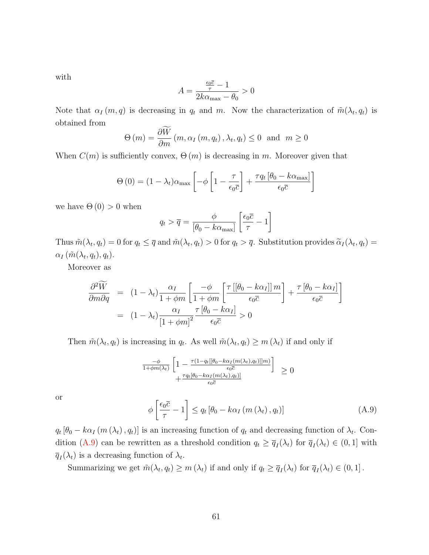with

$$
A=\frac{\frac{\epsilon_0\overline{c}}{\tau}-1}{2k\alpha_{\max}-\theta_0}>0
$$

Note that  $\alpha_I(m,q)$  is decreasing in  $q_t$  and m. Now the characterization of  $\tilde{m}(\lambda_t,q_t)$  is obtained from

$$
\Theta(m) = \frac{\partial W}{\partial m}(m, \alpha_I(m, q_t), \lambda_t, q_t) \le 0 \text{ and } m \ge 0
$$

When  $C(m)$  is sufficiently convex,  $\Theta(m)$  is decreasing in m. Moreover given that

$$
\Theta(0) = (1 - \lambda_t)\alpha_{\text{max}} \left[ -\phi \left[ 1 - \frac{\tau}{\epsilon_0 \overline{c}} \right] + \frac{\tau q_t \left[ \theta_0 - k \alpha_{\text{max}} \right]}{\epsilon_0 \overline{c}} \right]
$$

we have  $\Theta(0) > 0$  when

$$
q_t > \overline{q} = \frac{\phi}{\left[\theta_0 - k\alpha_{\text{max}}\right]} \left[\frac{\epsilon_0 \overline{c}}{\tau} - 1\right]
$$

Thus  $\tilde{m}(\lambda_t, q_t) = 0$  for  $q_t \leq \overline{q}$  and  $\tilde{m}(\lambda_t, q_t) > 0$  for  $q_t > \overline{q}$ . Substitution provides  $\tilde{\alpha}_I(\lambda_t, q_t) =$  $\alpha_I(\tilde{m}(\lambda_t,q_t),q_t).$ 

Moreover as

$$
\frac{\partial^2 \widetilde{W}}{\partial m \partial q} = (1 - \lambda_t) \frac{\alpha_I}{1 + \phi m} \left[ \frac{-\phi}{1 + \phi m} \left[ \frac{\tau \left[ \left( \theta_0 - k \alpha_I \right] \right] m}{\epsilon_0 \overline{c}} \right] + \frac{\tau \left[ \theta_0 - k \alpha_I \right]}{\epsilon_0 \overline{c}} \right]
$$
\n
$$
= (1 - \lambda_t) \frac{\alpha_I}{\left[ 1 + \phi m \right]^2} \frac{\tau \left[ \theta_0 - k \alpha_I \right]}{\epsilon_0 \overline{c}} > 0
$$

Then  $\tilde{m}(\lambda_t, q_t)$  is increasing in  $q_t$ . As well  $\tilde{m}(\lambda_t, q_t) \geq m(\lambda_t)$  if and only if

$$
\frac{-\phi}{1+\phi m(\lambda_t)} \left[ 1 - \frac{\tau(1-q_t[[\theta_0 - k\alpha_I(m(\lambda_t), q_t)]]m)}{\epsilon_0 \overline{c}} \right] \geq 0 + \frac{\tau q_t[\theta_0 - k\alpha_I(m(\lambda_t), q_t)]}{\epsilon_0 \overline{c}}
$$

or

<span id="page-61-0"></span>
$$
\phi\left[\frac{\epsilon_0 \bar{c}}{\tau} - 1\right] \le q_t \left[\theta_0 - k\alpha_I \left(m\left(\lambda_t\right), q_t\right)\right]
$$
\n(A.9)

 $q_t [\theta_0 - k \alpha_I (m (\lambda_t), q_t)]$  is an increasing function of  $q_t$  and decreasing function of  $\lambda_t$ . Con-dition [\(A.9\)](#page-61-0) can be rewritten as a threshold condition  $q_t \ge \overline{q}_I(\lambda_t)$  for  $\overline{q}_I(\lambda_t) \in (0,1]$  with  $\overline{q}_I(\lambda_t)$  is a decreasing function of  $\lambda_t$ .

Summarizing we get  $\tilde{m}(\lambda_t, q_t) \geq m(\lambda_t)$  if and only if  $q_t \geq \overline{q}_I(\lambda_t)$  for  $\overline{q}_I(\lambda_t) \in (0, 1]$ .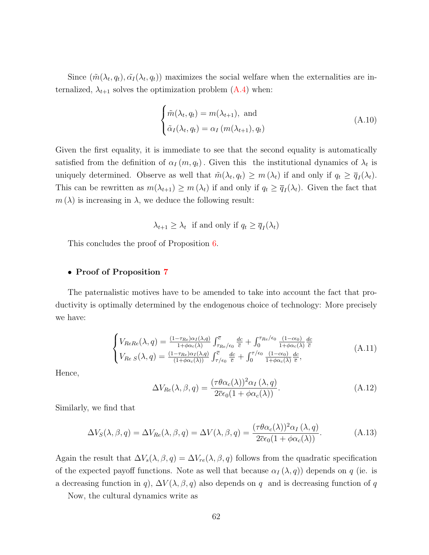Since  $(\tilde{m}(\lambda_t, q_t), \tilde{\alpha}_I(\lambda_t, q_t))$  maximizes the social welfare when the externalities are internalized,  $\lambda_{t+1}$  solves the optimization problem  $(A.4)$  when:

$$
\begin{cases} \tilde{m}(\lambda_t, q_t) = m(\lambda_{t+1}), \text{ and} \\ \tilde{\alpha}_I(\lambda_t, q_t) = \alpha_I \left( m(\lambda_{t+1}), q_t \right) \end{cases}
$$
 (A.10)

Given the first equality, it is immediate to see that the second equality is automatically satisfied from the definition of  $\alpha_I(m, q_t)$ . Given this the institutional dynamics of  $\lambda_t$  is uniquely determined. Observe as well that  $\tilde{m}(\lambda_t, q_t) \geq m(\lambda_t)$  if and only if  $q_t \geq \overline{q}_I(\lambda_t)$ . This can be rewritten as  $m(\lambda_{t+1}) \geq m(\lambda_t)$  if and only if  $q_t \geq \overline{q}_I(\lambda_t)$ . Given the fact that  $m(\lambda)$  is increasing in  $\lambda$ , we deduce the following result:

$$
\lambda_{t+1} \geq \lambda_t
$$
 if and only if  $q_t \geq \overline{q}_I(\lambda_t)$ 

This concludes the proof of Proposition [6.](#page-54-3)

#### • Proof of Proposition [7](#page-55-0)

The paternalistic motives have to be amended to take into account the fact that productivity is optimally determined by the endogenous choice of technology: More precisely we have:

$$
\begin{cases}\nV_{ReRe}(\lambda, q) = \frac{(1 - \tau_{Re})\alpha_I(\lambda, q)}{1 + \phi\alpha_c(\lambda)} \int_{\tau_{Re}/\epsilon_0}^{\overline{c}} \frac{dc}{\overline{c}} + \int_{0}^{\tau_{Re}/\epsilon_0} \frac{(1 - c\epsilon_0)}{1 + \phi\alpha_c(\lambda)} \frac{dc}{\overline{c}} \\
V_{Re S}(\lambda, q) = \frac{(1 - \tau_{Re})\alpha_I(\lambda, q)}{(1 + \phi\alpha_c(\lambda))} \int_{\tau/\epsilon_0}^{\overline{c}} \frac{dc}{\overline{c}} + \int_{0}^{\tau/\epsilon_0} \frac{(1 - c\epsilon_0)}{1 + \phi\alpha_c(\lambda)} \frac{dc}{\overline{c}},\n\end{cases} (A.11)
$$

Hence,

$$
\Delta V_{Re}(\lambda, \beta, q) = \frac{(\tau \theta \alpha_c(\lambda))^2 \alpha_I(\lambda, q)}{2\bar{c}\epsilon_0 (1 + \phi \alpha_c(\lambda))}.
$$
\n(A.12)

Similarly, we find that

$$
\Delta V_S(\lambda, \beta, q) = \Delta V_{Re}(\lambda, \beta, q) = \Delta V(\lambda, \beta, q) = \frac{(\tau \theta \alpha_c(\lambda))^2 \alpha_I(\lambda, q)}{2\overline{c}\epsilon_0 (1 + \phi \alpha_c(\lambda))}.
$$
(A.13)

Again the result that  $\Delta V_s(\lambda, \beta, q) = \Delta V_{re}(\lambda, \beta, q)$  follows from the quadratic specification of the expected payoff functions. Note as well that because  $\alpha_I(\lambda, q)$  depends on q (ie. is a decreasing function in q),  $\Delta V(\lambda, \beta, q)$  also depends on q and is decreasing function of q

Now, the cultural dynamics write as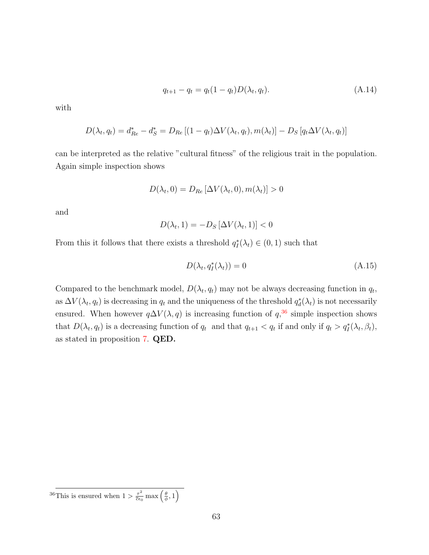$$
q_{t+1} - q_t = q_t(1 - q_t)D(\lambda_t, q_t).
$$
\n(A.14)

with

$$
D(\lambda_t, q_t) = d_{Re}^* - d_S^* = D_{Re} [(1 - q_t) \Delta V(\lambda_t, q_t), m(\lambda_t)] - D_S [q_t \Delta V(\lambda_t, q_t)]
$$

can be interpreted as the relative "cultural fitness" of the religious trait in the population. Again simple inspection shows

$$
D(\lambda_t, 0) = D_{Re} [\Delta V(\lambda_t, 0), m(\lambda_t)] > 0
$$

and

$$
D(\lambda_t, 1) = -D_S \left[ \Delta V(\lambda_t, 1) \right] < 0
$$

From this it follows that there exists a threshold  $q_I^*(\lambda_t) \in (0,1)$  such that

$$
D(\lambda_t, q_I^*(\lambda_t)) = 0 \tag{A.15}
$$

Compared to the benchmark model,  $D(\lambda_t, q_t)$  may not be always decreasing function in  $q_t$ , as  $\Delta V(\lambda_t, q_t)$  is decreasing in  $q_t$  and the uniqueness of the threshold  $q_d^*(\lambda_t)$  is not necessarily ensured. When however  $q\Delta V(\lambda, q)$  is increasing function of  $q$ ,<sup>[36](#page-63-0)</sup> simple inspection shows that  $D(\lambda_t, q_t)$  is a decreasing function of  $q_t$  and that  $q_{t+1} < q_t$  if and only if  $q_t > q_t^*(\lambda_t, \beta_t)$ , as stated in proposition [7.](#page-55-0) QED.

<span id="page-63-0"></span><sup>&</sup>lt;sup>36</sup>This is ensured when  $1 > \frac{\tau^2}{\overline{c}\epsilon}$  $\frac{\tau^2}{\overline{c}\epsilon_0} \max\left(\frac{\theta}{\phi}, 1\right)$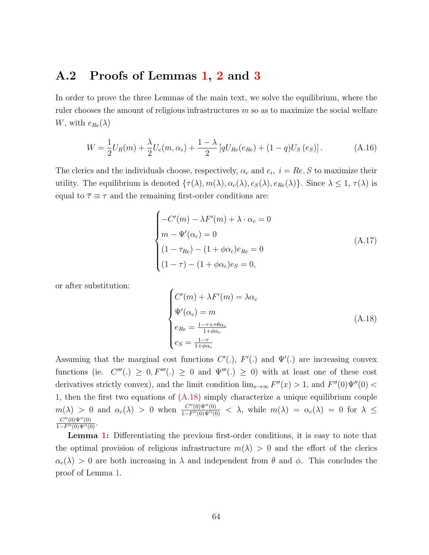## A.2 Proofs of Lemmas [1,](#page-11-0) [2](#page-11-1) and [3](#page-12-0)

In order to prove the three Lemmas of the main text, we solve the equilibrium, where the ruler chooses the amount of religious infrastructures m so as to maximize the social welfare W, with  $e_{Re}(\lambda)$ 

$$
W = \frac{1}{2}U_R(m) + \frac{\lambda}{2}U_c(m, \alpha_c) + \frac{1-\lambda}{2} \left[ qU_{Re}(e_{Re}) + (1-q)U_S(e_S) \right].
$$
 (A.16)

The clerics and the individuals choose, respectively,  $\alpha_c$  and  $e_i$ ,  $i = Re$ , S to maximize their utility. The equilibrium is denoted  $\{\tau(\lambda), m(\lambda), \alpha_c(\lambda), e_S(\lambda), e_{Re}(\lambda)\}\)$ . Since  $\lambda \leq 1, \tau(\lambda)$  is equal to  $\bar{\tau} \equiv \tau$  and the remaining first-order conditions are:

$$
\begin{cases}\n-C'(m) - \lambda F'(m) + \lambda \cdot \alpha_c = 0 \\
m - \Psi'(\alpha_c) = 0 \\
(1 - \tau_{Re}) - (1 + \phi \alpha_c) e_{Re} = 0 \\
(1 - \tau) - (1 + \phi \alpha_c) e_S = 0,\n\end{cases}
$$
\n(A.17)

or after substitution:

<span id="page-64-0"></span>
$$
\begin{cases}\nC'(m) + \lambda F'(m) = \lambda \alpha_c \\
\Psi'(\alpha_c) = m \\
e_{Re} = \frac{1 - \tau + \tau \theta \alpha_c}{1 + \phi \alpha_c} \\
e_S = \frac{1 - \tau}{1 + \phi \alpha_c}\n\end{cases}
$$
\n(A.18)

Assuming that the marginal cost functions  $C'(.)$ ,  $F'(.)$  and  $\Psi'(.)$  are increasing convex functions (ie.  $C'''(.) \geq 0, F'''(.) \geq 0$  and  $\Psi'''(.) \geq 0$ ) with at least one of these cost derivatives strictly convex), and the limit condition  $\lim_{x\to\infty} F''(x) > 1$ , and  $F''(0)\Psi''(0) <$ 1, then the first two equations of [\(A.18\)](#page-64-0) simply characterize a unique equilibrium couple  $m(\lambda) > 0$  and  $\alpha_c(\lambda) > 0$  when  $\frac{C''(0)\Psi''(0)}{1-F''(0)\Psi''(0)} < \lambda$ , while  $m(\lambda) = \alpha_c(\lambda) = 0$  for  $\lambda \leq$  $\frac{C''(0)\Psi''(0)}{1-F''(0)\Psi''(0)}$ .

Lemma [1:](#page-11-0) Differentiating the previous first-order conditions, it is easy to note that the optimal provision of religious infrastructure  $m(\lambda) > 0$  and the effort of the clerics  $\alpha_c(\lambda) > 0$  are both increasing in  $\lambda$  and independent from  $\theta$  and  $\phi$ . This concludes the proof of Lemma [1.](#page-11-0)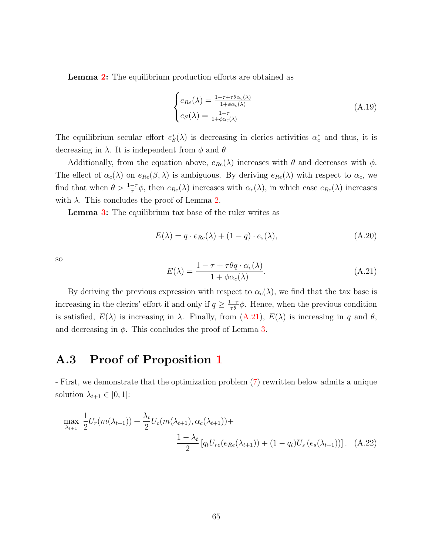**Lemma [2:](#page-11-1)** The equilibrium production efforts are obtained as

$$
\begin{cases}\ne_{Re}(\lambda) = \frac{1 - \tau + \tau \theta \alpha_c(\lambda)}{1 + \phi \alpha_c(\lambda)} \\
e_S(\lambda) = \frac{1 - \tau}{1 + \phi \alpha_c(\lambda)}\n\end{cases} \tag{A.19}
$$

The equilibrium secular effort  $e^*_S(\lambda)$  is decreasing in clerics activities  $\alpha_c^*$  and thus, it is decreasing in  $\lambda$ . It is independent from  $\phi$  and  $\theta$ 

Additionally, from the equation above,  $e_{Re}(\lambda)$  increases with  $\theta$  and decreases with  $\phi$ . The effect of  $\alpha_c(\lambda)$  on  $e_{Re}(\beta,\lambda)$  is ambiguous. By deriving  $e_{Re}(\lambda)$  with respect to  $\alpha_c$ , we find that when  $\theta > \frac{1-\tau}{\tau} \phi$ , then  $e_{Re}(\lambda)$  increases with  $\alpha_c(\lambda)$ , in which case  $e_{Re}(\lambda)$  increases with  $\lambda$ . This concludes the proof of Lemma [2.](#page-11-1)

**Lemma [3:](#page-12-0)** The equilibrium tax base of the ruler writes as

$$
E(\lambda) = q \cdot e_{Re}(\lambda) + (1 - q) \cdot e_s(\lambda), \tag{A.20}
$$

so

<span id="page-65-0"></span>
$$
E(\lambda) = \frac{1 - \tau + \tau \theta q \cdot \alpha_c(\lambda)}{1 + \phi \alpha_c(\lambda)}.
$$
\n(A.21)

By deriving the previous expression with respect to  $\alpha_c(\lambda)$ , we find that the tax base is increasing in the clerics' effort if and only if  $q \geq \frac{1-\tau}{\tau \theta} \phi$ . Hence, when the previous condition is satisfied,  $E(\lambda)$  is increasing in  $\lambda$ . Finally, from  $(A.21)$ ,  $E(\lambda)$  is increasing in q and  $\theta$ , and decreasing in  $\phi$ . This concludes the proof of Lemma [3.](#page-12-0)

## A.3 Proof of Proposition [1](#page-13-0)

- First, we demonstrate that the optimization problem [\(7\)](#page-13-1) rewritten below admits a unique solution  $\lambda_{t+1} \in [0,1]$ :

$$
\max_{\lambda_{t+1}} \frac{1}{2} U_r(m(\lambda_{t+1})) + \frac{\lambda_t}{2} U_c(m(\lambda_{t+1}), \alpha_c(\lambda_{t+1})) + \frac{1 - \lambda_t}{2} [q_t U_{re}(e_{Re}(\lambda_{t+1})) + (1 - q_t) U_s(e_s(\lambda_{t+1}))].
$$
 (A.22)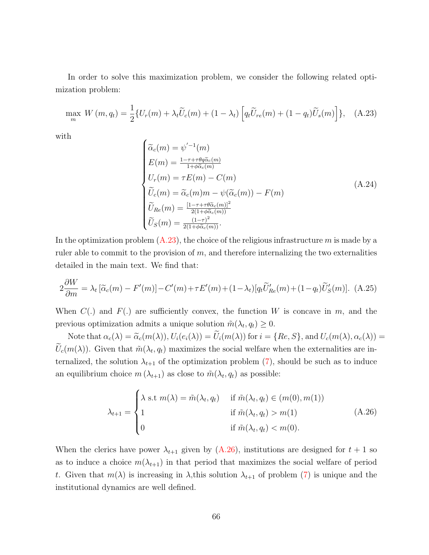In order to solve this maximization problem, we consider the following related optimization problem:

<span id="page-66-0"></span>
$$
\max_{m} W\left(m, q_t\right) = \frac{1}{2} \{ U_r(m) + \lambda_t \widetilde{U}_c(m) + (1 - \lambda_t) \left[ q_t \widetilde{U}_{re}(m) + (1 - q_t) \widetilde{U}_s(m) \right] \}, \quad \text{(A.23)}
$$

with

$$
\begin{cases}\n\widetilde{\alpha}_{c}(m) = \psi'^{-1}(m) \\
E(m) = \frac{1 - \tau + \tau \theta \widetilde{\alpha}_{c}(m)}{1 + \phi \widetilde{\alpha}_{c}(m)} \\
U_{r}(m) = \tau E(m) - C(m) \\
\widetilde{U}_{c}(m) = \widetilde{\alpha}_{c}(m)m - \psi(\widetilde{\alpha}_{c}(m)) - F(m) \\
\widetilde{U}_{Re}(m) = \frac{[1 - \tau + \tau \theta \widetilde{\alpha}_{c}(m)]^{2}}{2(1 + \phi \widetilde{\alpha}_{c}(m))} \\
\widetilde{U}_{S}(m) = \frac{(1 - \tau)^{2}}{2(1 + \phi \widetilde{\alpha}_{c}(m))}.\n\end{cases} \tag{A.24}
$$

In the optimization problem  $(A.23)$ , the choice of the religious infrastructure m is made by a ruler able to commit to the provision of  $m$ , and therefore internalizing the two externalities detailed in the main text. We find that:

$$
2\frac{\partial W}{\partial m} = \lambda_t \left[ \tilde{\alpha}_c(m) - F'(m) \right] - C'(m) + \tau E'(m) + (1 - \lambda_t) \left[ q_t \tilde{U}'_{Re}(m) + (1 - q_t) \tilde{U}'_S(m) \right].
$$
 (A.25)

When  $C(.)$  and  $F(.)$  are sufficiently convex, the function W is concave in m, and the previous optimization admits a unique solution  $\tilde{m}(\lambda_t, q_t) \geq 0$ .

Note that  $\alpha_c(\lambda) = \tilde{\alpha}_c(m(\lambda)), U_i(e_i(\lambda)) = \tilde{U}_i(m(\lambda))$  for  $i = \{Re, S\}$ , and  $U_c(m(\lambda), \alpha_c(\lambda)) =$  $U_c(m(\lambda))$ . Given that  $\tilde{m}(\lambda_t, q_t)$  maximizes the social welfare when the externalities are internalized, the solution  $\lambda_{t+1}$  of the optimization problem [\(7\)](#page-13-1), should be such as to induce an equilibrium choice  $m(\lambda_{t+1})$  as close to  $\tilde{m}(\lambda_t, q_t)$  as possible:

<span id="page-66-1"></span>
$$
\lambda_{t+1} = \begin{cases}\n\lambda \text{ s.t } m(\lambda) = \tilde{m}(\lambda_t, q_t) & \text{if } \tilde{m}(\lambda_t, q_t) \in (m(0), m(1)) \\
1 & \text{if } \tilde{m}(\lambda_t, q_t) > m(1) \\
0 & \text{if } \tilde{m}(\lambda_t, q_t) < m(0).\n\end{cases}
$$
\n(A.26)

When the clerics have power  $\lambda_{t+1}$  given by  $(A.26)$ , institutions are designed for  $t+1$  so as to induce a choice  $m(\lambda_{t+1})$  in that period that maximizes the social welfare of period t. Given that  $m(\lambda)$  is increasing in  $\lambda$ , this solution  $\lambda_{t+1}$  of problem [\(7\)](#page-13-1) is unique and the institutional dynamics are well defined.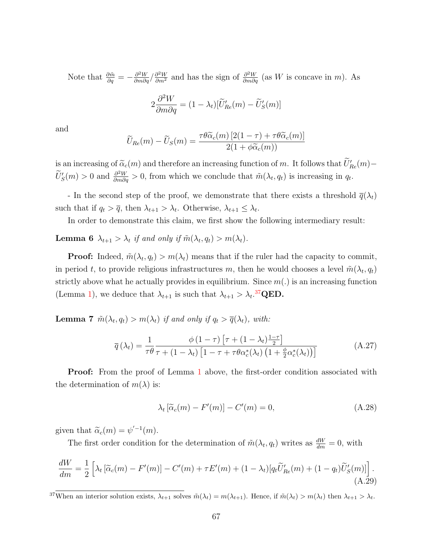Note that  $\frac{\partial \tilde{m}}{\partial q} = -\frac{\partial^2 W}{\partial m \partial q} / \frac{\partial^2 W}{\partial m^2}$  and has the sign of  $\frac{\partial^2 W}{\partial m \partial q}$  (as W is concave in m). As 2  $\frac{\partial^2 W}{\partial m \partial q} = (1 - \lambda_t) [\widetilde{U}'_{Re}(m) - \widetilde{U}'_S(m)]$ 

and

$$
\widetilde{U}_{Re}(m) - \widetilde{U}_S(m) = \frac{\tau \theta \widetilde{\alpha}_c(m) \left[2(1-\tau) + \tau \theta \widetilde{\alpha}_c(m)\right]}{2(1+\phi \widetilde{\alpha}_c(m))}
$$

is an increasing of  $\tilde{\alpha}_c(m)$  and therefore an increasing function of m. It follows that  $\tilde{U}'_{Re}(m)$  –  $\widetilde{U}'_S(m) > 0$  and  $\frac{\partial^2 W}{\partial m \partial q} > 0$ , from which we conclude that  $\widetilde{m}(\lambda_t, q_t)$  is increasing in  $q_t$ .

- In the second step of the proof, we demonstrate that there exists a threshold  $\bar{q}(\lambda_t)$ such that if  $q_t > \overline{q}$ , then  $\lambda_{t+1} > \lambda_t$ . Otherwise,  $\lambda_{t+1} \leq \lambda_t$ .

In order to demonstrate this claim, we first show the following intermediary result:

<span id="page-67-1"></span>**Lemma 6**  $\lambda_{t+1} > \lambda_t$  if and only if  $\tilde{m}(\lambda_t, q_t) > m(\lambda_t)$ .

**Proof:** Indeed,  $\tilde{m}(\lambda_t, q_t) > m(\lambda_t)$  means that if the ruler had the capacity to commit, in period t, to provide religious infrastructures m, then he would chooses a level  $\tilde{m}(\lambda_t, q_t)$ strictly above what he actually provides in equilibrium. Since  $m(.)$  is an increasing function (Lemma [1\)](#page-11-0), we deduce that  $\lambda_{t+1}$  is such that  $\lambda_{t+1} > \lambda_t$ .<sup>[37](#page-67-0)</sup>QED.

<span id="page-67-2"></span>**Lemma 7**  $\tilde{m}(\lambda_t, q_t) > m(\lambda_t)$  if and only if  $q_t > \overline{q}(\lambda_t)$ , with:

$$
\overline{q}(\lambda_t) = \frac{1}{\tau \theta} \frac{\phi(1-\tau) \left[ \tau + (1-\lambda_t) \frac{1-\tau}{2} \right]}{\tau + (1-\lambda_t) \left[ 1 - \tau + \tau \theta \alpha_c^*(\lambda_t) \left( 1 + \frac{\phi}{2} \alpha_c^*(\lambda_t) \right) \right]}
$$
(A.27)

**Proof:** From the proof of Lemma [1](#page-11-0) above, the first-order condition associated with the determination of  $m(\lambda)$  is:

$$
\lambda_t \left[ \tilde{\alpha}_c(m) - F'(m) \right] - C'(m) = 0, \tag{A.28}
$$

given that  $\widetilde{\alpha}_c(m) = \psi'^{-1}(m)$ .

The first order condition for the determination of  $\tilde{m}(\lambda_t, q_t)$  writes as  $\frac{dW}{dm} = 0$ , with

$$
\frac{dW}{dm} = \frac{1}{2} \left[ \lambda_t \left[ \tilde{\alpha}_c(m) - F'(m) \right] - C'(m) + \tau E'(m) + (1 - \lambda_t) \left[ q_t \tilde{U}'_{Re}(m) + (1 - q_t) \tilde{U}'_S(m) \right] \right].
$$
\n(A.29)

<span id="page-67-0"></span><sup>37</sup>When an interior solution exists,  $\lambda_{t+1}$  solves  $\tilde{m}(\lambda_t) = m(\lambda_{t+1})$ . Hence, if  $\tilde{m}(\lambda_t) > m(\lambda_t)$  then  $\lambda_{t+1} > \lambda_t$ .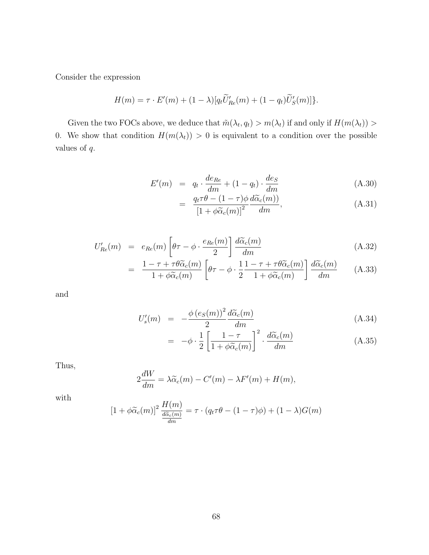Consider the expression

$$
H(m) = \tau \cdot E'(m) + (1 - \lambda) [q_t \widetilde{U}'_{Re}(m) + (1 - q_t) \widetilde{U}'_S(m)] \}.
$$

Given the two FOCs above, we deduce that  $\tilde{m}(\lambda_t, q_t) > m(\lambda_t)$  if and only if  $H(m(\lambda_t)) >$ 0. We show that condition  $H(m(\lambda_t)) > 0$  is equivalent to a condition over the possible values of q.

$$
E'(m) = q_t \cdot \frac{de_{Re}}{dm} + (1 - q_t) \cdot \frac{de_S}{dm}
$$
 (A.30)

$$
= \frac{q_t \tau \theta - (1 - \tau)\phi}{\left[1 + \phi \tilde{\alpha}_c(m)\right]^2} \frac{d\tilde{\alpha}_c(m)}{dm},
$$
\n(A.31)

$$
U'_{Re}(m) = e_{Re}(m) \left[ \theta \tau - \phi \cdot \frac{e_{Re}(m)}{2} \right] \frac{d\tilde{\alpha}_c(m)}{dm}
$$
 (A.32)

$$
= \frac{1 - \tau + \tau \theta \widetilde{\alpha}_c(m)}{1 + \phi \widetilde{\alpha}_c(m)} \left[ \theta \tau - \phi \cdot \frac{1}{2} \frac{1 - \tau + \tau \theta \widetilde{\alpha}_c(m)}{1 + \phi \widetilde{\alpha}_c(m)} \right] \frac{d \widetilde{\alpha}_c(m)}{dm} \tag{A.33}
$$

and

$$
U_s'(m) = -\frac{\phi\left(e_s(m)\right)^2}{2} \frac{d\widetilde{\alpha}_c(m)}{dm} \tag{A.34}
$$

$$
= -\phi \cdot \frac{1}{2} \left[ \frac{1-\tau}{1+\phi \widetilde{\alpha}_c(m)} \right]^2 \cdot \frac{d \widetilde{\alpha}_c(m)}{dm}
$$
 (A.35)

Thus,

$$
2\frac{dW}{dm} = \lambda \widetilde{\alpha}_c(m) - C'(m) - \lambda F'(m) + H(m),
$$

with

$$
[1 + \phi \widetilde{\alpha}_c(m)]^2 \frac{H(m)}{\frac{d \widetilde{\alpha}_c(m)}{dm}} = \tau \cdot (q_t \tau \theta - (1 - \tau)\phi) + (1 - \lambda)G(m)
$$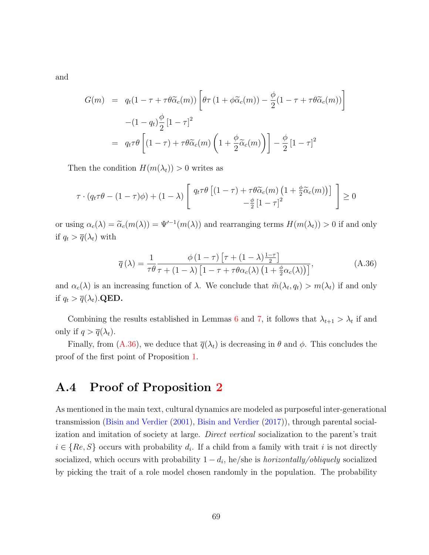and

$$
G(m) = q_t(1 - \tau + \tau \theta \widetilde{\alpha}_c(m)) \left[ \theta \tau (1 + \phi \widetilde{\alpha}_c(m)) - \frac{\phi}{2} (1 - \tau + \tau \theta \widetilde{\alpha}_c(m)) \right]
$$

$$
- (1 - q_t) \frac{\phi}{2} [1 - \tau]^2
$$

$$
= q_t \tau \theta \left[ (1 - \tau) + \tau \theta \widetilde{\alpha}_c(m) \left( 1 + \frac{\phi}{2} \widetilde{\alpha}_c(m) \right) \right] - \frac{\phi}{2} [1 - \tau]^2
$$

Then the condition  $H(m(\lambda_t)) > 0$  writes as

$$
\tau \cdot (q_t \tau \theta - (1 - \tau)\phi) + (1 - \lambda) \begin{bmatrix} q_t \tau \theta \left[ (1 - \tau) + \tau \theta \tilde{\alpha}_c(m) \left( 1 + \frac{\phi}{2} \tilde{\alpha}_c(m) \right) \right] \\ -\frac{\phi}{2} \left[ 1 - \tau \right]^2 \end{bmatrix} \ge 0
$$

or using  $\alpha_c(\lambda) = \tilde{\alpha}_c(m(\lambda)) = \Psi'^{-1}(m(\lambda))$  and rearranging terms  $H(m(\lambda_t)) > 0$  if and only if  $q_t > \overline{q}(\lambda_t)$  with

<span id="page-69-0"></span>
$$
\overline{q}(\lambda) = \frac{1}{\tau \theta} \frac{\phi(1-\tau) \left[ \tau + (1-\lambda)\frac{1-\tau}{2} \right]}{\tau + (1-\lambda) \left[ 1 - \tau + \tau \theta \alpha_c(\lambda) \left( 1 + \frac{\phi}{2} \alpha_c(\lambda) \right) \right]},
$$
(A.36)

and  $\alpha_c(\lambda)$  is an increasing function of  $\lambda$ . We conclude that  $\tilde{m}(\lambda_t, q_t) > m(\lambda_t)$  if and only if  $q_t > \overline{q}(\lambda_t)$ . QED.

Combining the results established in Lemmas [6](#page-67-1) and [7,](#page-67-2) it follows that  $\lambda_{t+1} > \lambda_t$  if and only if  $q > \overline{q}(\lambda_t)$ .

Finally, from [\(A.36\)](#page-69-0), we deduce that  $\overline{q}(\lambda_t)$  is decreasing in  $\theta$  and  $\phi$ . This concludes the proof of the first point of Proposition [1.](#page-13-0)

## A.4 Proof of Proposition [2](#page-15-1)

As mentioned in the main text, cultural dynamics are modeled as purposeful inter-generational transmission [\(Bisin and Verdier](#page-43-6) [\(2001\)](#page-43-6), [Bisin and Verdier](#page-44-4) [\(2017\)](#page-44-4)), through parental socialization and imitation of society at large. Direct vertical socialization to the parent's trait  $i \in \{Re, S\}$  occurs with probability  $d_i$ . If a child from a family with trait i is not directly socialized, which occurs with probability  $1 - d_i$ , he/she is *horizontally/obliquely* socialized by picking the trait of a role model chosen randomly in the population. The probability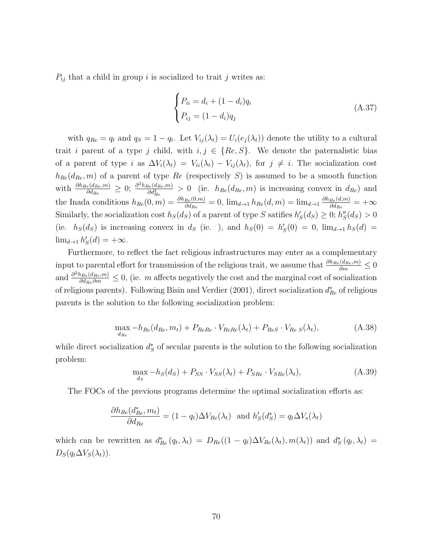$P_{ij}$  that a child in group i is socialized to trait j writes as:

<span id="page-70-0"></span>
$$
\begin{cases}\nP_{ii} = d_i + (1 - d_i)q_i \\
P_{ij} = (1 - d_i)q_j\n\end{cases}
$$
\n(A.37)

with  $q_{Re} = q_t$  and  $q_S = 1 - q_t$ . Let  $V_{ij}(\lambda_t) = U_i(e_j(\lambda_t))$  denote the utility to a cultural trait i parent of a type j child, with  $i, j \in \{Re, S\}$ . We denote the paternalistic bias of a parent of type i as  $\Delta V_i(\lambda_t) = V_{ii}(\lambda_t) - V_{ij}(\lambda_t)$ , for  $j \neq i$ . The socialization cost  $h_{Re}(d_{Re}, m)$  of a parent of type  $Re$  (respectively S) is assumed to be a smooth function with  $\frac{\partial h_{Re}(d_{Re}, m)}{\partial d_{Re}} \geq 0$ ;  $\frac{\partial^2 h_{Re}(d_{Re}, m)}{\partial d_{Re}^2}$  $\frac{\partial e^{(d_{Re},m)}}{\partial d_{Re}^2} > 0$  (ie.  $h_{Re}(d_{Re},m)$  is increasing convex in  $d_{Re}$ ) and the Inada conditions  $h_{Re}(0,m) = \frac{\partial h_{Re}(0,m)}{\partial d_{Re}} = 0$ ,  $\lim_{d\to 1} h_{Re}(d,m) = \lim_{d\to 1} \frac{\partial h_{Re}(d,m)}{\partial d_{Re}}$  $\frac{Re(d,m)}{\partial d_{Re}} = +\infty$ Similarly, the socialization cost  $h_S(d_S)$  of a parent of type S satifies  $h'_S(d_S) \geq 0$ ;  $h''_S(d_S) > 0$ (ie.  $h_S(d_S)$  is increasing convex in  $d_S$  (ie. ), and  $h_S(0) = h'_S(0) = 0$ ,  $\lim_{d\to 1} h_S(d) =$  $\lim_{d\to 1} h'_S(d) = +\infty.$ 

Furthermore, to reflect the fact religious infrastructures may enter as a complementary input to parental effort for transmission of the religious trait, we assume that  $\frac{\partial h_{Re}(d_{Re}, m)}{\partial m} \leq 0$ and  $\frac{\partial^2 h_{Re}(d_{Re},m)}{\partial d_{Re}\partial m} \leq 0$ , (ie. m affects negatively the cost and the marginal cost of socialization of religious parents). Following Bisin and Verdier (2001), direct socialization  $d_{Re}^*$  of religious parents is the solution to the following socialization problem:

$$
\max_{d_{Re}} -h_{Re}(d_{Re}, m_t) + P_{ReRe} \cdot V_{ReRe}(\lambda_t) + P_{ReS} \cdot V_{ReS}(\lambda_t),
$$
\n(A.38)

while direct socialization  $d_S^*$  of secular parents is the solution to the following socialization problem:

$$
\max_{d_S} -h_S(d_S) + P_{SS} \cdot V_{SS}(\lambda_t) + P_{SRe} \cdot V_{SRe}(\lambda_t),\tag{A.39}
$$

The FOCs of the previous programs determine the optimal socialization efforts as:

$$
\frac{\partial h_{Re}(d_{Re}^*, m_t)}{\partial d_{Re}} = (1 - q_t) \Delta V_{Re}(\lambda_t) \text{ and } h'_{S}(d_{S}^*) = q_t \Delta V_{s}(\lambda_t)
$$

which can be rewritten as  $d_{Re}^*(q_t, \lambda_t) = D_{Re}((1-q_t)\Delta V_{Re}(\lambda_t), m(\lambda_t))$  and  $d_S^*(q_t, \lambda_t) =$  $D_S(q_t \Delta V_S(\lambda_t)).$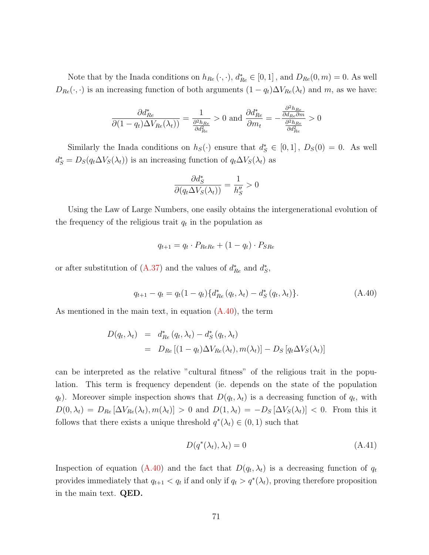Note that by the Inada conditions on  $h_{Re}(\cdot, \cdot)$ ,  $d_{Re}^* \in [0,1]$ , and  $D_{Re}(0,m) = 0$ . As well  $D_{Re}(\cdot, \cdot)$  is an increasing function of both arguments  $(1 - q_t)\Delta V_{Re}(\lambda_t)$  and m, as we have:

$$
\frac{\partial d_{Re}^*}{\partial (1 - q_t) \Delta V_{Re}(\lambda_t))} = \frac{1}{\frac{\partial^2 h_{Re}}{\partial d_{Re}^2}} > 0 \text{ and } \frac{\partial d_{Re}^*}{\partial m_t} = -\frac{\frac{\partial^2 h_{Re}}{\partial d_{Re} \partial m}}{\frac{\partial^2 h_{Re}}{\partial d_{Re}^2}} > 0
$$

Similarly the Inada conditions on  $h<sub>S</sub>(.)$  ensure that  $d<sub>S</sub><sup>*</sup> \in [0,1]$ ,  $D<sub>S</sub>(0) = 0$ . As well  $d_S^* = D_S(q_t \Delta V_S(\lambda_t))$  is an increasing function of  $q_t \Delta V_S(\lambda_t)$  as

$$
\frac{\partial d_S^*}{\partial (q_t \Delta V_S(\lambda_t))} = \frac{1}{h_S''} > 0
$$

Using the Law of Large Numbers, one easily obtains the intergenerational evolution of the frequency of the religious trait  $q_t$  in the population as

$$
q_{t+1} = q_t \cdot P_{ReRe} + (1 - q_t) \cdot P_{SRe}
$$

or after substitution of  $(A.37)$  and the values of  $d_{Re}^*$  and  $d_S^*$ ,

<span id="page-71-0"></span>
$$
q_{t+1} - q_t = q_t (1 - q_t) \{ d_{Re}^*(q_t, \lambda_t) - d_S^*(q_t, \lambda_t) \}.
$$
 (A.40)

As mentioned in the main text, in equation [\(A.40\)](#page-71-0), the term

$$
D(q_t, \lambda_t) = d_{Re}^*(q_t, \lambda_t) - d_S^*(q_t, \lambda_t)
$$
  
= 
$$
D_{Re}[(1 - q_t)\Delta V_{Re}(\lambda_t), m(\lambda_t)] - D_S[q_t\Delta V_S(\lambda_t)]
$$

can be interpreted as the relative "cultural fitness" of the religious trait in the population. This term is frequency dependent (ie. depends on the state of the population  $q_t$ ). Moreover simple inspection shows that  $D(q_t, \lambda_t)$  is a decreasing function of  $q_t$ , with  $D(0, \lambda_t) = D_{Re} [\Delta V_{Re}(\lambda_t), m(\lambda_t)] > 0$  and  $D(1, \lambda_t) = -D_S [\Delta V_S(\lambda_t)] < 0$ . From this it follows that there exists a unique threshold  $q^*(\lambda_t) \in (0,1)$  such that

$$
D(q^*(\lambda_t), \lambda_t) = 0 \tag{A.41}
$$

Inspection of equation [\(A.40\)](#page-71-0) and the fact that  $D(q_t, \lambda_t)$  is a decreasing function of  $q_t$ provides immediately that  $q_{t+1} < q_t$  if and only if  $q_t > q^*(\lambda_t)$ , proving therefore proposition in the main text. QED.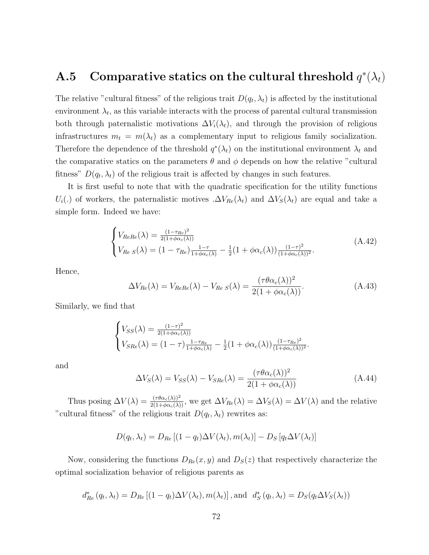# **A.5** Comparative statics on the cultural threshold  $q^*(\lambda_t)$

The relative "cultural fitness" of the religious trait  $D(q_t, \lambda_t)$  is affected by the institutional environment  $\lambda_t$ , as this variable interacts with the process of parental cultural transmission both through paternalistic motivations  $\Delta V_i(\lambda_t)$ , and through the provision of religious infrastructures  $m_t = m(\lambda_t)$  as a complementary input to religious family socialization. Therefore the dependence of the threshold  $q^*(\lambda_t)$  on the institutional environment  $\lambda_t$  and the comparative statics on the parameters  $\theta$  and  $\phi$  depends on how the relative "cultural" fitness"  $D(q_t, \lambda_t)$  of the religious trait is affected by changes in such features.

It is first useful to note that with the quadratic specification for the utility functions  $U_i(.)$  of workers, the paternalistic motives  $\Delta V_{Re}(\lambda_t)$  and  $\Delta V_S(\lambda_t)$  are equal and take a simple form. Indeed we have:

$$
\begin{cases}\nV_{ReRe}(\lambda) = \frac{(1 - \tau_{Re})^2}{2(1 + \phi \alpha_c(\lambda))} \\
V_{Re S}(\lambda) = (1 - \tau_{Re}) \frac{1 - \tau}{1 + \phi \alpha_c(\lambda)} - \frac{1}{2} (1 + \phi \alpha_c(\lambda)) \frac{(1 - \tau)^2}{(1 + \phi \alpha_c(\lambda))^2}.\n\end{cases} (A.42)
$$

Hence,

<span id="page-72-0"></span>
$$
\Delta V_{Re}(\lambda) = V_{ReRe}(\lambda) - V_{Re\ S}(\lambda) = \frac{(\tau \theta \alpha_c(\lambda))^2}{2(1 + \phi \alpha_c(\lambda))}.
$$
\n(A.43)

Similarly, we find that

$$
\begin{cases}\nV_{SS}(\lambda) = \frac{(1-\tau)^2}{2(1+\phi\alpha_c(\lambda))} \\
V_{SRe}(\lambda) = (1-\tau)\frac{1-\tau_{Re}}{1+\phi\alpha_c(\lambda)} - \frac{1}{2}(1+\phi\alpha_c(\lambda))\frac{(1-\tau_{Re})^2}{(1+\phi\alpha_c(\lambda))^2}.\n\end{cases}
$$

and

<span id="page-72-1"></span>
$$
\Delta V_S(\lambda) = V_{SS}(\lambda) - V_{SRe}(\lambda) = \frac{(\tau \theta \alpha_c(\lambda))^2}{2(1 + \phi \alpha_c(\lambda))}
$$
(A.44)

Thus posing  $\Delta V(\lambda) = \frac{(\tau \theta \alpha_c(\lambda))^2}{2(1 + \phi \alpha_c(\lambda))}$ , we get  $\Delta V_{Re}(\lambda) = \Delta V_S(\lambda) = \Delta V(\lambda)$  and the relative "cultural fitness" of the religious trait  $D(q_t, \lambda_t)$  rewrites as:

$$
D(q_t, \lambda_t) = D_{Re} [(1 - q_t) \Delta V(\lambda_t), m(\lambda_t)] - D_S [q_t \Delta V(\lambda_t)]
$$

Now, considering the functions  $D_{Re}(x, y)$  and  $D_{S}(z)$  that respectively characterize the optimal socialization behavior of religious parents as

$$
d_{Re}^*(q_t, \lambda_t) = D_{Re} [(1 - q_t) \Delta V(\lambda_t), m(\lambda_t)], \text{and } d_S^*(q_t, \lambda_t) = D_S(q_t \Delta V_S(\lambda_t))
$$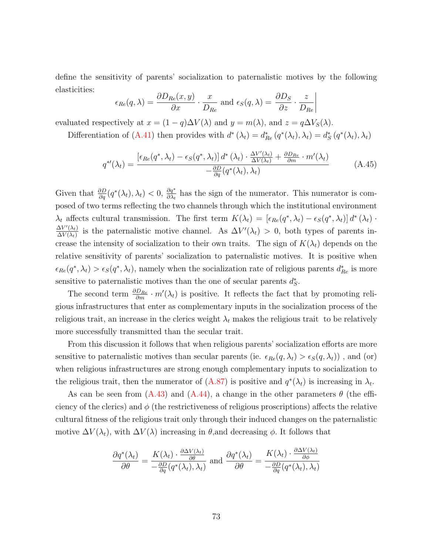define the sensitivity of parents' socialization to paternalistic motives by the following elasticities:

$$
\epsilon_{Re}(q,\lambda) = \frac{\partial D_{Re}(x,y)}{\partial x} \cdot \frac{x}{D_{Re}} \text{ and } \epsilon_{S}(q,\lambda) = \frac{\partial D_{S}}{\partial z} \cdot \frac{z}{D_{Re}}\Big|
$$

evaluated respectively at  $x = (1 - q)\Delta V(\lambda)$  and  $y = m(\lambda)$ , and  $z = q\Delta V_S(\lambda)$ .

Differentiation of [\(A.41\)](#page-71-0) then provides with  $d^*(\lambda_t) = d_{Re}^*(q^*(\lambda_t), \lambda_t) = d_S^*(q^*(\lambda_t), \lambda_t)$ 

$$
q^{*'}(\lambda_t) = \frac{\left[\epsilon_{Re}(q^*, \lambda_t) - \epsilon_{S}(q^*, \lambda_t)\right]d^*(\lambda_t) \cdot \frac{\Delta V'(\lambda_t)}{\Delta V(\lambda_t)} + \frac{\partial D_{Re}}{\partial m} \cdot m'(\lambda_t)}{-\frac{\partial D}{\partial q}(q^*(\lambda_t), \lambda_t)}\tag{A.45}
$$

Given that  $\frac{\partial D}{\partial q}(q^*(\lambda_t), \lambda_t) < 0$ ,  $\frac{\partial q^*}{\partial \lambda_t}$  has the sign of the numerator. This numerator is composed of two terms reflecting the two channels through which the institutional environment  $\lambda_t$  affects cultural transmission. The first term  $K(\lambda_t) = [\epsilon_{Re}(q^*, \lambda_t) - \epsilon_{S}(q^*, \lambda_t)] d^*(\lambda_t)$ .  $\Delta V'(\lambda_t)$  $\frac{\Delta V'(\lambda_t)}{\Delta V(\lambda_t)}$  is the paternalistic motive channel. As  $\Delta V'(\lambda_t) > 0$ , both types of parents increase the intensity of socialization to their own traits. The sign of  $K(\lambda_t)$  depends on the relative sensitivity of parents' socialization to paternalistic motives. It is positive when  $\epsilon_{Re}(q^*,\lambda_t) > \epsilon_{S}(q^*,\lambda_t)$ , namely when the socialization rate of religious parents  $d_{Re}^*$  is more sensitive to paternalistic motives than the one of secular parents  $d_S^*$ .

The second term  $\frac{\partial D_{Re}}{\partial m} \cdot m'(\lambda_t)$  is positive. It reflects the fact that by promoting religious infrastructures that enter as complementary inputs in the socialization process of the religious trait, an increase in the clerics weight  $\lambda_t$  makes the religious trait to be relatively more successfully transmitted than the secular trait.

From this discussion it follows that when religious parents' socialization efforts are more sensitive to paternalistic motives than secular parents (ie.  $\epsilon_{Re}(q, \lambda_t) > \epsilon_{S}(q, \lambda_t)$ ), and (or) when religious infrastructures are strong enough complementary inputs to socialization to the religious trait, then the numerator of  $(A.87)$  is positive and  $q^*(\lambda_t)$  is increasing in  $\lambda_t$ .

As can be seen from  $(A.43)$  and  $(A.44)$ , a change in the other parameters  $\theta$  (the efficiency of the clerics) and  $\phi$  (the restrictiveness of religious proscriptions) affects the relative cultural fitness of the religious trait only through their induced changes on the paternalistic motive  $\Delta V(\lambda_t)$ , with  $\Delta V(\lambda)$  increasing in  $\theta$ , and decreasing  $\phi$ . It follows that

$$
\frac{\partial q^*(\lambda_t)}{\partial \theta} = \frac{K(\lambda_t) \cdot \frac{\partial \Delta V(\lambda_t)}{\partial \theta}}{-\frac{\partial D}{\partial q}(q^*(\lambda_t), \lambda_t)} \text{ and } \frac{\partial q^*(\lambda_t)}{\partial \theta} = \frac{K(\lambda_t) \cdot \frac{\partial \Delta V(\lambda_t)}{\partial \phi}}{-\frac{\partial D}{\partial q}(q^*(\lambda_t), \lambda_t)}
$$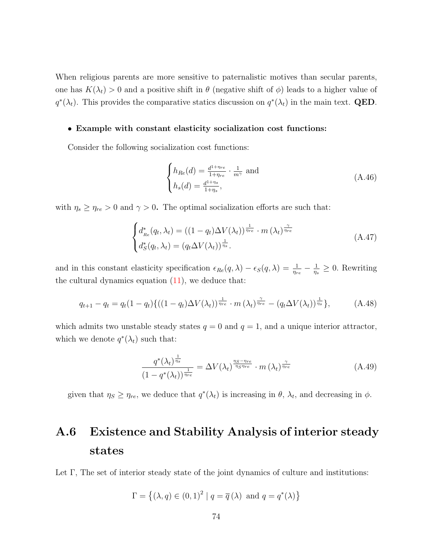When religious parents are more sensitive to paternalistic motives than secular parents, one has  $K(\lambda_t) > 0$  and a positive shift in  $\theta$  (negative shift of  $\phi$ ) leads to a higher value of  $q^*(\lambda_t)$ . This provides the comparative statics discussion on  $q^*(\lambda_t)$  in the main text. **QED**.

#### • Example with constant elasticity socialization cost functions:

Consider the following socialization cost functions:

$$
\begin{cases}\nh_{Re}(d) = \frac{d^{1+\eta_{re}}}{1+\eta_{re}} \cdot \frac{1}{m^{\gamma}} \text{ and} \\
h_s(d) = \frac{d^{1+\eta_s}}{1+\eta_s},\n\end{cases} \tag{A.46}
$$

with  $\eta_s \ge \eta_{re} > 0$  and  $\gamma > 0$ . The optimal socialization efforts are such that:

$$
\begin{cases} d_{Re}^*(q_t, \lambda_t) = ((1 - q_t) \Delta V(\lambda_t))^{\frac{1}{\eta_{re}}} \cdot m(\lambda_t)^{\frac{\gamma}{\eta_{re}}} \\ d_S^*(q_t, \lambda_t) = (q_t \Delta V(\lambda_t))^{\frac{1}{\eta_s}}. \end{cases} \tag{A.47}
$$

and in this constant elasticity specification  $\epsilon_{Re}(q, \lambda) - \epsilon_{S}(q, \lambda) = \frac{1}{\eta_{re}} - \frac{1}{\eta_{s}}$  $\frac{1}{\eta_s} \geq 0$ . Rewriting the cultural dynamics equation  $(11)$ , we deduce that:

<span id="page-74-0"></span>
$$
q_{t+1} - q_t = q_t (1 - q_t) \{ ((1 - q_t) \Delta V(\lambda_t))^{\frac{1}{\eta_{re}}} \cdot m(\lambda_t)^{\frac{\gamma}{\eta_{re}}} - (q_t \Delta V(\lambda_t))^{\frac{1}{\eta_s}} \}, \tag{A.48}
$$

which admits two unstable steady states  $q = 0$  and  $q = 1$ , and a unique interior attractor, which we denote  $q^*(\lambda_t)$  such that:

$$
\frac{q^*(\lambda_t)^{\frac{1}{\eta_s}}}{(1-q^*(\lambda_t))^{\frac{1}{\eta_{re}}}} = \Delta V(\lambda_t)^{\frac{\eta_s - \eta_{re}}{\eta_s \eta_{re}}} \cdot m(\lambda_t)^{\frac{\gamma}{\eta_{re}}} \tag{A.49}
$$

given that  $\eta_s \geq \eta_{re}$ , we deduce that  $q^*(\lambda_t)$  is increasing in  $\theta$ ,  $\lambda_t$ , and decreasing in  $\phi$ .

## A.6 Existence and Stability Analysis of interior steady states

Let  $\Gamma$ , The set of interior steady state of the joint dynamics of culture and institutions:

$$
\Gamma = \left\{ (\lambda, q) \in (0, 1)^2 \mid q = \overline{q} (\lambda) \text{ and } q = q^*(\lambda) \right\}
$$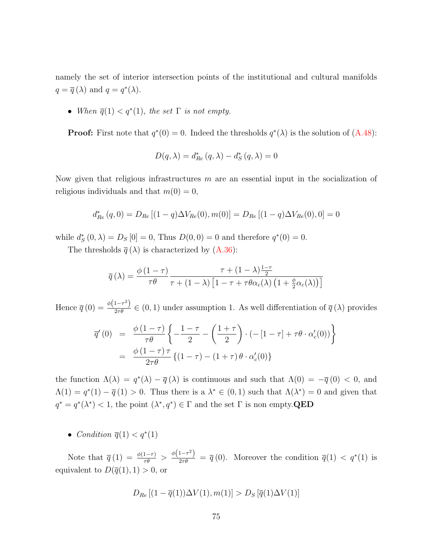namely the set of interior intersection points of the institutional and cultural manifolds  $q = \overline{q}(\lambda)$  and  $q = q^*(\lambda)$ .

• When  $\overline{q}(1) < q^*(1)$ , the set  $\Gamma$  is not empty.

**Proof:** First note that  $q^*(0) = 0$ . Indeed the thresholds  $q^*(\lambda)$  is the solution of  $(A.48)$ :

$$
D(q,\lambda)=d_{Re}^{*}\left(q,\lambda\right)-d_{S}^{*}\left(q,\lambda\right)=0
$$

Now given that religious infrastructures m are an essential input in the socialization of religious individuals and that  $m(0) = 0$ ,

$$
d_{Re}^{*}(q,0) = D_{Re} [(1 - q)\Delta V_{Re}(0), m(0)] = D_{Re} [(1 - q)\Delta V_{Re}(0), 0] = 0
$$

while  $d_S^*(0, \lambda) = D_S[0] = 0$ , Thus  $D(0, 0) = 0$  and therefore  $q^*(0) = 0$ .

The thresholds  $\bar{q}(\lambda)$  is characterized by [\(A.36\)](#page-69-0):

$$
\overline{q}(\lambda) = \frac{\phi(1-\tau)}{\tau \theta} \frac{\tau + (1-\lambda)\frac{1-\tau}{2}}{\tau + (1-\lambda)\left[1-\tau + \tau \theta \alpha_c(\lambda)\left(1 + \frac{\phi}{2}\alpha_c(\lambda)\right)\right]}
$$

Hence  $\overline{q}(0) = \frac{\phi(1-\tau^2)}{2\tau\theta} \in (0,1)$  under assumption 1. As well differentiation of  $\overline{q}(\lambda)$  provides

$$
\overline{q}'(0) = \frac{\phi(1-\tau)}{\tau\theta} \left\{ -\frac{1-\tau}{2} - \left(\frac{1+\tau}{2}\right) \cdot \left(-[1-\tau] + \tau\theta \cdot \alpha'_c(0)\right) \right\}
$$

$$
= \frac{\phi(1-\tau)\tau}{2\tau\theta} \left\{ (1-\tau) - (1+\tau)\theta \cdot \alpha'_c(0) \right\}
$$

the function  $\Lambda(\lambda) = q^*(\lambda) - \overline{q}(\lambda)$  is continuous and such that  $\Lambda(0) = -\overline{q}(0) < 0$ , and  $\Lambda(1) = q^*(1) - \overline{q}(1) > 0$ . Thus there is a  $\lambda^* \in (0,1)$  such that  $\Lambda(\lambda^*) = 0$  and given that  $q^* = q^*(\lambda^*) < 1$ , the point  $(\lambda^*, q^*) \in \Gamma$  and the set  $\Gamma$  is non empty. QED

• Condition  $\overline{q}(1) < q^*(1)$ 

Note that  $\overline{q}(1) = \frac{\phi(1-\tau)}{\tau \theta} > \frac{\phi(1-\tau^2)}{2\tau \theta} = \overline{q}(0)$ . Moreover the condition  $\overline{q}(1) < q^*(1)$  is equivalent to  $D(\overline{q}(1), 1) > 0$ , or

$$
D_{Re}[(1-\overline{q}(1))\Delta V(1), m(1)] > D_{S}[\overline{q}(1)\Delta V(1)]
$$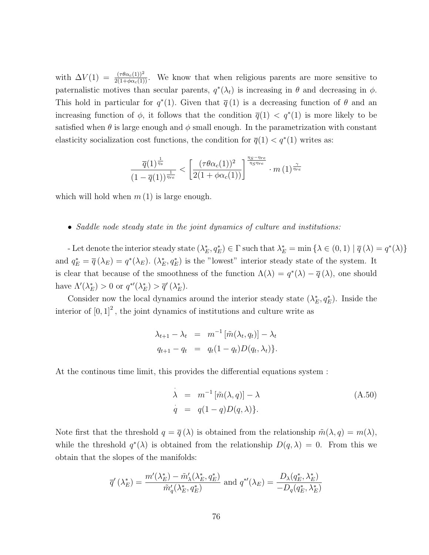with  $\Delta V(1) = \frac{(\tau \theta \alpha_c(1))^2}{2(1+\phi \alpha_c(1))}$ . We know that when religious parents are more sensitive to paternalistic motives than secular parents,  $q^*(\lambda_t)$  is increasing in  $\theta$  and decreasing in  $\phi$ . This hold in particular for  $q^*(1)$ . Given that  $\bar{q}(1)$  is a decreasing function of  $\theta$  and an increasing function of  $\phi$ , it follows that the condition  $\overline{q}(1) < q^*(1)$  is more likely to be satisfied when  $\theta$  is large enough and  $\phi$  small enough. In the parametrization with constant elasticity socialization cost functions, the condition for  $\overline{q}(1) < q^*(1)$  writes as:

$$
\frac{\overline{q}(1)^{\frac{1}{\eta_s}}}{(1-\overline{q}(1))^{\frac{1}{\eta_{re}}}} < \left[\frac{(\tau \theta \alpha_c(1))^2}{2(1+\phi \alpha_c(1))}\right]^{\frac{\eta_S - \eta_{re}}{\eta_S \eta_{re}}} \cdot m\left(1\right)^{\frac{\gamma}{\eta_{re}}}
$$

which will hold when  $m(1)$  is large enough.

#### • Saddle node steady state in the joint dynamics of culture and institutions:

- Let denote the interior steady state  $(\lambda_E^*, q_E^*) \in \Gamma$  such that  $\lambda_E^* = \min \{ \lambda \in (0,1) \mid \overline{q}(\lambda) = q^*(\lambda) \}$ and  $q_E^* = \overline{q}(\lambda_E) = q^*(\lambda_E)$ .  $(\lambda_E^*, q_E^*)$  is the "lowest" interior steady state of the system. It is clear that because of the smoothness of the function  $\Lambda(\lambda) = q^*(\lambda) - \overline{q}(\lambda)$ , one should have  $\Lambda'(\lambda_E^*) > 0$  or  $q^{*\prime}(\lambda_E^*) > \overline{q}'(\lambda_E^*)$ .

Consider now the local dynamics around the interior steady state  $(\lambda_E^*, q_E^*)$ . Inside the interior of  $[0,1]^2$ , the joint dynamics of institutions and culture write as

$$
\lambda_{t+1} - \lambda_t = m^{-1} [\tilde{m}(\lambda_t, q_t)] - \lambda_t
$$
  

$$
q_{t+1} - q_t = q_t (1 - q_t) D(q_t, \lambda_t).
$$

At the continous time limit, this provides the differential equations system :

<span id="page-76-0"></span>
$$
\begin{aligned}\n\lambda &= m^{-1} \left[ \tilde{m}(\lambda, q) \right] - \lambda \\
\dot{q} &= q(1 - q)D(q, \lambda)\n\end{aligned} \tag{A.50}
$$

Note first that the threshold  $q = \overline{q}(\lambda)$  is obtained from the relationship  $\tilde{m}(\lambda, q) = m(\lambda)$ , while the threshold  $q^*(\lambda)$  is obtained from the relationship  $D(q,\lambda) = 0$ . From this we obtain that the slopes of the manifolds:

$$
\overline{q}'(\lambda_E^*) = \frac{m'(\lambda_E^*) - \tilde{m}'_\lambda(\lambda_E^*, q_E^*)}{\tilde{m}'_q(\lambda_E^*, q_E^*)} \text{ and } q^{*\prime}(\lambda_E) = \frac{D_\lambda(q_E^*, \lambda_E^*)}{-D_q(q_E^*, \lambda_E^*)}
$$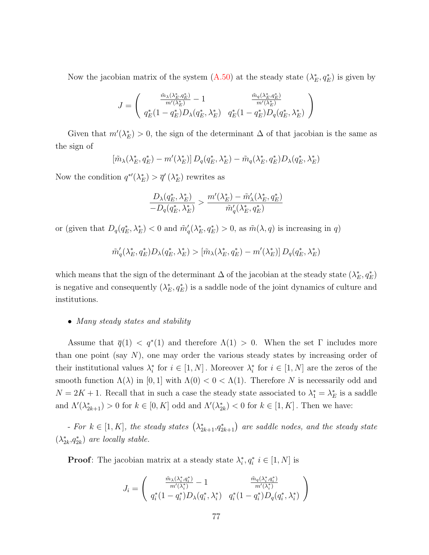Now the jacobian matrix of the system  $(A.50)$  at the steady state  $(\lambda_E^*, q_E^*)$  is given by

$$
J = \left(\begin{array}{cc} \frac{\tilde{m}_{\lambda}(\lambda_{E}^{*},q_{E}^{*})}{m'(\lambda_{E}^{*})}-1 & \frac{\tilde{m}_{q}(\lambda_{E}^{*},q_{E}^{*})}{m'(\lambda_{E}^{*})}\\ q_{E}^{*}(1-q_{E}^{*})D_{\lambda}(q_{E}^{*},\lambda_{E}^{*}) & q_{E}^{*}(1-q_{E}^{*})D_{q}(q_{E}^{*},\lambda_{E}^{*}) \end{array}\right)
$$

Given that  $m'(\lambda_E^*) > 0$ , the sign of the determinant  $\Delta$  of that jacobian is the same as the sign of

$$
[\tilde{m}_{\lambda}(\lambda_{E}^{*}, q_{E}^{*}) - m'(\lambda_{E}^{*})] D_{q}(q_{E}^{*}, \lambda_{E}^{*}) - \tilde{m}_{q}(\lambda_{E}^{*}, q_{E}^{*}) D_{\lambda}(q_{E}^{*}, \lambda_{E}^{*})
$$

Now the condition  $q^{*}(\lambda_E^*) > \overline{q}'(\lambda_E^*)$  rewrites as

$$
\frac{D_{\lambda}(q_E^*,\lambda_E^*)}{-D_q(q_E^*,\lambda_E^*)} > \frac{m'(\lambda_E^*) - \tilde{m}'_{\lambda}(\lambda_E^*,q_E^*)}{\tilde{m}'_q(\lambda_E^*,q_E^*)}
$$

or (given that  $D_q(q_E^*, \lambda_E^*) < 0$  and  $\tilde{m}'_q(\lambda_E^*, q_E^*) > 0$ , as  $\tilde{m}(\lambda, q)$  is increasing in q)

$$
\tilde{m}'_q(\lambda_E^*, q_E^*) D_{\lambda}(q_E^*, \lambda_E^*) > [\tilde{m}_{\lambda}(\lambda_E^*, q_E^*) - m'(\lambda_E^*)] D_q(q_E^*, \lambda_E^*)
$$

which means that the sign of the determinant  $\Delta$  of the jacobian at the steady state  $(\lambda_E^*, q_E^*)$ is negative and consequently  $(\lambda_E^*, q_E^*)$  is a saddle node of the joint dynamics of culture and institutions.

### • Many steady states and stability

Assume that  $\bar{q}(1) < q^*(1)$  and therefore  $\Lambda(1) > 0$ . When the set  $\Gamma$  includes more than one point (say  $N$ ), one may order the various steady states by increasing order of their institutional values  $\lambda_i^*$  for  $i \in [1, N]$ . Moreover  $\lambda_i^*$  for  $i \in [1, N]$  are the zeros of the smooth function  $\Lambda(\lambda)$  in [0, 1] with  $\Lambda(0) < 0 < \Lambda(1)$ . Therefore N is necessarily odd and  $N = 2K + 1$ . Recall that in such a case the steady state associated to  $\lambda_1^* = \lambda_E^*$  is a saddle and  $\Lambda'(\lambda_{2k+1}^*) > 0$  for  $k \in [0, K]$  odd and  $\Lambda'(\lambda_{2k}^*) < 0$  for  $k \in [1, K]$ . Then we have:

 $-$  For  $k \in [1, K]$ , the steady states  $(\lambda^*_{2k+1}, q^*_{2k+1})$  are saddle nodes, and the steady state  $(\lambda^*_{2k}, q^*_{2k})$  are locally stable.

**Proof**: The jacobian matrix at a steady state  $\lambda_i^*, q_i^*$   $i \in [1, N]$  is

$$
J_i = \begin{pmatrix} \frac{\tilde{m}_{\lambda}(\lambda_i^*, q_i^*)}{m'(\lambda_i^*)} - 1 & \frac{\tilde{m}_{q}(\lambda_i^*, q_i^*)}{m'(\lambda_i^*)} \\ q_i^*(1 - q_i^*) D_{\lambda}(q_i^*, \lambda_i^*) & q_i^*(1 - q_i^*) D_{q}(q_i^*, \lambda_i^*) \end{pmatrix}
$$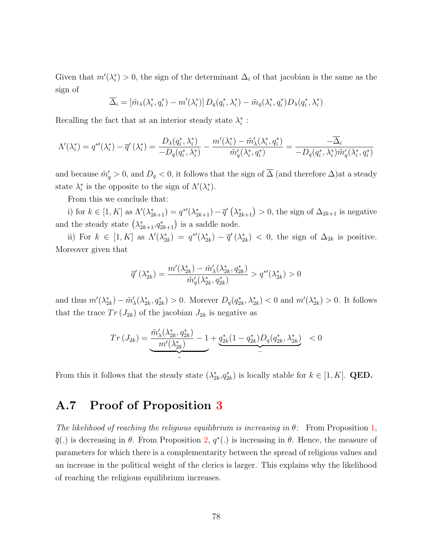Given that  $m'(\lambda_i^*) > 0$ , the sign of the determinant  $\Delta_i$  of that jacobian is the same as the sign of

$$
\overline{\Delta}_i = [\tilde{m}_{\lambda}(\lambda_i^*, q_i^*) - m'(\lambda_i^*)] D_q(q_i^*, \lambda_i^*) - \tilde{m}_q(\lambda_i^*, q_i^*) D_{\lambda}(q_i^*, \lambda_i^*)
$$

Recalling the fact that at an interior steady state  $\lambda_i^*$ :

$$
\Lambda'(\lambda_i^*) = q^{*'}(\lambda_i^*) - \overline{q}'(\lambda_i^*) = \frac{D_{\lambda}(q_i^*, \lambda_i^*)}{-D_q(q_i^*, \lambda_i^*)} - \frac{m'(\lambda_i^*) - \tilde{m}'_{\lambda}(\lambda_i^*, q_i^*)}{\tilde{m}'_q(\lambda_i^*, q_i^*)} = \frac{-\overline{\Delta}_i}{-D_q(q_i^*, \lambda_i^*)\tilde{m}'_q(\lambda_i^*, q_i^*)}
$$

and because  $\tilde{m}'_q > 0$ , and  $D_q < 0$ , it follows that the sign of  $\overline{\Delta}$  (and therefore  $\Delta$ ) at a steady state  $\lambda_i^*$  is the opposite to the sign of  $\Lambda'(\lambda_i^*)$ .

From this we conclude that:

i) for  $k \in [1, K]$  as  $\Lambda'(\lambda_{2k+1}^*) = q^{*\prime}(\lambda_{2k+1}^*) - \overline{q}'(\lambda_{2k+1}^*) > 0$ , the sign of  $\Delta_{2k+1}$  is negative and the steady state  $(\lambda_{2k+1}^*, q_{2k+1}^*)$  is a saddle node.

ii) For  $k \in [1, K]$  as  $\Lambda'(\lambda_{2k}^*) = q^{*}(\lambda_{2k}^*) - \overline{q}'(\lambda_{2k}^*) < 0$ , the sign of  $\Delta_{2k}$  is positive. Moreover given that

$$
\overline{q}'\left(\lambda_{2k}^*\right)=\frac{m'(\lambda_{2k}^*)-\tilde{m}'_\lambda(\lambda_{2k}^*,q_{2k}^*)}{\tilde{m}'_q(\lambda_{2k}^*,q_{2k}^*)}>q^{*\prime}(\lambda_{2k}^*)>0
$$

and thus  $m'(\lambda_{2k}^*) - \tilde{m}'_{\lambda}(\lambda_{2k}^*, q_{2k}^*) > 0$ . Morever  $D_q(q_{2k}^*, \lambda_{2k}^*) < 0$  and  $m'(\lambda_{2k}^*) > 0$ . It follows that the trace  $Tr(J_{2k})$  of the jacobian  $J_{2k}$  is negative as

$$
Tr (J_{2k}) = \underbrace{\frac{\tilde{m}'_{\lambda}(\lambda^{*}_{2k}, q^{*}_{2k})}{m'(\lambda^{*}_{2k})} - 1}_{-} + \underbrace{q^{*}_{2k}(1 - q^{*}_{2k})D_{q}(q^{*}_{2k}, \lambda^{*}_{2k})}_{-} < 0
$$

From this it follows that the steady state  $(\lambda_{2k}^*, q_{2k}^*)$  is locally stable for  $k \in [1, K]$ . QED.

−

### A.7 Proof of Proposition [3](#page-20-0)

The likelihood of reaching the religious equilibrium is increasing in  $\theta$ : From Proposition [1,](#page-13-0)  $\overline{q}(.)$  is decreasing in  $\theta$ . From Proposition [2,](#page-15-1)  $q^*(.)$  is increasing in  $\theta$ . Hence, the measure of parameters for which there is a complementarity between the spread of religious values and an increase in the political weight of the clerics is larger. This explains why the likelihood of reaching the religious equilibrium increases.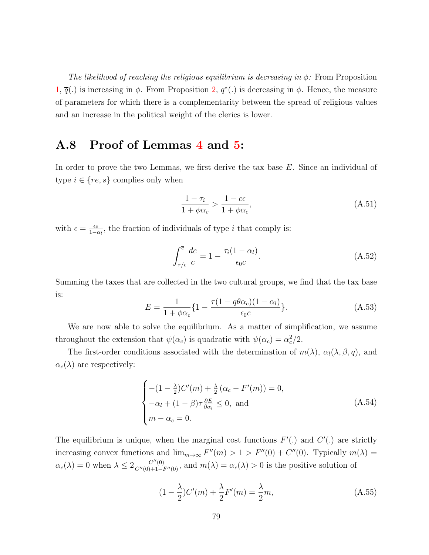The likelihood of reaching the religious equilibrium is decreasing in  $\phi$ : From Proposition [1,](#page-13-0)  $\overline{q}(.)$  is increasing in  $\phi$ . From Proposition [2,](#page-15-1)  $q^*(.)$  is decreasing in  $\phi$ . Hence, the measure of parameters for which there is a complementarity between the spread of religious values and an increase in the political weight of the clerics is lower.

## A.8 Proof of Lemmas [4](#page-31-0) and [5:](#page-31-1)

In order to prove the two Lemmas, we first derive the tax base E. Since an individual of type  $i \in \{re, s\}$  complies only when

$$
\frac{1 - \tau_i}{1 + \phi \alpha_c} > \frac{1 - c\epsilon}{1 + \phi \alpha_c},\tag{A.51}
$$

with  $\epsilon = \frac{\epsilon_0}{1-\epsilon}$  $\frac{\epsilon_0}{1-\alpha_l}$ , the fraction of individuals of type *i* that comply is:

$$
\int_{\tau/\epsilon}^{\overline{c}} \frac{dc}{\overline{c}} = 1 - \frac{\tau_i (1 - \alpha_l)}{\epsilon_0 \overline{c}}.
$$
 (A.52)

Summing the taxes that are collected in the two cultural groups, we find that the tax base is:

<span id="page-79-0"></span>
$$
E = \frac{1}{1 + \phi\alpha_c} \left\{ 1 - \frac{\tau (1 - q\theta\alpha_c)(1 - \alpha_l)}{\epsilon_0 \overline{c}} \right\}.
$$
 (A.53)

We are now able to solve the equilibrium. As a matter of simplification, we assume throughout the extension that  $\psi(\alpha_c)$  is quadratic with  $\psi(\alpha_c) = \alpha_c^2/2$ .

The first-order conditions associated with the determination of  $m(\lambda)$ ,  $\alpha_l(\lambda, \beta, q)$ , and  $\alpha_c(\lambda)$  are respectively:

$$
\begin{cases}\n-(1-\frac{\lambda}{2})C'(m) + \frac{\lambda}{2}(\alpha_c - F'(m)) = 0, \\
-\alpha_l + (1-\beta)\tau \frac{\partial E}{\partial \alpha_l} \le 0, \text{ and} \\
m - \alpha_c = 0.\n\end{cases}
$$
\n(A.54)

The equilibrium is unique, when the marginal cost functions  $F'(.)$  and  $C'(.)$  are strictly increasing convex functions and  $\lim_{m\to\infty} F''(m) > 1 > F''(0) + C''(0)$ . Typically  $m(\lambda) =$  $\alpha_c(\lambda) = 0$  when  $\lambda \leq 2 \frac{C''(0)}{C''(0)+1-F''(0)}$ , and  $m(\lambda) = \alpha_c(\lambda) > 0$  is the positive solution of

$$
(1 - \frac{\lambda}{2})C'(m) + \frac{\lambda}{2}F'(m) = \frac{\lambda}{2}m,
$$
\n(A.55)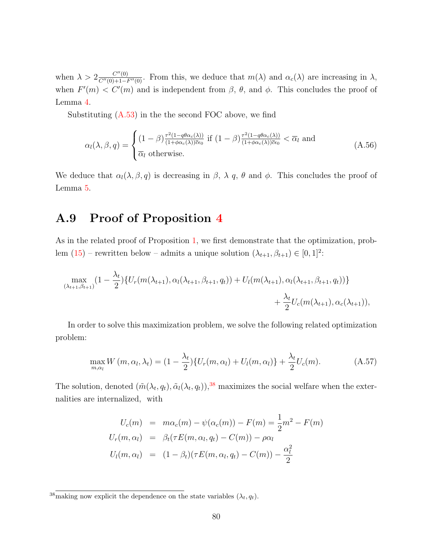when  $\lambda > 2 \frac{C''(0)}{C''(0)+1-F''(0)}$ . From this, we deduce that  $m(\lambda)$  and  $\alpha_c(\lambda)$  are increasing in  $\lambda$ , when  $F'(m) < C'(m)$  and is independent from  $\beta$ ,  $\theta$ , and  $\phi$ . This concludes the proof of Lemma [4.](#page-31-0)

Substituting  $(A.53)$  in the the second FOC above, we find

$$
\alpha_l(\lambda,\beta,q) = \begin{cases}\n(1-\beta) \frac{\tau^2 (1-q\theta \alpha_c(\lambda))}{(1+\phi \alpha_c(\lambda))\bar{c}\epsilon_0} \text{ if } (1-\beta) \frac{\tau^2 (1-q\theta \alpha_c(\lambda))}{(1+\phi \alpha_c(\lambda))\bar{c}\epsilon_0} < \overline{\alpha}_l \text{ and} \\
\overline{\alpha}_l \text{ otherwise.} \n\end{cases} \tag{A.56}
$$

We deduce that  $\alpha_l(\lambda, \beta, q)$  is decreasing in  $\beta$ ,  $\lambda$  q,  $\theta$  and  $\phi$ . This concludes the proof of Lemma [5.](#page-31-1)

### A.9 Proof of Proposition [4](#page-32-0)

As in the related proof of Proposition [1,](#page-13-0) we first demonstrate that the optimization, problem  $(15)$  – rewritten below – admits a unique solution  $(\lambda_{t+1}, \beta_{t+1}) \in [0, 1]^2$ :

$$
\max_{(\lambda_{t+1},\beta_{t+1})} (1 - \frac{\lambda_t}{2}) \{ U_r(m(\lambda_{t+1}), \alpha_l(\lambda_{t+1}, \beta_{t+1}, q_t)) + U_l(m(\lambda_{t+1}), \alpha_l(\lambda_{t+1}, \beta_{t+1}, q_t)) \} + \frac{\lambda_t}{2} U_c(m(\lambda_{t+1}), \alpha_c(\lambda_{t+1})),
$$

In order to solve this maximization problem, we solve the following related optimization problem:

<span id="page-80-1"></span>
$$
\max_{m,\alpha_l} W(m,\alpha_l,\lambda_t) = (1 - \frac{\lambda_t}{2}) \{ U_r(m,\alpha_l) + U_l(m,\alpha_l) \} + \frac{\lambda_t}{2} U_c(m). \tag{A.57}
$$

The solution, denoted  $(\tilde{m}(\lambda_t, q_t), \tilde{\alpha}_l(\lambda_t, q_t)),$ <sup>[38](#page-80-0)</sup> maximizes the social welfare when the externalities are internalized, with

$$
U_c(m) = m\alpha_c(m) - \psi(\alpha_c(m)) - F(m) = \frac{1}{2}m^2 - F(m)
$$
  
\n
$$
U_r(m, \alpha_l) = \beta_t(\tau E(m, \alpha_l, q_t) - C(m)) - \rho \alpha_l
$$
  
\n
$$
U_l(m, \alpha_l) = (1 - \beta_t)(\tau E(m, \alpha_l, q_t) - C(m)) - \frac{\alpha_l^2}{2}
$$

<span id="page-80-0"></span><sup>&</sup>lt;sup>38</sup>making now explicit the dependence on the state variables  $(\lambda_t, q_t)$ .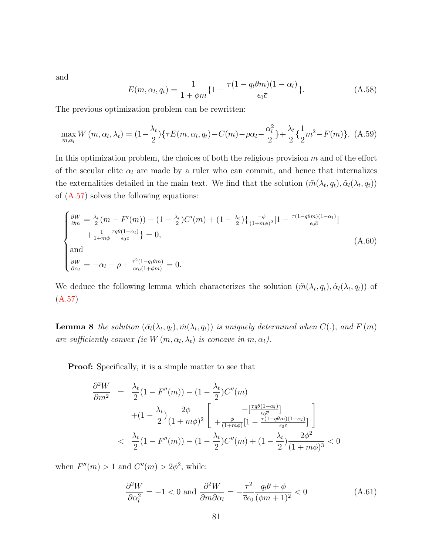and

$$
E(m, \alpha_l, q_t) = \frac{1}{1 + \phi m} \left\{ 1 - \frac{\tau (1 - q_t \theta m)(1 - \alpha_l)}{\epsilon_0 \overline{c}} \right\}.
$$
 (A.58)

The previous optimization problem can be rewritten:

$$
\max_{m,\alpha_l} W(m,\alpha_l,\lambda_t) = (1 - \frac{\lambda_t}{2}) \{ \tau E(m,\alpha_l,q_t) - C(m) - \rho \alpha_l - \frac{\alpha_l^2}{2} \} + \frac{\lambda_t}{2} \{ \frac{1}{2} m^2 - F(m) \},
$$
 (A.59)

In this optimization problem, the choices of both the religious provision  $m$  and of the effort of the secular elite  $\alpha_l$  are made by a ruler who can commit, and hence that internalizes the externalities detailed in the main text. We find that the solution  $(\tilde{m}(\lambda_t, q_t), \tilde{\alpha}_l(\lambda_t, q_t))$ of  $(A.57)$  solves the following equations:

<span id="page-81-0"></span>
$$
\begin{cases}\n\frac{\partial W}{\partial m} = \frac{\lambda_t}{2} (m - F'(m)) - (1 - \frac{\lambda_t}{2}) C'(m) + (1 - \frac{\lambda_t}{2}) \left\{ \frac{-\phi}{(1 + m\phi)^2} [1 - \frac{\tau (1 - q\theta m)(1 - \alpha_l)}{\epsilon_0 \bar{c}} \right\} \\
+ \frac{1}{1 + m\phi} \frac{\tau q \theta (1 - \alpha_l)}{\epsilon_0 \bar{c}} \right\} = 0, \\
\text{and} \\
\frac{\partial W}{\partial \alpha_l} = -\alpha_l - \rho + \frac{\tau^2 (1 - q_t \theta m)}{\bar{c} \epsilon_0 (1 + \phi m)} = 0.\n\end{cases} \tag{A.60}
$$

We deduce the following lemma which characterizes the solution  $(\tilde{m}(\lambda_t, q_t), \tilde{\alpha}_l(\lambda_t, q_t))$  of [\(A.57\)](#page-80-1)

**Lemma 8** the solution  $(\tilde{\alpha}_l(\lambda_t, q_t), \tilde{m}(\lambda_t, q_t))$  is uniquely determined when  $C(.)$ , and  $F(m)$ are sufficiently convex (ie  $W(m, \alpha_l, \lambda_t)$  is concave in  $m, \alpha_l$ ).

Proof: Specifically, it is a simple matter to see that

$$
\frac{\partial^2 W}{\partial m^2} = \frac{\lambda_t}{2} (1 - F''(m)) - (1 - \frac{\lambda_t}{2}) C''(m)
$$

$$
+ (1 - \frac{\lambda_t}{2}) \frac{2\phi}{(1 + m\phi)^2} \left[ -\frac{\frac{\tau q \theta (1 - \alpha_t)}{\epsilon_0 \overline{c}}}{1 - \frac{\tau (1 - q \theta m)(1 - \alpha_t)}{\epsilon_0 \overline{c}}]} \right]
$$

$$
< \frac{\lambda_t}{2} (1 - F''(m)) - (1 - \frac{\lambda_t}{2}) C''(m) + (1 - \frac{\lambda_t}{2}) \frac{2\phi^2}{(1 + m\phi)^3} < 0
$$

when  $F''(m) > 1$  and  $C''(m) > 2\phi^2$ , while:

<span id="page-81-1"></span>
$$
\frac{\partial^2 W}{\partial \alpha_l^2} = -1 < 0 \text{ and } \frac{\partial^2 W}{\partial m \partial \alpha_l} = -\frac{\tau^2}{\overline{c}\epsilon_0} \frac{q_t \theta + \phi}{(\phi m + 1)^2} < 0 \tag{A.61}
$$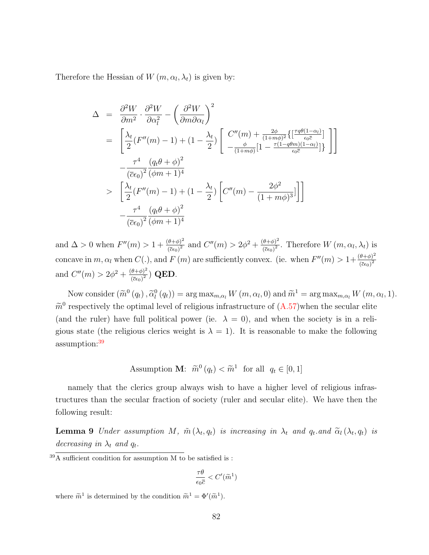Therefore the Hessian of  $W(m, \alpha_l, \lambda_t)$  is given by:

$$
\Delta = \frac{\partial^2 W}{\partial m^2} \cdot \frac{\partial^2 W}{\partial \alpha_l^2} - \left(\frac{\partial^2 W}{\partial m \partial \alpha_l}\right)^2
$$
  
\n
$$
= \left[\frac{\lambda_t}{2} (F''(m) - 1) + (1 - \frac{\lambda_t}{2}) \left[\frac{C''(m) + \frac{2\phi}{(1 + m\phi)^2} \left\{ \left[\frac{\tau q \theta (1 - \alpha_l)}{\epsilon_0 \overline{c}}\right] \right\}}{-\frac{\tau^4}{(\overline{c}\epsilon_0)^2} \left(\frac{q_t \theta + \phi}{\phi m + 1}\right)^4} - \frac{\tau^4}{(\overline{c}\epsilon_0)^2} \frac{(q_t \theta + \phi)^2}{(\phi m + 1)^4} \right]
$$
  
\n
$$
> \left[\frac{\lambda_t}{2} (F''(m) - 1) + (1 - \frac{\lambda_t}{2}) \left[C''(m) - \frac{2\phi^2}{(1 + m\phi)^3}\right]\right]
$$
  
\n
$$
- \frac{\tau^4}{(\overline{c}\epsilon_0)^2} \frac{(q_t \theta + \phi)^2}{(\phi m + 1)^4}
$$

and  $\Delta > 0$  when  $F''(m) > 1 + \frac{(\theta + \phi)^2}{(m - \phi)^2}$  $\frac{(\theta + \phi)^2}{(\bar{c}\epsilon_0)^2}$  and  $C''(m) > 2\phi^2 + \frac{(\theta + \phi)^2}{(\bar{c}\epsilon_0)^2}$  $\frac{\theta+\phi}{(\bar{c}\epsilon_0)^2}$ . Therefore  $W(m,\alpha_l,\lambda_t)$  is concave in m,  $\alpha_l$  when  $C(.)$ , and  $F(m)$  are sufficiently convex. (ie. when  $F''(m) > 1 + \frac{(\theta + \phi)^2}{(E\epsilon_0)^2}$  $(\overline{c}\epsilon_0)^2$ and  $C''(m) > 2\phi^2 + \frac{(\theta+\phi)^2}{\sqrt{2\pi}m^2}$  $\frac{\left(\vec{\sigma}+\phi\right)}{\left(\overline{c}\epsilon_{0}\right)^{2}})$  QED.

Now consider  $(\widetilde{m}^0(q_t), \widetilde{\alpha}_l^0(q_t)) = \arg \max_{m, \alpha_l} W(m, \alpha_l, 0)$  and  $\widetilde{m}^1 = \arg \max_{m, \alpha_l} W(m, \alpha_l, 1)$ .  $\tilde{m}^0$  respectively the optimal level of religious infrastructure of  $(A.57)$  when the secular elite (and the ruler) have full political power (ie.  $\lambda = 0$ ), and when the society is in a religious state (the religious clerics weight is  $\lambda = 1$ ). It is reasonable to make the following assumption:[39](#page-82-0)

Assumption **M**: 
$$
\tilde{m}^0(q_t) < \tilde{m}^1
$$
 for all  $q_t \in [0, 1]$ 

namely that the clerics group always wish to have a higher level of religious infrastructures than the secular fraction of society (ruler and secular elite). We have then the following result:

**Lemma 9** Under assumption M,  $\tilde{m}(\lambda_t, q_t)$  is increasing in  $\lambda_t$  and  $q_t$  and  $\tilde{\alpha}_l(\lambda_t, q_t)$  is decreasing in  $\lambda_t$  and  $q_t$ .

$$
\frac{\tau \theta}{\epsilon_0 \overline{c}} < C'(\widetilde{m}^1)
$$

where  $\widetilde{m}^1$  is determined by the condition  $\widetilde{m}^1 = \Phi'(\widetilde{m}^1)$ .

<span id="page-82-0"></span> $39\overline{\text{A}}$  sufficient condition for assumption M to be satisfied is :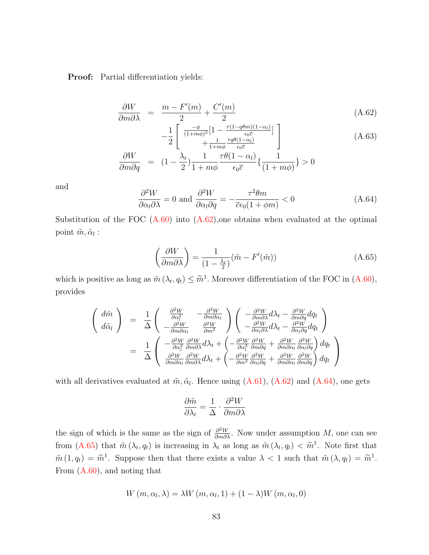Proof: Partial differentiation yields:

<span id="page-83-0"></span>
$$
\frac{\partial W}{\partial m \partial \lambda} = \frac{m - F'(m)}{2} + \frac{C'(m)}{2}
$$
\n(A.62)

$$
-\frac{1}{2} \begin{bmatrix} \frac{-\phi}{(1+m\phi)^2} \left[1 - \frac{\tau(1-q\theta m)(1-\alpha_l)}{\epsilon_0 \overline{c}}\right] \\ + \frac{1}{1+m\phi} \frac{\tau q \theta(1-\alpha_l)}{\epsilon_0 \overline{c}} \end{bmatrix}
$$
\n
$$
\frac{\partial W}{\partial W} = \begin{bmatrix} 1 & \lambda_t & 1 & \tau \theta(1-\alpha_l) \\ 1 & 1 & \tau \theta(1-\alpha_l) \\ 1 & 1 & 1 & 1 \end{bmatrix}
$$
\n(A.63)

$$
\frac{\partial W}{\partial m \partial q} = (1 - \frac{\lambda_t}{2}) \frac{1}{1 + m\phi} \frac{\tau \theta (1 - \alpha_l)}{\epsilon_0 \bar{c}} \left\{ \frac{1}{(1 + m\phi)} \right\} > 0
$$

and

<span id="page-83-1"></span>
$$
\frac{\partial^2 W}{\partial \alpha_l \partial \lambda} = 0 \text{ and } \frac{\partial^2 W}{\partial \alpha_l \partial q} = -\frac{\tau^2 \theta m}{\overline{c} \epsilon_0 (1 + \phi m)} < 0 \tag{A.64}
$$

Substitution of the FOC [\(A.60\)](#page-81-0) into [\(A.62\)](#page-83-0),one obtains when evaluated at the optimal point  $\tilde{m}, \tilde{\alpha}_l$ :

<span id="page-83-2"></span>
$$
\left(\frac{\partial W}{\partial m \partial \lambda}\right) = \frac{1}{(1 - \frac{\lambda_t}{2})} (\tilde{m} - F'(\tilde{m}))
$$
\n(A.65)

which is positive as long as  $\tilde{m}(\lambda_t, q_t) \leq \tilde{m}^1$ . Moreover differentiation of the FOC in [\(A.60\)](#page-81-0), provides

$$
\begin{pmatrix}\n\dim \\
d\tilde{\alpha}_l\n\end{pmatrix} = \frac{1}{\Delta} \begin{pmatrix}\n\frac{\partial^2 W}{\partial \alpha_l^2} & -\frac{\partial^2 W}{\partial m \partial \alpha_l} \\
-\frac{\partial^2 W}{\partial m \partial \alpha_l} & \frac{\partial^2 W}{\partial m^2}\n\end{pmatrix} \begin{pmatrix}\n-\frac{\partial^2 W}{\partial m \partial \lambda} d\lambda_t - \frac{\partial^2 W}{\partial m \partial q} dq_t \\
-\frac{\partial^2 W}{\partial \alpha_l \partial \lambda} d\lambda_t - \frac{\partial^2 W}{\partial \alpha_l \partial q} dq_t\n\end{pmatrix}
$$
\n
$$
= \frac{1}{\Delta} \begin{pmatrix}\n-\frac{\partial^2 W}{\partial \alpha_l^2} \frac{\partial^2 W}{\partial m \partial \lambda} d\lambda_t + \left(-\frac{\partial^2 W}{\partial \alpha_l^2} \frac{\partial^2 W}{\partial m \partial q} + \frac{\partial^2 W}{\partial m \partial \alpha_l} \frac{\partial^2 W}{\partial \alpha_l \partial q}\right) dq_t \\
\frac{\partial^2 W}{\partial m \partial \alpha_l} \frac{\partial^2 W}{\partial m \partial \lambda} d\lambda_t + \left(-\frac{\partial^2 W}{\partial m^2} \frac{\partial^2 W}{\partial \alpha_l \partial q} + \frac{\partial^2 W}{\partial m \partial \alpha_l} \frac{\partial^2 W}{\partial m \partial q}\right) dq_t\n\end{pmatrix}
$$

with all derivatives evaluated at  $\tilde{m}, \tilde{\alpha}_l$ . Hence using  $(A.61)$ ,  $(A.62)$  and  $(A.64)$ , one gets

$$
\frac{\partial \tilde{m}}{\partial \lambda_t} = \frac{1}{\Delta} \cdot \frac{\partial^2 W}{\partial m \partial \lambda}
$$

the sign of which is the same as the sign of  $\frac{\partial^2 W}{\partial m \partial \lambda}$ . Now under assumption M, one can see from  $(A.65)$  that  $\tilde{m}(\lambda_t, q_t)$  is increasing in  $\lambda_t$  as long as  $\tilde{m}(\lambda_t, q_t) < \tilde{m}$ <sup>1</sup>. Note first that  $\tilde{m}(1,q_t) = \tilde{m}^1$ . Suppose then that there exists a value  $\lambda < 1$  such that  $\tilde{m}(\lambda, q_t) = \tilde{m}^1$ . From [\(A.60\)](#page-81-0), and noting that

$$
W(m, \alpha_l, \lambda) = \lambda W(m, \alpha_l, 1) + (1 - \lambda)W(m, \alpha_l, 0)
$$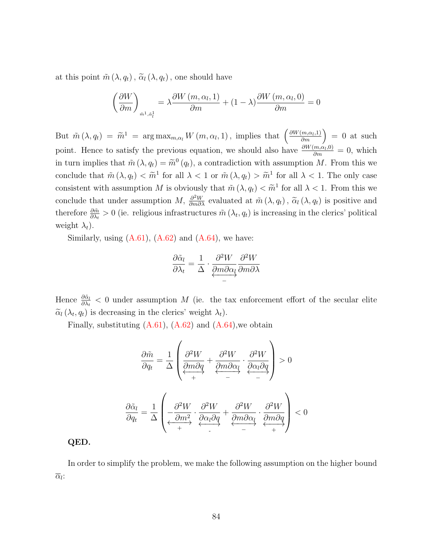at this point  $\tilde{m}(\lambda, q_t)$ ,  $\tilde{\alpha}_l(\lambda, q_t)$ , one should have

$$
\left(\frac{\partial W}{\partial m}\right)_{\tilde{m}^1, \tilde{\alpha}_l^1} = \lambda \frac{\partial W(m, \alpha_l, 1)}{\partial m} + (1 - \lambda) \frac{\partial W(m, \alpha_l, 0)}{\partial m} = 0
$$

But  $\tilde{m}(\lambda, q_t) = \tilde{m}^1 = \arg \max_{m, \alpha_t} W(m, \alpha_t, 1),$  implies that  $\left(\frac{\partial W(m, \alpha_t, 1)}{\partial m}\right) = 0$  at such point. Hence to satisfy the previous equation, we should also have  $\frac{\partial W(m,\alpha_l,0)}{\partial m} = 0$ , which in turn implies that  $\tilde{m}(\lambda, q_t) = \tilde{m}^0(q_t)$ , a contradiction with assumption M. From this we conclude that  $\tilde{m}(\lambda, q_t) < \tilde{m}^1$  for all  $\lambda < 1$  or  $\tilde{m}(\lambda, q_t) > \tilde{m}^1$  for all  $\lambda < 1$ . The only case consistent with assumption M is obviously that  $\tilde{m}(\lambda, q_t) < \tilde{m}^1$  for all  $\lambda < 1$ . From this we conclude that under assumption M,  $\frac{\partial^2 W}{\partial m \partial \lambda}$  evaluated at  $\tilde{m}(\lambda, q_t)$ ,  $\tilde{\alpha}_l(\lambda, q_t)$  is positive and therefore  $\frac{\partial \tilde{m}}{\partial \lambda_t} > 0$  (ie. religious infrastructures  $\tilde{m}(\lambda_t, q_t)$  is increasing in the clerics' political weight  $\lambda_t$ ).

Similarly, using  $(A.61)$ ,  $(A.62)$  and  $(A.64)$ , we have:

$$
\frac{\partial \tilde{\alpha}_l}{\partial \lambda_t} = \frac{1}{\Delta} \cdot \underbrace{\frac{\partial^2 W}{\partial m \partial \alpha_l}}_{-} \underbrace{\frac{\partial^2 W}{\partial m \partial \lambda}}
$$

Hence  $\frac{\partial \tilde{\alpha}_l}{\partial \lambda_t} < 0$  under assumption M (ie. the tax enforcement effort of the secular elite  $\widetilde{\alpha}_l(\lambda_t, q_t)$  is decreasing in the clerics' weight  $\lambda_t$ ).

Finally, substituting  $(A.61)$ ,  $(A.62)$  and  $(A.64)$ , we obtain

$$
\frac{\partial \tilde{m}}{\partial q_t} = \frac{1}{\Delta} \left( \underbrace{\frac{\partial^2 W}{\partial m \partial q}}_{+} + \underbrace{\frac{\partial^2 W}{\partial m \partial \alpha_l}}_{-} \cdot \underbrace{\frac{\partial^2 W}{\partial \alpha_l \partial q}}_{-} \right) > 0
$$
\n
$$
\frac{\partial \tilde{\alpha}_l}{\partial q_t} = \frac{1}{\Delta} \left( \underbrace{-\frac{\partial^2 W}{\partial m^2}}_{+} \cdot \underbrace{\frac{\partial^2 W}{\partial \alpha_l \partial q}}_{-} + \underbrace{\frac{\partial^2 W}{\partial m \partial \alpha_l}}_{-} \cdot \underbrace{\frac{\partial^2 W}{\partial m \partial q}}_{+} \right) < 0
$$

#### QED.

In order to simplify the problem, we make the following assumption on the higher bound  $\overline{\alpha}_l$ :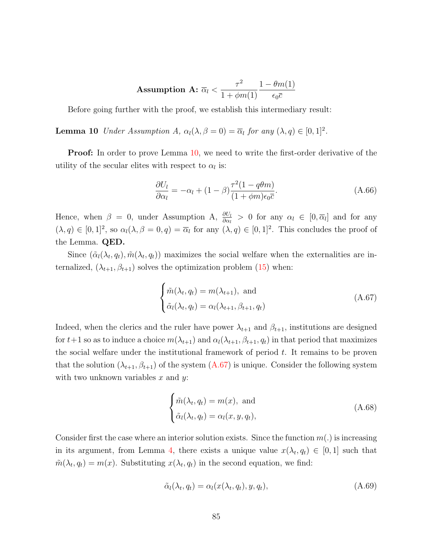$$
\text{Assumption A: } \overline{\alpha}_l < \frac{\tau^2}{1+\phi m(1)}\frac{1-\theta m(1)}{\epsilon_0 \overline{c}}
$$

Before going further with the proof, we establish this intermediary result:

<span id="page-85-0"></span>**Lemma 10** Under Assumption A,  $\alpha_l(\lambda, \beta = 0) = \overline{\alpha}_l$  for any  $(\lambda, q) \in [0, 1]^2$ .

**Proof:** In order to prove Lemma [10,](#page-85-0) we need to write the first-order derivative of the utility of the secular elites with respect to  $\alpha_l$  is:

$$
\frac{\partial U_l}{\partial \alpha_l} = -\alpha_l + (1 - \beta) \frac{\tau^2 (1 - q\theta m)}{(1 + \phi m)\epsilon_0 \bar{c}}.\tag{A.66}
$$

Hence, when  $\beta = 0$ , under Assumption A,  $\frac{\partial U_l}{\partial \alpha_l} > 0$  for any  $\alpha_l \in [0, \overline{\alpha}_l]$  and for any  $(\lambda, q) \in [0, 1]^2$ , so  $\alpha_l(\lambda, \beta = 0, q) = \overline{\alpha}_l$  for any  $(\lambda, q) \in [0, 1]^2$ . This concludes the proof of the Lemma. QED.

Since  $(\tilde{\alpha}_l(\lambda_t, q_t), \tilde{m}(\lambda_t, q_t))$  maximizes the social welfare when the externalities are internalized,  $(\lambda_{t+1}, \beta_{t+1})$  solves the optimization problem [\(15\)](#page-32-1) when:

<span id="page-85-1"></span>
$$
\begin{cases} \tilde{m}(\lambda_t, q_t) = m(\lambda_{t+1}), \text{ and} \\ \tilde{\alpha}_l(\lambda_t, q_t) = \alpha_l(\lambda_{t+1}, \beta_{t+1}, q_t) \end{cases}
$$
 (A.67)

Indeed, when the clerics and the ruler have power  $\lambda_{t+1}$  and  $\beta_{t+1}$ , institutions are designed for  $t+1$  so as to induce a choice  $m(\lambda_{t+1})$  and  $\alpha_l(\lambda_{t+1}, \beta_{t+1}, q_t)$  in that period that maximizes the social welfare under the institutional framework of period  $t$ . It remains to be proven that the solution  $(\lambda_{t+1}, \beta_{t+1})$  of the system  $(A.67)$  is unique. Consider the following system with two unknown variables  $x$  and  $y$ :

$$
\begin{cases} \tilde{m}(\lambda_t, q_t) = m(x), \text{ and} \\ \tilde{\alpha}_l(\lambda_t, q_t) = \alpha_l(x, y, q_t), \end{cases}
$$
 (A.68)

Consider first the case where an interior solution exists. Since the function  $m(.)$  is increasing in its argument, from Lemma [4,](#page-31-0) there exists a unique value  $x(\lambda_t, q_t) \in [0, 1]$  such that  $\tilde{m}(\lambda_t, q_t) = m(x)$ . Substituting  $x(\lambda_t, q_t)$  in the second equation, we find:

$$
\tilde{\alpha}_l(\lambda_t, q_t) = \alpha_l(x(\lambda_t, q_t), y, q_t), \qquad (A.69)
$$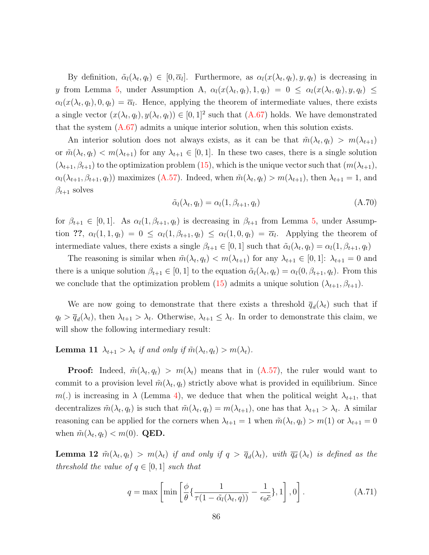By definition,  $\tilde{\alpha}_l(\lambda_t, q_t) \in [0, \overline{\alpha}_l]$ . Furthermore, as  $\alpha_l(x(\lambda_t, q_t), y, q_t)$  is decreasing in y from Lemma [5,](#page-31-1) under Assumption A,  $\alpha_l(x(\lambda_t, q_t), 1, q_t) = 0 \leq \alpha_l(x(\lambda_t, q_t), y, q_t) \leq$  $\alpha_l(x(\lambda_t, q_t), 0, q_t) = \overline{\alpha}_l$ . Hence, applying the theorem of intermediate values, there exists a single vector  $(x(\lambda_t, q_t), y(\lambda_t, q_t)) \in [0, 1]^2$  such that  $(A.67)$  holds. We have demonstrated that the system [\(A.67\)](#page-85-1) admits a unique interior solution, when this solution exists.

An interior solution does not always exists, as it can be that  $\tilde{m}(\lambda_t, q_t) > m(\lambda_{t+1})$ or  $\tilde{m}(\lambda_t, q_t) < m(\lambda_{t+1})$  for any  $\lambda_{t+1} \in [0, 1]$ . In these two cases, there is a single solution  $(\lambda_{t+1}, \beta_{t+1})$  to the optimization problem [\(15\)](#page-32-1), which is the unique vector such that  $(m(\lambda_{t+1}),$  $\alpha_l(\lambda_{t+1}, \beta_{t+1}, q_t)$  maximizes [\(A.57\)](#page-80-1). Indeed, when  $\tilde{m}(\lambda_t, q_t) > m(\lambda_{t+1})$ , then  $\lambda_{t+1} = 1$ , and  $\beta_{t+1}$  solves

$$
\tilde{\alpha}_l(\lambda_t, q_t) = \alpha_l(1, \beta_{t+1}, q_t) \tag{A.70}
$$

for  $\beta_{t+1} \in [0,1]$ . As  $\alpha_l(1, \beta_{t+1}, q_t)$  is decreasing in  $\beta_{t+1}$  from Lemma [5,](#page-31-1) under Assumption ??,  $\alpha_l(1,1,q_t) = 0 \leq \alpha_l(1,\beta_{t+1},q_t) \leq \alpha_l(1,0,q_t) = \overline{\alpha}_l$ . Applying the theorem of intermediate values, there exists a single  $\beta_{t+1} \in [0,1]$  such that  $\tilde{\alpha}_l(\lambda_t, q_t) = \alpha_l(1, \beta_{t+1}, q_t)$ 

The reasoning is similar when  $\tilde{m}(\lambda_t, q_t) < m(\lambda_{t+1})$  for any  $\lambda_{t+1} \in [0, 1]$ :  $\lambda_{t+1} = 0$  and there is a unique solution  $\beta_{t+1} \in [0,1]$  to the equation  $\tilde{\alpha}_l(\lambda_t, q_t) = \alpha_l(0, \beta_{t+1}, q_t)$ . From this we conclude that the optimization problem [\(15\)](#page-32-1) admits a unique solution  $(\lambda_{t+1}, \beta_{t+1})$ .

We are now going to demonstrate that there exists a threshold  $\overline{q}_d(\lambda_t)$  such that if  $q_t > \overline{q}_d(\lambda_t)$ , then  $\lambda_{t+1} > \lambda_t$ . Otherwise,  $\lambda_{t+1} \leq \lambda_t$ . In order to demonstrate this claim, we will show the following intermediary result:

<span id="page-86-0"></span>**Lemma 11**  $\lambda_{t+1} > \lambda_t$  if and only if  $\tilde{m}(\lambda_t, q_t) > m(\lambda_t)$ .

**Proof:** Indeed,  $\tilde{m}(\lambda_t, q_t) > m(\lambda_t)$  means that in  $(A.57)$ , the ruler would want to commit to a provision level  $\tilde{m}(\lambda_t, q_t)$  strictly above what is provided in equilibrium. Since m(.) is increasing in  $\lambda$  (Lemma [4\)](#page-31-0), we deduce that when the political weight  $\lambda_{t+1}$ , that decentralizes  $\tilde{m}(\lambda_t, q_t)$  is such that  $\tilde{m}(\lambda_t, q_t) = m(\lambda_{t+1})$ , one has that  $\lambda_{t+1} > \lambda_t$ . A similar reasoning can be applied for the corners when  $\lambda_{t+1} = 1$  when  $\tilde{m}(\lambda_t, q_t) > m(1)$  or  $\lambda_{t+1} = 0$ when  $\tilde{m}(\lambda_t, q_t) < m(0)$ . **QED.** 

<span id="page-86-1"></span>**Lemma 12**  $\tilde{m}(\lambda_t, q_t) > m(\lambda_t)$  if and only if  $q > \overline{q}_d(\lambda_t)$ , with  $\overline{q}_d(\lambda_t)$  is defined as the threshold the value of  $q \in [0,1]$  such that

$$
q = \max \left[ \min \left[ \frac{\phi}{\theta} \{ \frac{1}{\tau (1 - \tilde{\alpha}_l (\lambda_t, q))} - \frac{1}{\epsilon_0 \overline{c}} \}, 1 \right], 0 \right].
$$
 (A.71)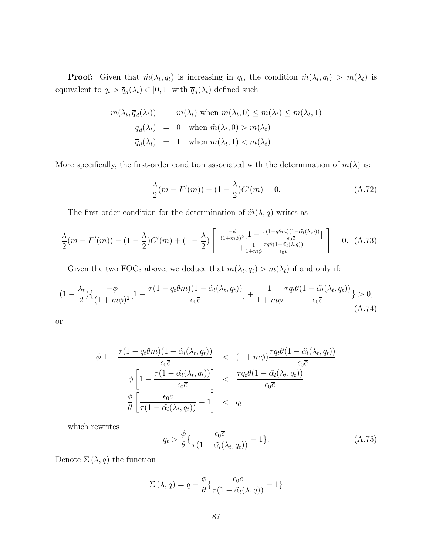**Proof:** Given that  $\tilde{m}(\lambda_t, q_t)$  is increasing in  $q_t$ , the condition  $\tilde{m}(\lambda_t, q_t) > m(\lambda_t)$  is equivalent to  $q_t > \overline{q}_d(\lambda_t) \in [0, 1]$  with  $\overline{q}_d(\lambda_t)$  defined such

$$
\tilde{m}(\lambda_t, \overline{q}_d(\lambda_t)) = m(\lambda_t) \text{ when } \tilde{m}(\lambda_t, 0) \le m(\lambda_t) \le \tilde{m}(\lambda_t, 1)
$$
  

$$
\overline{q}_d(\lambda_t) = 0 \text{ when } \tilde{m}(\lambda_t, 0) > m(\lambda_t)
$$
  

$$
\overline{q}_d(\lambda_t) = 1 \text{ when } \tilde{m}(\lambda_t, 1) < m(\lambda_t)
$$

More specifically, the first-order condition associated with the determination of  $m(\lambda)$  is:

$$
\frac{\lambda}{2}(m - F'(m)) - (1 - \frac{\lambda}{2})C'(m) = 0.
$$
\n(A.72)

The first-order condition for the determination of  $\tilde{m}(\lambda, q)$  writes as

$$
\frac{\lambda}{2}(m - F'(m)) - (1 - \frac{\lambda}{2})C'(m) + (1 - \frac{\lambda}{2})\left[\begin{array}{c}\frac{-\phi}{(1 + m\phi)^2} [1 - \frac{\tau(1 - q\theta m)(1 - \tilde{\alpha}_l(\lambda, q))}{\epsilon_0 \bar{c}}] \\ + \frac{1}{1 + m\phi} \frac{\tau q\theta(1 - \tilde{\alpha}_l(\lambda, q))}{\epsilon_0 \bar{c}}\end{array}\right] = 0. (A.73)
$$

Given the two FOCs above, we deduce that  $\tilde{m}(\lambda_t, q_t) > m(\lambda_t)$  if and only if:

$$
(1 - \frac{\lambda_t}{2})\left\{\frac{-\phi}{(1+m\phi)^2}\left[1 - \frac{\tau(1-q_t\theta m)(1-\tilde{\alpha}_l(\lambda_t, q_t))}{\epsilon_0 \bar{c}}\right] + \frac{1}{1+m\phi} \frac{\tau q_t \theta (1-\tilde{\alpha}_l(\lambda_t, q_t))}{\epsilon_0 \bar{c}}\right\} > 0,
$$
\n(A.74)

or

$$
\phi[1 - \frac{\tau(1 - q_t \theta m)(1 - \tilde{\alpha}_l(\lambda_t, q_t))}{\epsilon_0 \bar{c}}] < (1 + m\phi) \frac{\tau q_t \theta (1 - \tilde{\alpha}_l(\lambda_t, q_t))}{\epsilon_0 \bar{c}} \\
\phi \left[ 1 - \frac{\tau(1 - \tilde{\alpha}_l(\lambda_t, q_t))}{\epsilon_0 \bar{c}} \right] < \frac{\tau q_t \theta (1 - \tilde{\alpha}_l(\lambda_t, q_t))}{\epsilon_0 \bar{c}} \\
\frac{\phi}{\theta} \left[ \frac{\epsilon_0 \bar{c}}{\tau(1 - \tilde{\alpha}_l(\lambda_t, q_t))} - 1 \right] < q_t
$$

which rewrites

<span id="page-87-0"></span>
$$
q_t > \frac{\phi}{\theta} \left\{ \frac{\epsilon_0 \overline{c}}{\tau (1 - \tilde{\alpha}_l(\lambda_t, q_t))} - 1 \right\}.
$$
 (A.75)

Denote  $\Sigma(\lambda, q)$  the function

$$
\Sigma(\lambda, q) = q - \frac{\phi}{\theta} \{ \frac{\epsilon_0 \overline{c}}{\tau (1 - \tilde{\alpha}_l(\lambda, q))} - 1 \}
$$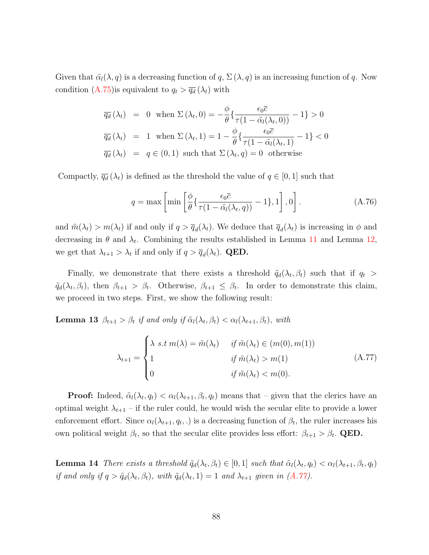Given that  $\tilde{\alpha}_l(\lambda, q)$  is a decreasing function of q,  $\Sigma(\lambda, q)$  is an increasing function of q. Now condition [\(A.75\)](#page-87-0)is equivalent to  $q_t > \overline{q_d}(\lambda_t)$  with

$$
\overline{q_d}(\lambda_t) = 0 \text{ when } \Sigma(\lambda_t, 0) = -\frac{\phi}{\theta} \left\{ \frac{\epsilon_0 \overline{c}}{\tau(1 - \tilde{\alpha}_l(\lambda_t, 0))} - 1 \right\} > 0
$$
  

$$
\overline{q_d}(\lambda_t) = 1 \text{ when } \Sigma(\lambda_t, 1) = 1 - \frac{\phi}{\theta} \left\{ \frac{\epsilon_0 \overline{c}}{\tau(1 - \tilde{\alpha}_l(\lambda_t, 1))} - 1 \right\} < 0
$$
  

$$
\overline{q_d}(\lambda_t) = q \in (0, 1) \text{ such that } \Sigma(\lambda_t, q) = 0 \text{ otherwise}
$$

Compactly,  $\overline{q_d}(\lambda_t)$  is defined as the threshold the value of  $q \in [0,1]$  such that

$$
q = \max \left[ \min \left[ \frac{\phi}{\theta} \{ \frac{\epsilon_0 \overline{c}}{\tau (1 - \tilde{\alpha}_l (\lambda_t, q))} - 1 \}, 1 \right], 0 \right].
$$
 (A.76)

and  $\tilde{m}(\lambda_t) > m(\lambda_t)$  if and only if  $q > \overline{q}_d(\lambda_t)$ . We deduce that  $\overline{q}_d(\lambda_t)$  is increasing in  $\phi$  and decreasing in  $\theta$  and  $\lambda_t$ . Combining the results established in Lemma [11](#page-86-0) and Lemma [12,](#page-86-1) we get that  $\lambda_{t+1} > \lambda_t$  if and only if  $q > \overline{q}_d(\lambda_t)$ . **QED.** 

Finally, we demonstrate that there exists a threshold  $\tilde{q}_d(\lambda_t, \beta_t)$  such that if  $q_t >$  $\tilde{q}_d(\lambda_t, \beta_t)$ , then  $\beta_{t+1} > \beta_t$ . Otherwise,  $\beta_{t+1} \leq \beta_t$ . In order to demonstrate this claim, we proceed in two steps. First, we show the following result:

**Lemma 13**  $\beta_{t+1} > \beta_t$  if and only if  $\tilde{\alpha}_l(\lambda_t, \beta_t) < \alpha_l(\lambda_{t+1}, \beta_t)$ , with

<span id="page-88-0"></span>
$$
\lambda_{t+1} = \begin{cases}\n\lambda \ s.t \ m(\lambda) = \tilde{m}(\lambda_t) & \text{if } \tilde{m}(\lambda_t) \in (m(0), m(1)) \\
1 & \text{if } \tilde{m}(\lambda_t) > m(1) \\
0 & \text{if } \tilde{m}(\lambda_t) < m(0).\n\end{cases}
$$
\n(A.77)

**Proof:** Indeed,  $\tilde{\alpha}_l(\lambda_t, q_t) < \alpha_l(\lambda_{t+1}, \beta_t, q_t)$  means that – given that the clerics have an optimal weight  $\lambda_{t+1}$  – if the ruler could, he would wish the secular elite to provide a lower enforcement effort. Since  $\alpha_l(\lambda_{t+1}, q_t, \cdot)$  is a decreasing function of  $\beta_t$ , the ruler increases his own political weight  $\beta_t$ , so that the secular elite provides less effort:  $\beta_{t+1} > \beta_t$ . QED.

<span id="page-88-1"></span>**Lemma 14** There exists a threshold  $\tilde{q}_d(\lambda_t, \beta_t) \in [0, 1]$  such that  $\tilde{\alpha}_l(\lambda_t, q_t) < \alpha_l(\lambda_{t+1}, \beta_t, q_t)$ if and only if  $q > \tilde{q}_d(\lambda_t, \beta_t)$ , with  $\tilde{q}_d(\lambda_t, 1) = 1$  and  $\lambda_{t+1}$  given in  $(A.77)$ .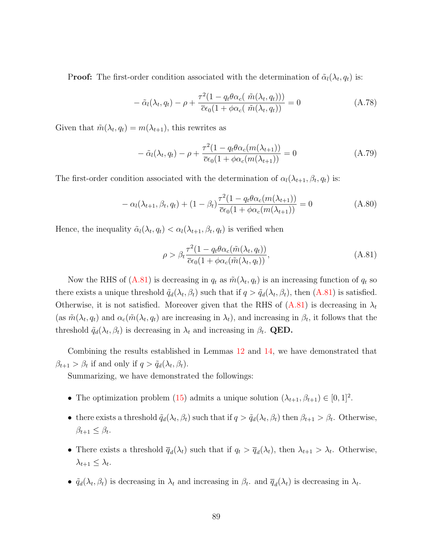**Proof:** The first-order condition associated with the determination of  $\tilde{\alpha}_l(\lambda_t, q_t)$  is:

$$
- \tilde{\alpha}_l(\lambda_t, q_t) - \rho + \frac{\tau^2 (1 - q_t \theta \alpha_c(\tilde{m}(\lambda_t, q_t)))}{\overline{c} \epsilon_0 (1 + \phi \alpha_c(\tilde{m}(\lambda_t, q_t)))} = 0
$$
\n(A.78)

Given that  $\tilde{m}(\lambda_t, q_t) = m(\lambda_{t+1}),$  this rewrites as

$$
-\tilde{\alpha}_l(\lambda_t, q_t) - \rho + \frac{\tau^2 (1 - q_t \theta \alpha_c(m(\lambda_{t+1}))}{\bar{c} \epsilon_0 (1 + \phi \alpha_c(m(\lambda_{t+1}))} = 0 \tag{A.79}
$$

The first-order condition associated with the determination of  $\alpha_l(\lambda_{t+1}, \beta_t, q_t)$  is:

$$
- \alpha_l(\lambda_{t+1}, \beta_t, q_t) + (1 - \beta_t) \frac{\tau^2 (1 - q_t \theta \alpha_c(m(\lambda_{t+1}))}{\overline{c} \epsilon_0 (1 + \phi \alpha_c(m(\lambda_{t+1}))} = 0 \tag{A.80}
$$

Hence, the inequality  $\tilde{\alpha}_l(\lambda_t, q_t) < \alpha_l(\lambda_{t+1}, \beta_t, q_t)$  is verified when

<span id="page-89-0"></span>
$$
\rho > \beta_t \frac{\tau^2 (1 - q_t \theta \alpha_c(\tilde{m}(\lambda_t, q_t)))}{\bar{c}\epsilon_0 (1 + \phi \alpha_c(\tilde{m}(\lambda_t, q_t)))},
$$
\n(A.81)

Now the RHS of [\(A.81\)](#page-89-0) is decreasing in  $q_t$  as  $\tilde{m}(\lambda_t, q_t)$  is an increasing function of  $q_t$  so there exists a unique threshold  $\tilde{q}_d(\lambda_t, \beta_t)$  such that if  $q > \tilde{q}_d(\lambda_t, \beta_t)$ , then  $(A.81)$  is satisfied. Otherwise, it is not satisfied. Moreover given that the RHS of  $(A.81)$  is decreasing in  $\lambda_t$ (as  $\tilde{m}(\lambda_t, q_t)$  and  $\alpha_c(\tilde{m}(\lambda_t, q_t))$  are increasing in  $\lambda_t$ ), and increasing in  $\beta_t$ , it follows that the threshold  $\tilde{q}_d(\lambda_t, \beta_t)$  is decreasing in  $\lambda_t$  and increasing in  $\beta_t$ . **QED.** 

Combining the results established in Lemmas [12](#page-86-1) and [14,](#page-88-1) we have demonstrated that  $\beta_{t+1} > \beta_t$  if and only if  $q > \tilde{q}_d(\lambda_t, \beta_t)$ .

Summarizing, we have demonstrated the followings:

- The optimization problem [\(15\)](#page-32-1) admits a unique solution  $(\lambda_{t+1}, \beta_{t+1}) \in [0, 1]^2$ .
- there exists a threshold  $\tilde{q}_d(\lambda_t, \beta_t)$  such that if  $q > \tilde{q}_d(\lambda_t, \beta_t)$  then  $\beta_{t+1} > \beta_t$ . Otherwise,  $\beta_{t+1} \leq \beta_t.$
- There exists a threshold  $\overline{q}_d(\lambda_t)$  such that if  $q_t > \overline{q}_d(\lambda_t)$ , then  $\lambda_{t+1} > \lambda_t$ . Otherwise,  $\lambda_{t+1} \leq \lambda_t$ .
- $\tilde{q}_d(\lambda_t, \beta_t)$  is decreasing in  $\lambda_t$  and increasing in  $\beta_t$ . and  $\overline{q}_d(\lambda_t)$  is decreasing in  $\lambda_t$ .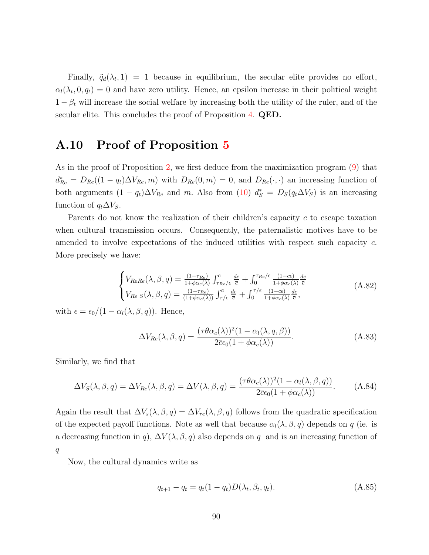Finally,  $\tilde{q}_d(\lambda_t, 1) = 1$  because in equilibrium, the secular elite provides no effort,  $\alpha_l(\lambda_t, 0, q_t) = 0$  and have zero utility. Hence, an epsilon increase in their political weight  $1 - \beta_t$  will increase the social welfare by increasing both the utility of the ruler, and of the secular elite. This concludes the proof of Proposition [4.](#page-32-0) QED.

### A.10 Proof of Proposition [5](#page-34-0)

As in the proof of Proposition [2,](#page-15-1) we first deduce from the maximization program [\(9\)](#page-15-2) that  $d_{Re}^* = D_{Re}((1 - q_t)\Delta V_{Re}, m)$  with  $D_{Re}(0, m) = 0$ , and  $D_{Re}(\cdot, \cdot)$  an increasing function of both arguments  $(1 - q_t)\Delta V_{Re}$  and m. Also from  $(10)$   $d_S^* = D_S(q_t\Delta V_S)$  is an increasing function of  $q_t \Delta V_S$ .

Parents do not know the realization of their children's capacity c to escape taxation when cultural transmission occurs. Consequently, the paternalistic motives have to be amended to involve expectations of the induced utilities with respect such capacity c. More precisely we have:

$$
\begin{cases}\nV_{ReRe}(\lambda,\beta,q) = \frac{(1-\tau_{Re})}{1+\phi\alpha_{c}(\lambda)} \int_{\tau_{Re}/\epsilon}^{\overline{c}} \frac{dc}{\overline{c}} + \int_{0}^{\tau_{Re}/\epsilon} \frac{(1-c\epsilon)}{1+\phi\alpha_{c}(\lambda)} \frac{dc}{\overline{c}} \\
V_{Re S}(\lambda,\beta,q) = \frac{(1-\tau_{Re})}{(1+\phi\alpha_{c}(\lambda))} \int_{\tau/\epsilon}^{\overline{c}} \frac{dc}{\overline{c}} + \int_{0}^{\tau/\epsilon} \frac{(1-c\epsilon)}{1+\phi\alpha_{c}(\lambda)} \frac{dc}{\overline{c}},\n\end{cases} (A.82)
$$

with  $\epsilon = \epsilon_0/(1 - \alpha_l(\lambda, \beta, q))$ . Hence,

$$
\Delta V_{Re}(\lambda, \beta, q) = \frac{(\tau \theta \alpha_c(\lambda))^2 (1 - \alpha_l(\lambda, q, \beta))}{2 \overline{c} \epsilon_0 (1 + \phi \alpha_c(\lambda))}.
$$
\n(A.83)

Similarly, we find that

$$
\Delta V_S(\lambda, \beta, q) = \Delta V_{Re}(\lambda, \beta, q) = \Delta V(\lambda, \beta, q) = \frac{(\tau \theta \alpha_c(\lambda))^2 (1 - \alpha_l(\lambda, \beta, q))}{2 \overline{c} \epsilon_0 (1 + \phi \alpha_c(\lambda))}.
$$
 (A.84)

Again the result that  $\Delta V_s(\lambda, \beta, q) = \Delta V_{re}(\lambda, \beta, q)$  follows from the quadratic specification of the expected payoff functions. Note as well that because  $\alpha_l(\lambda, \beta, q)$  depends on q (ie. is a decreasing function in q),  $\Delta V(\lambda, \beta, q)$  also depends on q and is an increasing function of q

Now, the cultural dynamics write as

$$
q_{t+1} - q_t = q_t(1 - q_t)D(\lambda_t, \beta_t, q_t).
$$
\n(A.85)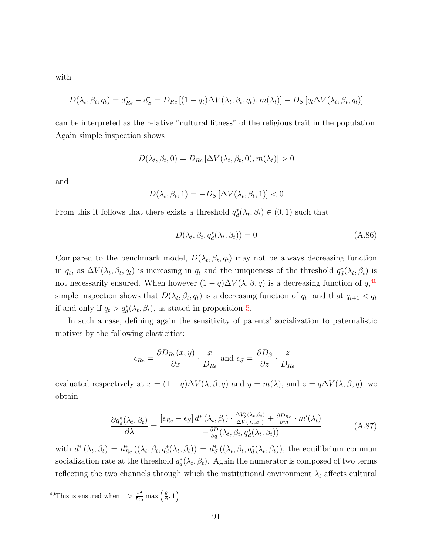with

$$
D(\lambda_t, \beta_t, q_t) = d_{Re}^* - d_S^* = D_{Re} [(1 - q_t) \Delta V(\lambda_t, \beta_t, q_t), m(\lambda_t)] - D_S [q_t \Delta V(\lambda_t, \beta_t, q_t)]
$$

can be interpreted as the relative "cultural fitness" of the religious trait in the population. Again simple inspection shows

$$
D(\lambda_t, \beta_t, 0) = D_{Re} [\Delta V(\lambda_t, \beta_t, 0), m(\lambda_t)] > 0
$$

and

$$
D(\lambda_t, \beta_t, 1) = -D_S \left[ \Delta V(\lambda_t, \beta_t, 1) \right] < 0
$$

From this it follows that there exists a threshold  $q_d^*(\lambda_t, \beta_t) \in (0, 1)$  such that

$$
D(\lambda_t, \beta_t, q_d^*(\lambda_t, \beta_t)) = 0
$$
\n(A.86)

Compared to the benchmark model,  $D(\lambda_t, \beta_t, q_t)$  may not be always decreasing function in  $q_t$ , as  $\Delta V(\lambda_t, \beta_t, q_t)$  is increasing in  $q_t$  and the uniqueness of the threshold  $q_d^*(\lambda_t, \beta_t)$  is not necessarily ensured. When however  $(1 - q)\Delta V(\lambda, \beta, q)$  is a decreasing function of  $q, 40$  $q, 40$ simple inspection shows that  $D(\lambda_t, \beta_t, q_t)$  is a decreasing function of  $q_t$  and that  $q_{t+1} < q_t$ if and only if  $q_t > q_d^*(\lambda_t, \beta_t)$ , as stated in proposition [5.](#page-34-0)

In such a case, defining again the sensitivity of parents' socialization to paternalistic motives by the following elasticities:

$$
\epsilon_{Re} = \frac{\partial D_{Re}(x, y)}{\partial x} \cdot \frac{x}{D_{Re}} \text{ and } \epsilon_{S} = \frac{\partial D_{S}}{\partial z} \cdot \frac{z}{D_{Re}} \Big|
$$

evaluated respectively at  $x = (1 - q)\Delta V(\lambda, \beta, q)$  and  $y = m(\lambda)$ , and  $z = q\Delta V(\lambda, \beta, q)$ , we obtain

<span id="page-91-0"></span>
$$
\frac{\partial q_d^*(\lambda_t, \beta_t)}{\partial \lambda} = \frac{\left[\epsilon_{Re} - \epsilon_S\right] d^*(\lambda_t, \beta_t) \cdot \frac{\Delta V'_{\lambda}(\lambda_t, \beta_t)}{\Delta V(\lambda_t, \beta_t)} + \frac{\partial D_{Re}}{\partial m} \cdot m'(\lambda_t)}{-\frac{\partial D}{\partial q}(\lambda_t, \beta_t, q_d^*(\lambda_t, \beta_t))}
$$
(A.87)

with  $d^*(\lambda_t, \beta_t) = d^*_{Re}((\lambda_t, \beta_t, q_d^*(\lambda_t, \beta_t)) = d^*_S((\lambda_t, \beta_t, q_d^*(\lambda_t, \beta_t)),$  the equilibrium commun socialization rate at the threshold  $q_d^*(\lambda_t, \beta_t)$ . Again the numerator is composed of two terms reflecting the two channels through which the institutional environment  $\lambda_t$  affects cultural

<span id="page-91-1"></span><sup>40</sup>This is ensured when  $1 > \frac{\tau^2}{\overline{c}\epsilon}$  $\frac{\tau^2}{\overline{c}\epsilon_0} \max\left(\frac{\theta}{\phi}, 1\right)$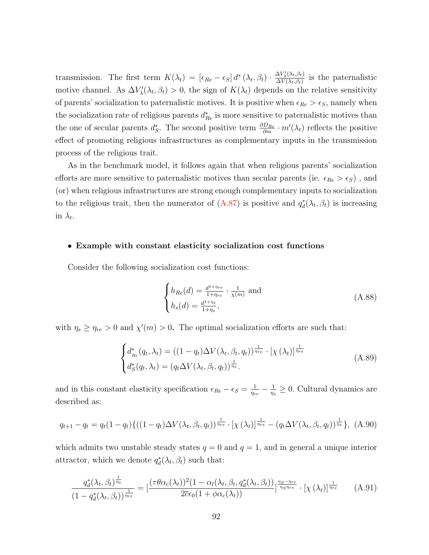transmission. The first term  $K(\lambda_t) = \left[\epsilon_{Re} - \epsilon_{S}\right] d^* \left(\lambda_t, \beta_t\right) \cdot \frac{\Delta V'_{\lambda}(\lambda_t, \beta_t)}{\Delta V(\lambda_t, \beta_t)}$  $\frac{\Delta V_{\lambda}(\lambda t,\beta t)}{\Delta V(\lambda_t,\beta_t)}$  is the paternalistic motive channel. As  $\Delta V'_{\lambda}(\lambda_t, \beta_t) > 0$ , the sign of  $K(\lambda_t)$  depends on the relative sensitivity of parents' socialization to paternalistic motives. It is positive when  $\epsilon_{Re} > \epsilon_{S}$ , namely when the socialization rate of religious parents  $d_{Re}^*$  is more sensitive to paternalistic motives than the one of secular parents  $d_S^*$ . The second positive term  $\frac{\partial D_{Re}}{\partial m} \cdot m'(\lambda_t)$  reflects the positive effect of promoting religious infrastructures as complementary inputs in the transmission process of the religious trait.

As in the benchmark model, it follows again that when religious parents' socialization efforts are more sensitive to paternalistic motives than secular parents (ie.  $\epsilon_{Re} > \epsilon_{S}$ ), and (or) when religious infrastructures are strong enough complementary inputs to socialization to the religious trait, then the numerator of  $(A.87)$  is positive and  $q_d^*(\lambda_t, \beta_t)$  is increasing in  $\lambda_t$ .

#### • Example with constant elasticity socialization cost functions

Consider the following socialization cost functions:

$$
\begin{cases}\nh_{Re}(d) = \frac{d^{1+\eta_{re}}}{1+\eta_{re}} \cdot \frac{1}{\chi(m)} \text{ and} \\
h_s(d) = \frac{d^{1+\eta_s}}{1+\eta_s},\n\end{cases} \tag{A.88}
$$

with  $\eta_s \geq \eta_{re} > 0$  and  $\chi'(m) > 0$ . The optimal socialization efforts are such that:

$$
\begin{cases} d_{Re}^*(q_t, \lambda_t) = \left( (1 - q_t) \Delta V(\lambda_t, \beta_t, q_t) \right)^{\frac{1}{\eta_{re}}} \cdot \left[ \chi(\lambda_t) \right]^{\frac{1}{\eta_{re}}} \\ d_S^*(q_t, \lambda_t) = \left( q_t \Delta V(\lambda_t, \beta_t, q_t) \right)^{\frac{1}{\eta_s}} . \end{cases} \tag{A.89}
$$

and in this constant elasticity specification  $\epsilon_{Re} - \epsilon_{S} = \frac{1}{n_e}$  $\frac{1}{\eta_{re}}-\frac{1}{\eta_{s}}$  $\frac{1}{\eta_s} \geq 0$ . Cultural dynamics are described as:

$$
q_{t+1} - q_t = q_t (1 - q_t) \{ ((1 - q_t) \Delta V(\lambda_t, \beta_t, q_t))^{\frac{1}{\eta_{re}}} \cdot [\chi(\lambda_t)]^{\frac{1}{\eta_{re}}} - (q_t \Delta V(\lambda_t, \beta_t, q_t))^{\frac{1}{\eta_s}} \}, (A.90)
$$

which admits two unstable steady states  $q = 0$  and  $q = 1$ , and in general a unique interior attractor, which we denote  $q_d^*(\lambda_t, \beta_t)$  such that:

<span id="page-92-0"></span>
$$
\frac{q_d^*(\lambda_t, \beta_t)^{\frac{1}{\eta_s}}}{\left(1-q_d^*(\lambda_t, \beta_t)\right)^{\frac{1}{\eta_{re}}}} = \left[\frac{(\tau \theta \alpha_c(\lambda_t))^2 (1-\alpha_l(\lambda_t, \beta_t, q_d^*(\lambda_t, \beta_t))}{2\bar{c}\epsilon_0 (1+\phi \alpha_c(\lambda_t))}\right]^{\frac{\eta_S - \eta_{re}}{\eta_S \eta_{re}}} \cdot [\chi(\lambda_t)]^{\frac{1}{\eta_{re}}} \tag{A.91}
$$